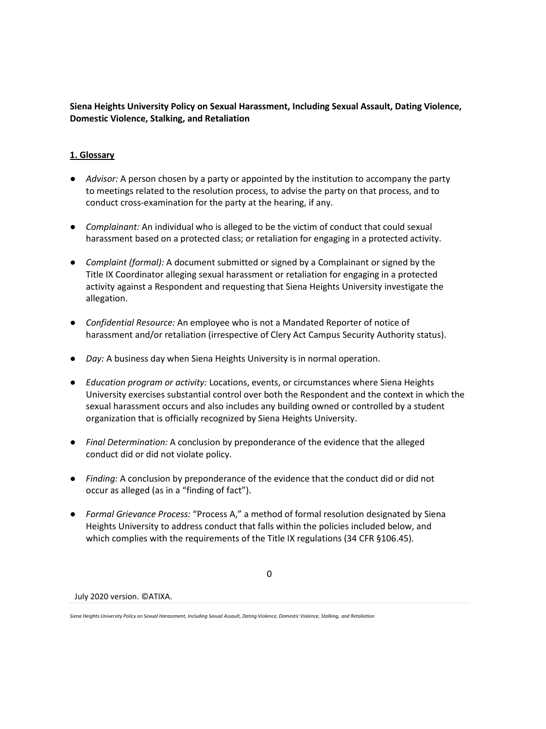**Siena Heights University Policy on Sexual Harassment, Including Sexual Assault, Dating Violence, Domestic Violence, Stalking, and Retaliation**

## **1. Glossary**

- *Advisor:* A person chosen by a party or appointed by the institution to accompany the party to meetings related to the resolution process, to advise the party on that process, and to conduct cross-examination for the party at the hearing, if any.
- *Complainant:* An individual who is alleged to be the victim of conduct that could sexual harassment based on a protected class; or retaliation for engaging in a protected activity.
- *Complaint (formal):* A document submitted or signed by a Complainant or signed by the Title IX Coordinator alleging sexual harassment or retaliation for engaging in a protected activity against a Respondent and requesting that Siena Heights University investigate the allegation.
- *Confidential Resource:* An employee who is not a Mandated Reporter of notice of harassment and/or retaliation (irrespective of Clery Act Campus Security Authority status).
- *Day:* A business day when Siena Heights University is in normal operation.
- *Education program or activity:* Locations, events, or circumstances where Siena Heights University exercises substantial control over both the Respondent and the context in which the sexual harassment occurs and also includes any building owned or controlled by a student organization that is officially recognized by Siena Heights University.
- *Final Determination:* A conclusion by preponderance of the evidence that the alleged conduct did or did not violate policy.
- *Finding:* A conclusion by preponderance of the evidence that the conduct did or did not occur as alleged (as in a "finding of fact").
- *Formal Grievance Process:* "Process A," a method of formal resolution designated by Siena Heights University to address conduct that falls within the policies included below, and which complies with the requirements of the Title IX regulations (34 CFR §106.45).

 $\Omega$ 

*Siena Heights University Policy on Sexual Harassment, Including Sexual Assault, Dating Violence, Domestic Violence, Stalking, and Retaliation*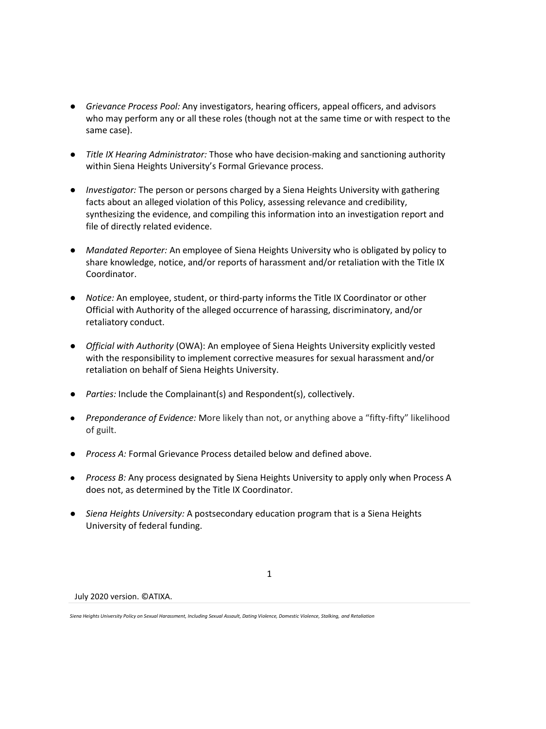- *Grievance Process Pool:* Any investigators, hearing officers, appeal officers, and advisors who may perform any or all these roles (though not at the same time or with respect to the same case).
- *Title IX Hearing Administrator:* Those who have decision-making and sanctioning authority within Siena Heights University's Formal Grievance process.
- *Investigator:* The person or persons charged by a Siena Heights University with gathering facts about an alleged violation of this Policy, assessing relevance and credibility, synthesizing the evidence, and compiling this information into an investigation report and file of directly related evidence.
- *Mandated Reporter:* An employee of Siena Heights University who is obligated by policy to share knowledge, notice, and/or reports of harassment and/or retaliation with the Title IX Coordinator.
- *Notice:* An employee, student, or third-party informs the Title IX Coordinator or other Official with Authority of the alleged occurrence of harassing, discriminatory, and/or retaliatory conduct.
- *Official with Authority* (OWA): An employee of Siena Heights University explicitly vested with the responsibility to implement corrective measures for sexual harassment and/or retaliation on behalf of Siena Heights University.
- *Parties:* Include the Complainant(s) and Respondent(s), collectively.
- *Preponderance of Evidence:* More likely than not, or anything above a "fifty-fifty" likelihood of guilt.
- *Process A:* Formal Grievance Process detailed below and defined above.
- *Process B:* Any process designated by Siena Heights University to apply only when Process A does not, as determined by the Title IX Coordinator.

1

● *Siena Heights University:* A postsecondary education program that is a Siena Heights University of federal funding.

*Siena Heights University Policy on Sexual Harassment, Including Sexual Assault, Dating Violence, Domestic Violence, Stalking, and Retaliation*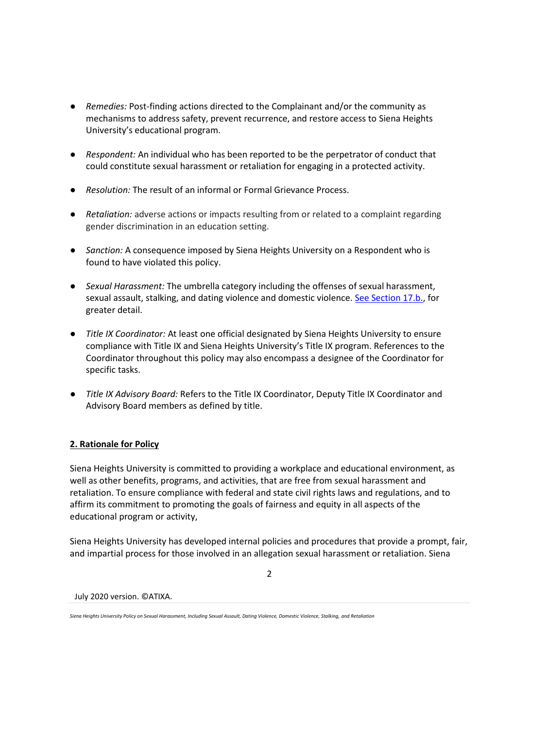- *Remedies:* Post-finding actions directed to the Complainant and/or the community as mechanisms to address safety, prevent recurrence, and restore access to Siena Heights University's educational program.
- *Respondent:* An individual who has been reported to be the perpetrator of conduct that could constitute sexual harassment or retaliation for engaging in a protected activity.
- *Resolution:* The result of an informal or Formal Grievance Process.
- *Retaliation:* adverse actions or impacts resulting from or related to a complaint regarding gender discrimination in an education setting.
- *Sanction:* A consequence imposed by Siena Heights University on a Respondent who is found to have violated this policy.
- *Sexual Harassment:* The umbrella category including the offenses of sexual harassment, sexual assault, stalking, and dating violence and domestic violence. See Section 17.b., for greater detail.
- *Title IX Coordinator:* At least one official designated by Siena Heights University to ensure compliance with Title IX and Siena Heights University's Title IX program. References to the Coordinator throughout this policy may also encompass a designee of the Coordinator for specific tasks.
- *Title IX Advisory Board:* Refers to the Title IX Coordinator, Deputy Title IX Coordinator and Advisory Board members as defined by title.

# **2. Rationale for Policy**

Siena Heights University is committed to providing a workplace and educational environment, as well as other benefits, programs, and activities, that are free from sexual harassment and retaliation. To ensure compliance with federal and state civil rights laws and regulations, and to affirm its commitment to promoting the goals of fairness and equity in all aspects of the educational program or activity,

Siena Heights University has developed internal policies and procedures that provide a prompt, fair, and impartial process for those involved in an allegation sexual harassment or retaliation. Siena

 $\mathfrak{D}$ 

*Siena Heights University Policy on Sexual Harassment, Including Sexual Assault, Dating Violence, Domestic Violence, Stalking, and Retaliation*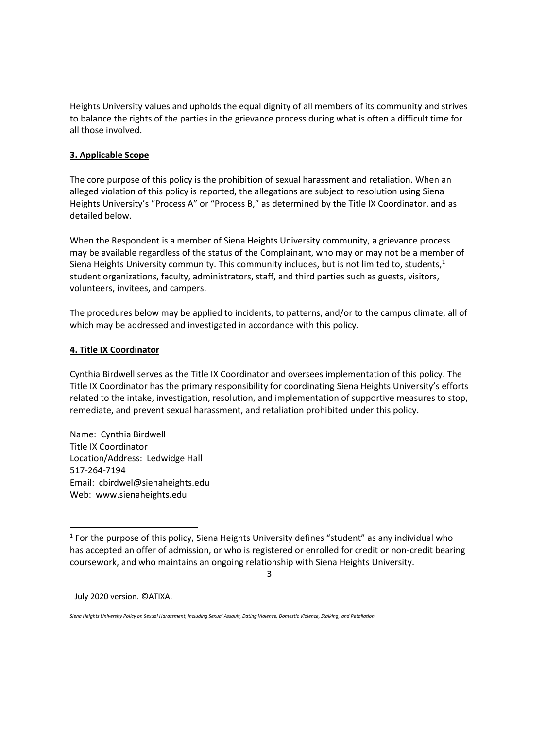Heights University values and upholds the equal dignity of all members of its community and strives to balance the rights of the parties in the grievance process during what is often a difficult time for all those involved.

## **3. Applicable Scope**

The core purpose of this policy is the prohibition of sexual harassment and retaliation. When an alleged violation of this policy is reported, the allegations are subject to resolution using Siena Heights University's "Process A" or "Process B," as determined by the Title IX Coordinator, and as detailed below.

When the Respondent is a member of Siena Heights University community, a grievance process may be available regardless of the status of the Complainant, who may or may not be a member of Siena Heights University community. This community includes, but is not limited to, students, $1$ student organizations, faculty, administrators, staff, and third parties such as guests, visitors, volunteers, invitees, and campers.

The procedures below may be applied to incidents, to patterns, and/or to the campus climate, all of which may be addressed and investigated in accordance with this policy.

### **4. Title IX Coordinator**

Cynthia Birdwell serves as the Title IX Coordinator and oversees implementation of this policy. The Title IX Coordinator has the primary responsibility for coordinating Siena Heights University's efforts related to the intake, investigation, resolution, and implementation of supportive measures to stop, remediate, and prevent sexual harassment, and retaliation prohibited under this policy.

Name: Cynthia Birdwell Title IX Coordinator Location/Address: Ledwidge Hall 517-264-7194 Email: cbirdwel@sienaheights.edu Web: www.sienaheights.edu

 $<sup>1</sup>$  For the purpose of this policy, Siena Heights University defines "student" as any individual who</sup> has accepted an offer of admission, or who is registered or enrolled for credit or non-credit bearing coursework, and who maintains an ongoing relationship with Siena Heights University.

3

*Siena Heights University Policy on Sexual Harassment, Including Sexual Assault, Dating Violence, Domestic Violence, Stalking, and Retaliation*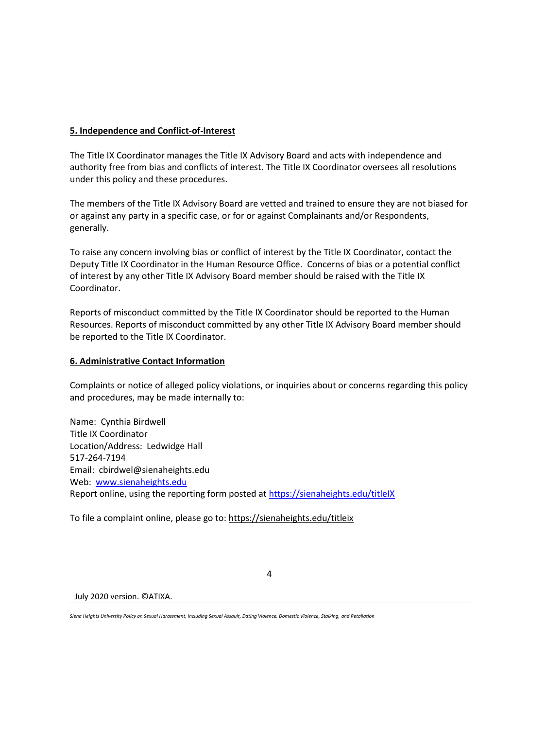### **5. Independence and Conflict-of-Interest**

The Title IX Coordinator manages the Title IX Advisory Board and acts with independence and authority free from bias and conflicts of interest. The Title IX Coordinator oversees all resolutions under this policy and these procedures.

The members of the Title IX Advisory Board are vetted and trained to ensure they are not biased for or against any party in a specific case, or for or against Complainants and/or Respondents, generally.

To raise any concern involving bias or conflict of interest by the Title IX Coordinator, contact the Deputy Title IX Coordinator in the Human Resource Office. Concerns of bias or a potential conflict of interest by any other Title IX Advisory Board member should be raised with the Title IX Coordinator.

Reports of misconduct committed by the Title IX Coordinator should be reported to the Human Resources. Reports of misconduct committed by any other Title IX Advisory Board member should be reported to the Title IX Coordinator.

## **6. Administrative Contact Information**

Complaints or notice of alleged policy violations, or inquiries about or concerns regarding this policy and procedures, may be made internally to:

4

Name: Cynthia Birdwell Title IX Coordinator Location/Address: Ledwidge Hall 517-264-7194 Email: cbirdwel@sienaheights.edu Web: [www.sienaheights.edu](http://www.sienaheights.edu/) Report online, using the reporting form posted at<https://sienaheights.edu/titleIX>

To file a complaint online, please go to:<https://sienaheights.edu/titleix>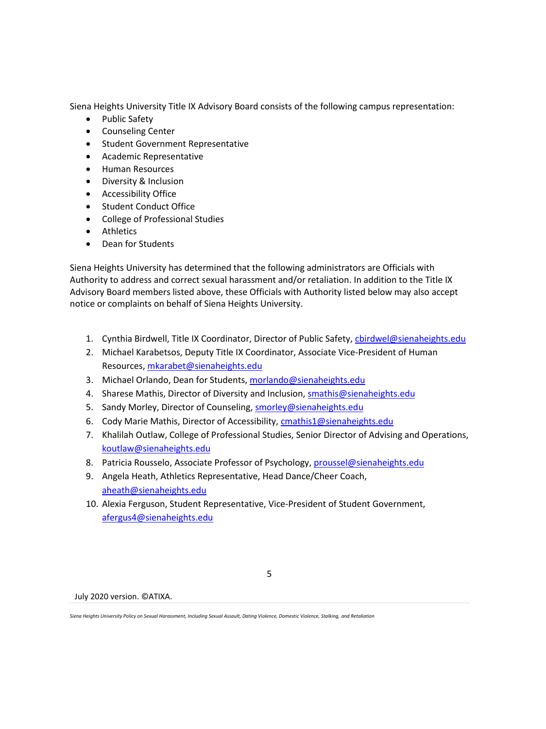Siena Heights University Title IX Advisory Board consists of the following campus representation:

- Public Safety
- Counseling Center
- Student Government Representative
- Academic Representative
- Human Resources
- Diversity & Inclusion
- Accessibility Office
- Student Conduct Office
- College of Professional Studies
- Athletics
- Dean for Students

Siena Heights University has determined that the following administrators are Officials with Authority to address and correct sexual harassment and/or retaliation. In addition to the Title IX Advisory Board members listed above, these Officials with Authority listed below may also accept notice or complaints on behalf of Siena Heights University.

- 1. Cynthia Birdwell, Title IX Coordinator, Director of Public Safety, [cbirdwel@sienaheights.edu](mailto:cbirdwel@sienaheights.edu)
- 2. Michael Karabetsos, Deputy Title IX Coordinator, Associate Vice-President of Human Resources, [mkarabet@sienaheights.edu](mailto:mkarabet@sienaheights.edu)
- 3. Michael Orlando, Dean for Students, [morlando@sienaheights.edu](mailto:morlando@sienaheights.edu)
- 4. Sharese Mathis, Director of Diversity and Inclusion, [smathis@sienaheights.edu](mailto:smathis@sienaheights.edu)
- 5. Sandy Morley, Director of Counseling, [smorley@sienaheights.edu](mailto:smorley@sienaheights.edu)
- 6. Cody Marie Mathis, Director of Accessibility[, cmathis1@sienaheights.edu](mailto:cmathis1@sienaheights.edu)
- 7. Khalilah Outlaw, College of Professional Studies, Senior Director of Advising and Operations, [koutlaw@sienaheights.edu](mailto:koutlaw@sienaheights.edu)
- 8. Patricia Rousselo, Associate Professor of Psychology, [proussel@sienaheights.edu](mailto:proussel@sienaheights.edu)
- 9. Angela Heath, Athletics Representative, Head Dance/Cheer Coach, [aheath@sienaheights.edu](mailto:aheath@sienaheights.edu)
- 10. Alexia Ferguson, Student Representative, Vice-President of Student Government, [afergus4@sienaheights.edu](mailto:afergus4@sienaheights.edu)

5

*Siena Heights University Policy on Sexual Harassment, Including Sexual Assault, Dating Violence, Domestic Violence, Stalking, and Retaliation*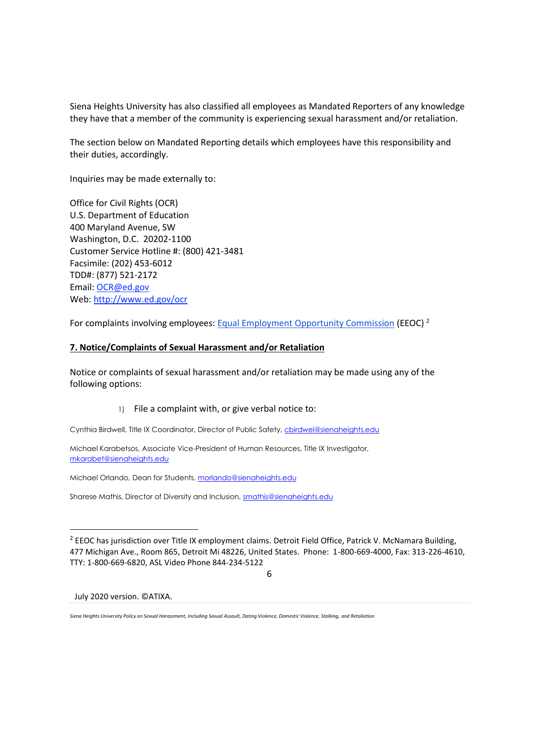Siena Heights University has also classified all employees as Mandated Reporters of any knowledge they have that a member of the community is experiencing sexual harassment and/or retaliation.

The section below on Mandated Reporting details which employees have this responsibility and their duties, accordingly.

Inquiries may be made externally to:

Office for Civil Rights (OCR) U.S. Department of Education 400 Maryland Avenue, SW Washington, D.C. 20202-1100 Customer Service Hotline #: (800) 421-3481 Facsimile: (202) 453-6012 TDD#: (877) 521-2172 Email: [OCR@ed.gov](mailto:OCR@ed.gov) Web: [http://www.ed.gov/ocr](http://www2.ed.gov/about/offices/list/ocr/index.html)

For complaints involving employees[: Equal Employment Opportunity Commission](http://www.eeoc.gov/contact/) (EEOC) <sup>2</sup>

#### **7. Notice/Complaints of Sexual Harassment and/or Retaliation**

Notice or complaints of sexual harassment and/or retaliation may be made using any of the following options:

#### 1) File a complaint with, or give verbal notice to:

Cynthia Birdwell, Title IX Coordinator, Director of Public Safety, chirdwel@sienaheights.edu

Michael Karabetsos, Associate Vice-President of Human Resources, Title IX Investigator, [mkarabet@sienaheights.edu](mailto:mkarabet@sienaheights.edu)

Michael Orlando, Dean for Students, [morlando@sienaheights.edu](mailto:morlando@sienaheights.edu)

Sharese Mathis, Director of Diversity and Inclusion[, smathis@sienaheights.edu](mailto:smathis@sienaheights.edu)

6

July 2020 version. ©ATIXA.

 $^2$  EEOC has jurisdiction over Title IX employment claims. Detroit Field Office, Patrick V. McNamara Building, 477 Michigan Ave., Room 865, Detroit Mi 48226, United States. Phone: 1-800-669-4000, Fax: 313-226-4610, TTY: 1-800-669-6820, ASL Video Phone 844-234-5122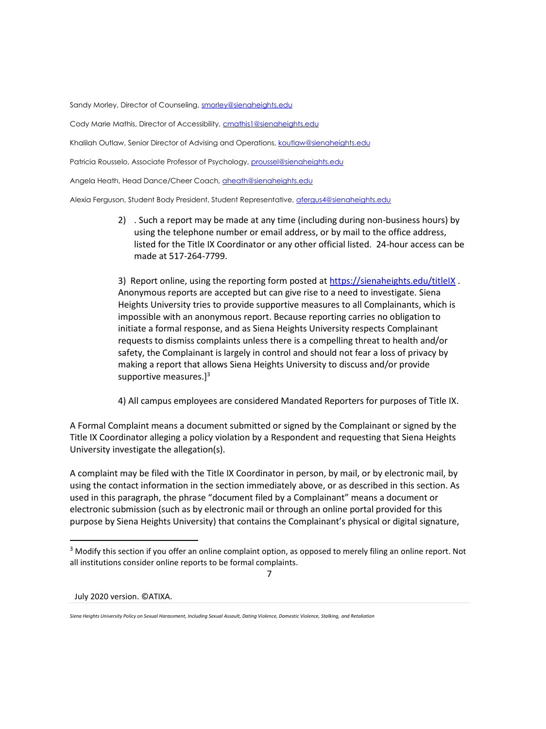Sandy Morley, Director of Counseling, [smorley@sienaheights.edu](mailto:smorley@sienaheights.edu)

Cody Marie Mathis, Director of Accessibility, [cmathis1@sienaheights.edu](mailto:cmathis1@sienaheights.edu)

Khalilah Outlaw, Senior Director of Advising and Operations, [koutlaw@sienaheights.edu](mailto:koutlaw@sienaheights.edu)

Patricia Rousselo, Associate Professor of Psychology[, proussel@sienaheights.edu](mailto:proussel@sienaheights.edu)

Angela Heath, Head Dance/Cheer Coach[, aheath@sienaheights.edu](mailto:aheath@sienaheights.edu)

Alexia Ferguson, Student Body President, Student Representative, [afergus4@sienaheights.edu](mailto:afergus4@sienaheights.edu)

2) . Such a report may be made at any time (including during non-business hours) by using the telephone number or email address, or by mail to the office address, listed for the Title IX Coordinator or any other official listed. 24-hour access can be made at 517-264-7799.

3) Report online, using the reporting form posted at<https://sienaheights.edu/titleIX> . Anonymous reports are accepted but can give rise to a need to investigate. Siena Heights University tries to provide supportive measures to all Complainants, which is impossible with an anonymous report. Because reporting carries no obligation to initiate a formal response, and as Siena Heights University respects Complainant requests to dismiss complaints unless there is a compelling threat to health and/or safety, the Complainant is largely in control and should not fear a loss of privacy by making a report that allows Siena Heights University to discuss and/or provide supportive measures.]<sup>3</sup>

4) All campus employees are considered Mandated Reporters for purposes of Title IX.

A Formal Complaint means a document submitted or signed by the Complainant or signed by the Title IX Coordinator alleging a policy violation by a Respondent and requesting that Siena Heights University investigate the allegation(s).

A complaint may be filed with the Title IX Coordinator in person, by mail, or by electronic mail, by using the contact information in the section immediately above, or as described in this section. As used in this paragraph, the phrase "document filed by a Complainant" means a document or electronic submission (such as by electronic mail or through an online portal provided for this purpose by Siena Heights University) that contains the Complainant's physical or digital signature,

<sup>&</sup>lt;sup>3</sup> Modify this section if you offer an online complaint option, as opposed to merely filing an online report. Not all institutions consider online reports to be formal complaints.

<sup>7</sup>

*Siena Heights University Policy on Sexual Harassment, Including Sexual Assault, Dating Violence, Domestic Violence, Stalking, and Retaliation*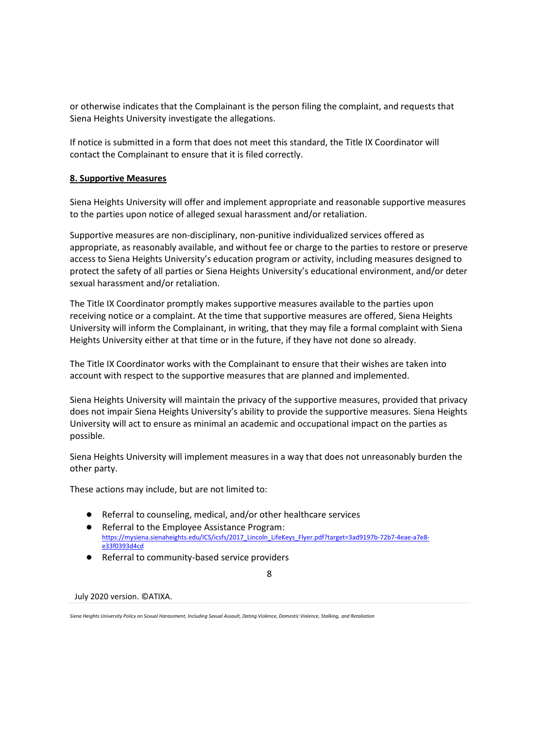or otherwise indicates that the Complainant is the person filing the complaint, and requests that Siena Heights University investigate the allegations.

If notice is submitted in a form that does not meet this standard, the Title IX Coordinator will contact the Complainant to ensure that it is filed correctly.

### **8. Supportive Measures**

Siena Heights University will offer and implement appropriate and reasonable supportive measures to the parties upon notice of alleged sexual harassment and/or retaliation.

Supportive measures are non-disciplinary, non-punitive individualized services offered as appropriate, as reasonably available, and without fee or charge to the parties to restore or preserve access to Siena Heights University's education program or activity, including measures designed to protect the safety of all parties or Siena Heights University's educational environment, and/or deter sexual harassment and/or retaliation.

The Title IX Coordinator promptly makes supportive measures available to the parties upon receiving notice or a complaint. At the time that supportive measures are offered, Siena Heights University will inform the Complainant, in writing, that they may file a formal complaint with Siena Heights University either at that time or in the future, if they have not done so already.

The Title IX Coordinator works with the Complainant to ensure that their wishes are taken into account with respect to the supportive measures that are planned and implemented.

Siena Heights University will maintain the privacy of the supportive measures, provided that privacy does not impair Siena Heights University's ability to provide the supportive measures. Siena Heights University will act to ensure as minimal an academic and occupational impact on the parties as possible.

Siena Heights University will implement measures in a way that does not unreasonably burden the other party.

These actions may include, but are not limited to:

- Referral to counseling, medical, and/or other healthcare services
- Referral to the Employee Assistance Program: [https://mysiena.sienaheights.edu/ICS/icsfs/2017\\_Lincoln\\_LifeKeys\\_Flyer.pdf?target=3ad9197b-72b7-4eae-a7e8](https://mysiena.sienaheights.edu/ICS/icsfs/2017_Lincoln_LifeKeys_Flyer.pdf?target=3ad9197b-72b7-4eae-a7e8-e33f0393d4cd) [e33f0393d4cd](https://mysiena.sienaheights.edu/ICS/icsfs/2017_Lincoln_LifeKeys_Flyer.pdf?target=3ad9197b-72b7-4eae-a7e8-e33f0393d4cd)
- Referral to community-based service providers

8

*Siena Heights University Policy on Sexual Harassment, Including Sexual Assault, Dating Violence, Domestic Violence, Stalking, and Retaliation*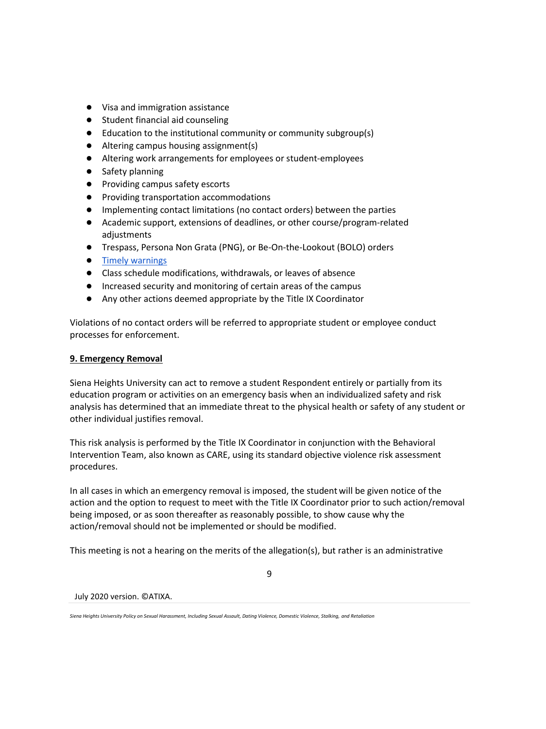- Visa and immigration assistance
- Student financial aid counseling
- Education to the institutional community or community subgroup(s)
- Altering campus housing assignment(s)
- Altering work arrangements for employees or student-employees
- Safety planning
- Providing campus safety escorts
- Providing transportation accommodations
- Implementing contact limitations (no contact orders) between the parties
- Academic support, extensions of deadlines, or other course/program-related adjustments
- Trespass, Persona Non Grata (PNG), or Be-On-the-Lookout (BOLO) orders
- [Timely warnings](http://ncsam.clerycenter.org/wp-content/uploads/NCSAM18_Timely-Warning-Guide.pdf)
- Class schedule modifications, withdrawals, or leaves of absence
- Increased security and monitoring of certain areas of the campus
- Any other actions deemed appropriate by the Title IX Coordinator

Violations of no contact orders will be referred to appropriate student or employee conduct processes for enforcement.

## **9. Emergency Removal**

Siena Heights University can act to remove a student Respondent entirely or partially from its education program or activities on an emergency basis when an individualized safety and risk analysis has determined that an immediate threat to the physical health or safety of any student or other individual justifies removal.

This risk analysis is performed by the Title IX Coordinator in conjunction with the Behavioral Intervention Team, also known as CARE, using its standard objective violence risk assessment procedures.

In all cases in which an emergency removal is imposed, the student will be given notice of the action and the option to request to meet with the Title IX Coordinator prior to such action/removal being imposed, or as soon thereafter as reasonably possible, to show cause why the action/removal should not be implemented or should be modified.

This meeting is not a hearing on the merits of the allegation(s), but rather is an administrative

9

July 2020 version. ©ATIXA.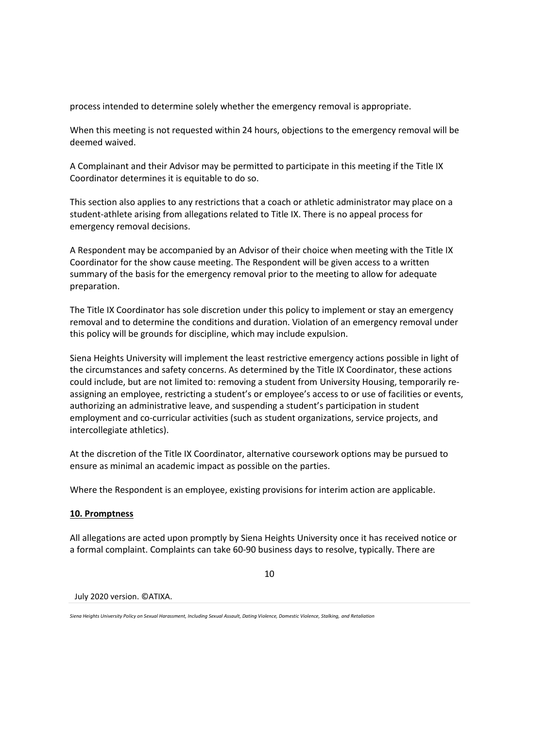process intended to determine solely whether the emergency removal is appropriate.

When this meeting is not requested within 24 hours, objections to the emergency removal will be deemed waived.

A Complainant and their Advisor may be permitted to participate in this meeting if the Title IX Coordinator determines it is equitable to do so.

This section also applies to any restrictions that a coach or athletic administrator may place on a student-athlete arising from allegations related to Title IX. There is no appeal process for emergency removal decisions.

A Respondent may be accompanied by an Advisor of their choice when meeting with the Title IX Coordinator for the show cause meeting. The Respondent will be given access to a written summary of the basis for the emergency removal prior to the meeting to allow for adequate preparation.

The Title IX Coordinator has sole discretion under this policy to implement or stay an emergency removal and to determine the conditions and duration. Violation of an emergency removal under this policy will be grounds for discipline, which may include expulsion.

Siena Heights University will implement the least restrictive emergency actions possible in light of the circumstances and safety concerns. As determined by the Title IX Coordinator, these actions could include, but are not limited to: removing a student from University Housing, temporarily reassigning an employee, restricting a student's or employee's access to or use of facilities or events, authorizing an administrative leave, and suspending a student's participation in student employment and co-curricular activities (such as student organizations, service projects, and intercollegiate athletics).

At the discretion of the Title IX Coordinator, alternative coursework options may be pursued to ensure as minimal an academic impact as possible on the parties.

Where the Respondent is an employee, existing provisions for interim action are applicable.

### **10. Promptness**

All allegations are acted upon promptly by Siena Heights University once it has received notice or a formal complaint. Complaints can take 60-90 business days to resolve, typically. There are

10

July 2020 version. ©ATIXA.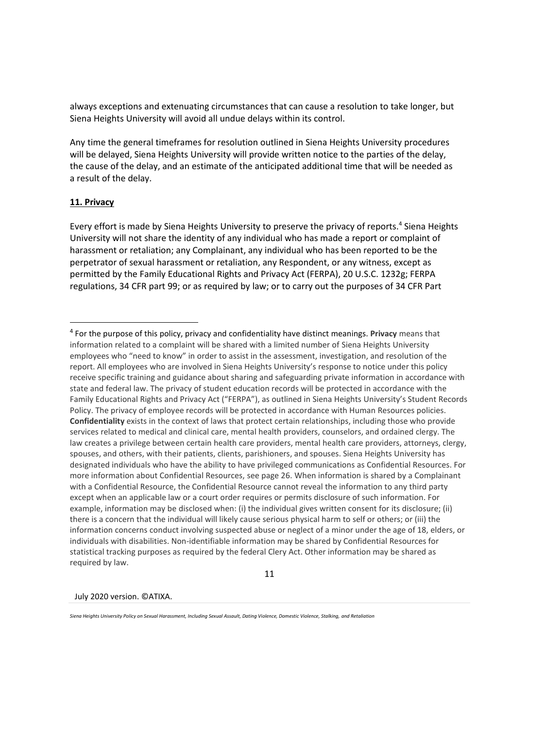always exceptions and extenuating circumstances that can cause a resolution to take longer, but Siena Heights University will avoid all undue delays within its control.

Any time the general timeframes for resolution outlined in Siena Heights University procedures will be delayed, Siena Heights University will provide written notice to the parties of the delay, the cause of the delay, and an estimate of the anticipated additional time that will be needed as a result of the delay.

#### **11. Privacy**

Every effort is made by Siena Heights University to preserve the privacy of reports.<sup>4</sup> Siena Heights University will not share the identity of any individual who has made a report or complaint of harassment or retaliation; any Complainant, any individual who has been reported to be the perpetrator of sexual harassment or retaliation, any Respondent, or any witness, except as permitted by the Family Educational Rights and Privacy Act (FERPA), 20 U.S.C. 1232g; FERPA regulations, 34 CFR part 99; or as required by law; or to carry out the purposes of 34 CFR Part

11

July 2020 version. ©ATIXA.

<sup>4</sup> For the purpose of this policy, privacy and confidentiality have distinct meanings. **Privacy** means that information related to a complaint will be shared with a limited number of Siena Heights University employees who "need to know" in order to assist in the assessment, investigation, and resolution of the report. All employees who are involved in Siena Heights University's response to notice under this policy receive specific training and guidance about sharing and safeguarding private information in accordance with state and federal law. The privacy of student education records will be protected in accordance with the Family Educational Rights and Privacy Act ("FERPA"), as outlined in Siena Heights University's Student Records Policy. The privacy of employee records will be protected in accordance with Human Resources policies. **Confidentiality** exists in the context of laws that protect certain relationships, including those who provide services related to medical and clinical care, mental health providers, counselors, and ordained clergy. The law creates a privilege between certain health care providers, mental health care providers, attorneys, clergy, spouses, and others, with their patients, clients, parishioners, and spouses. Siena Heights University has designated individuals who have the ability to have privileged communications as Confidential Resources. For more information about Confidential Resources, see page 26. When information is shared by a Complainant with a Confidential Resource, the Confidential Resource cannot reveal the information to any third party except when an applicable law or a court order requires or permits disclosure of such information. For example, information may be disclosed when: (i) the individual gives written consent for its disclosure; (ii) there is a concern that the individual will likely cause serious physical harm to self or others; or (iii) the information concerns conduct involving suspected abuse or neglect of a minor under the age of 18, elders, or individuals with disabilities. Non-identifiable information may be shared by Confidential Resources for statistical tracking purposes as required by the federal Clery Act. Other information may be shared as required by law.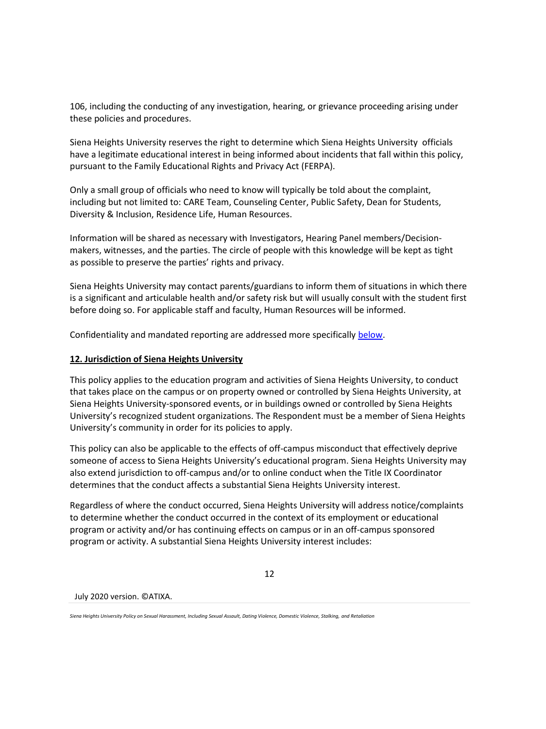106, including the conducting of any investigation, hearing, or grievance proceeding arising under these policies and procedures.

Siena Heights University reserves the right to determine which Siena Heights University officials have a legitimate educational interest in being informed about incidents that fall within this policy, pursuant to the Family Educational Rights and Privacy Act (FERPA).

Only a small group of officials who need to know will typically be told about the complaint, including but not limited to: CARE Team, Counseling Center, Public Safety, Dean for Students, Diversity & Inclusion, Residence Life, Human Resources.

Information will be shared as necessary with Investigators, Hearing Panel members/Decisionmakers, witnesses, and the parties. The circle of people with this knowledge will be kept as tight as possible to preserve the parties' rights and privacy.

Siena Heights University may contact parents/guardians to inform them of situations in which there is a significant and articulable health and/or safety risk but will usually consult with the student first before doing so. For applicable staff and faculty, Human Resources will be informed.

Confidentiality and mandated reporting are addressed more specifically [below.](#page-22-0)

## **12. Jurisdiction of Siena Heights University**

This policy applies to the education program and activities of Siena Heights University, to conduct that takes place on the campus or on property owned or controlled by Siena Heights University, at Siena Heights University-sponsored events, or in buildings owned or controlled by Siena Heights University's recognized student organizations. The Respondent must be a member of Siena Heights University's community in order for its policies to apply.

This policy can also be applicable to the effects of off-campus misconduct that effectively deprive someone of access to Siena Heights University's educational program. Siena Heights University may also extend jurisdiction to off-campus and/or to online conduct when the Title IX Coordinator determines that the conduct affects a substantial Siena Heights University interest.

Regardless of where the conduct occurred, Siena Heights University will address notice/complaints to determine whether the conduct occurred in the context of its employment or educational program or activity and/or has continuing effects on campus or in an off-campus sponsored program or activity. A substantial Siena Heights University interest includes:

12

July 2020 version. ©ATIXA.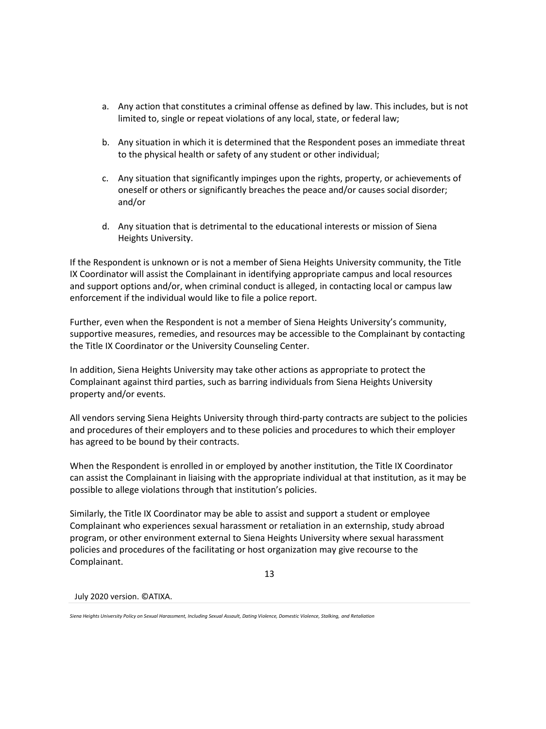- a. Any action that constitutes a criminal offense as defined by law. This includes, but is not limited to, single or repeat violations of any local, state, or federal law;
- b. Any situation in which it is determined that the Respondent poses an immediate threat to the physical health or safety of any student or other individual;
- c. Any situation that significantly impinges upon the rights, property, or achievements of oneself or others or significantly breaches the peace and/or causes social disorder; and/or
- d. Any situation that is detrimental to the educational interests or mission of Siena Heights University.

If the Respondent is unknown or is not a member of Siena Heights University community, the Title IX Coordinator will assist the Complainant in identifying appropriate campus and local resources and support options and/or, when criminal conduct is alleged, in contacting local or campus law enforcement if the individual would like to file a police report.

Further, even when the Respondent is not a member of Siena Heights University's community, supportive measures, remedies, and resources may be accessible to the Complainant by contacting the Title IX Coordinator or the University Counseling Center.

In addition, Siena Heights University may take other actions as appropriate to protect the Complainant against third parties, such as barring individuals from Siena Heights University property and/or events.

All vendors serving Siena Heights University through third-party contracts are subject to the policies and procedures of their employers and to these policies and procedures to which their employer has agreed to be bound by their contracts.

When the Respondent is enrolled in or employed by another institution, the Title IX Coordinator can assist the Complainant in liaising with the appropriate individual at that institution, as it may be possible to allege violations through that institution's policies.

Similarly, the Title IX Coordinator may be able to assist and support a student or employee Complainant who experiences sexual harassment or retaliation in an externship, study abroad program, or other environment external to Siena Heights University where sexual harassment policies and procedures of the facilitating or host organization may give recourse to the Complainant.

13

July 2020 version. ©ATIXA.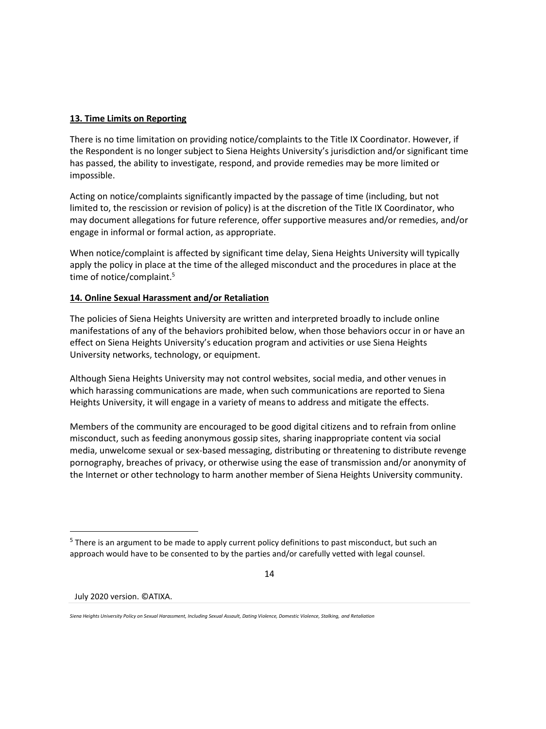### **13. Time Limits on Reporting**

There is no time limitation on providing notice/complaints to the Title IX Coordinator. However, if the Respondent is no longer subject to Siena Heights University's jurisdiction and/or significant time has passed, the ability to investigate, respond, and provide remedies may be more limited or impossible.

Acting on notice/complaints significantly impacted by the passage of time (including, but not limited to, the rescission or revision of policy) is at the discretion of the Title IX Coordinator, who may document allegations for future reference, offer supportive measures and/or remedies, and/or engage in informal or formal action, as appropriate.

When notice/complaint is affected by significant time delay, Siena Heights University will typically apply the policy in place at the time of the alleged misconduct and the procedures in place at the time of notice/complaint.<sup>5</sup>

## **14. Online Sexual Harassment and/or Retaliation**

The policies of Siena Heights University are written and interpreted broadly to include online manifestations of any of the behaviors prohibited below, when those behaviors occur in or have an effect on Siena Heights University's education program and activities or use Siena Heights University networks, technology, or equipment.

Although Siena Heights University may not control websites, social media, and other venues in which harassing communications are made, when such communications are reported to Siena Heights University, it will engage in a variety of means to address and mitigate the effects.

Members of the community are encouraged to be good digital citizens and to refrain from online misconduct, such as feeding anonymous gossip sites, sharing inappropriate content via social media, unwelcome sexual or sex-based messaging, distributing or threatening to distribute revenge pornography, breaches of privacy, or otherwise using the ease of transmission and/or anonymity of the Internet or other technology to harm another member of Siena Heights University community.

14

<sup>&</sup>lt;sup>5</sup> There is an argument to be made to apply current policy definitions to past misconduct, but such an approach would have to be consented to by the parties and/or carefully vetted with legal counsel.

*Siena Heights University Policy on Sexual Harassment, Including Sexual Assault, Dating Violence, Domestic Violence, Stalking, and Retaliation*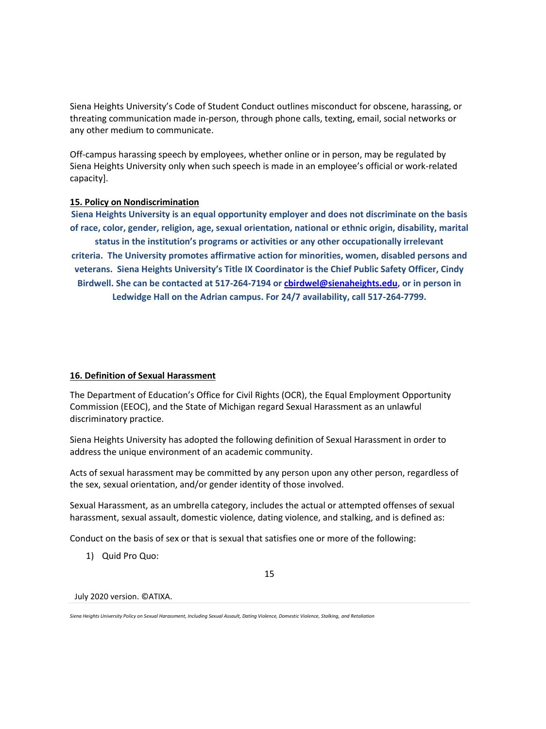Siena Heights University's Code of Student Conduct outlines misconduct for obscene, harassing, or threating communication made in-person, through phone calls, texting, email, social networks or any other medium to communicate.

Off-campus harassing speech by employees, whether online or in person, may be regulated by Siena Heights University only when such speech is made in an employee's official or work-related capacity].

### **15. Policy on Nondiscrimination**

**Siena Heights University is an equal opportunity employer and does not discriminate on the basis of race, color, gender, religion, age, sexual orientation, national or ethnic origin, disability, marital status in the institution's programs or activities or any other occupationally irrelevant criteria. The University promotes affirmative action for minorities, women, disabled persons and veterans. Siena Heights University's Title IX Coordinator is the Chief Public Safety Officer, Cindy Birdwell. She can be contacted at 517-264-7194 o[r cbirdwel@sienaheights.edu,](mailto:cbirdwel@sienaheights.edu) or in person in Ledwidge Hall on the Adrian campus. For 24/7 availability, call 517-264-7799.**

#### **16. Definition of Sexual Harassment**

The Department of Education's Office for Civil Rights (OCR), the Equal Employment Opportunity Commission (EEOC), and the State of Michigan regard Sexual Harassment as an unlawful discriminatory practice.

Siena Heights University has adopted the following definition of Sexual Harassment in order to address the unique environment of an academic community.

Acts of sexual harassment may be committed by any person upon any other person, regardless of the sex, sexual orientation, and/or gender identity of those involved.

Sexual Harassment, as an umbrella category, includes the actual or attempted offenses of sexual harassment, sexual assault, domestic violence, dating violence, and stalking, and is defined as:

Conduct on the basis of sex or that is sexual that satisfies one or more of the following:

1) Quid Pro Quo:

July 2020 version. ©ATIXA.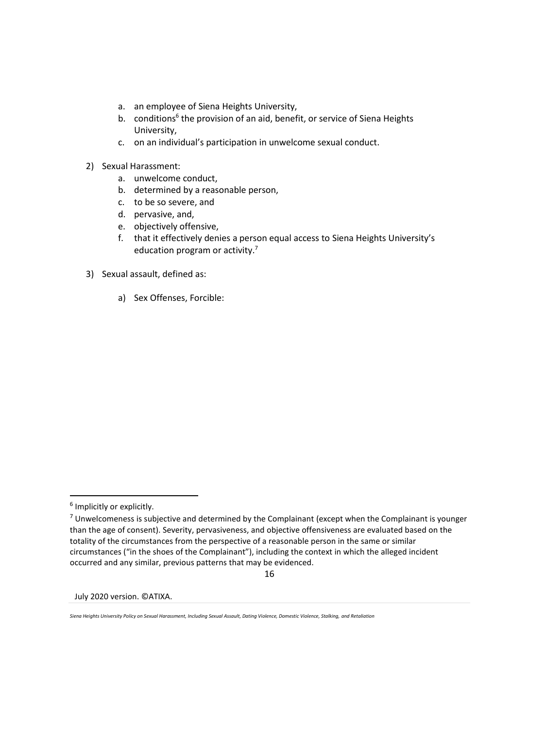- a. an employee of Siena Heights University,
- b. conditions<sup>6</sup> the provision of an aid, benefit, or service of Siena Heights University,
- c. on an individual's participation in unwelcome sexual conduct.
- 2) Sexual Harassment:
	- a. unwelcome conduct,
	- b. determined by a reasonable person,
	- c. to be so severe, and
	- d. pervasive, and,
	- e. objectively offensive,
	- f. that it effectively denies a person equal access to Siena Heights University's education program or activity.<sup>7</sup>
- 3) Sexual assault, defined as:
	- a) Sex Offenses, Forcible:

16

July 2020 version. ©ATIXA.

<sup>&</sup>lt;sup>6</sup> Implicitly or explicitly.

 $7$  Unwelcomeness is subjective and determined by the Complainant (except when the Complainant is younger than the age of consent). Severity, pervasiveness, and objective offensiveness are evaluated based on the totality of the circumstances from the perspective of a reasonable person in the same or similar circumstances ("in the shoes of the Complainant"), including the context in which the alleged incident occurred and any similar, previous patterns that may be evidenced.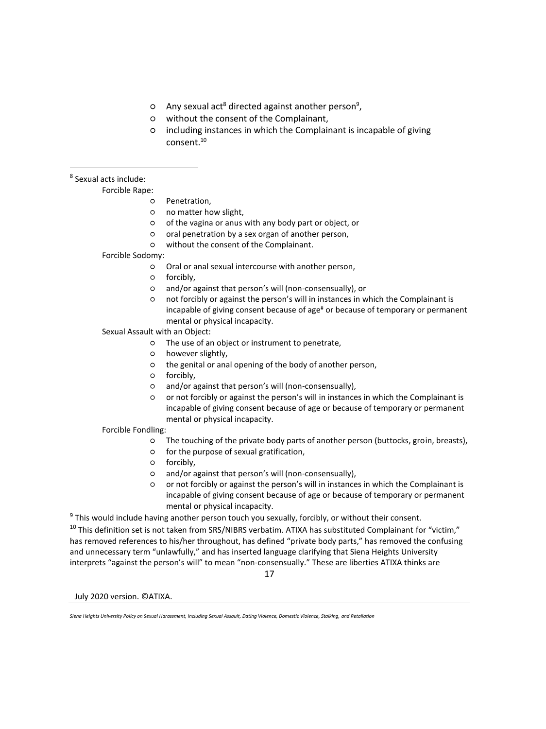- o Any sexual act<sup>8</sup> directed against another person<sup>9</sup>,
- without the consent of the Complainant,
- including instances in which the Complainant is incapable of giving consent.<sup>10</sup>

<sup>8</sup> Sexual acts include:

#### Forcible Rape:

- Penetration,
- no matter how slight,
- of the vagina or anus with any body part or object, or
- oral penetration by a sex organ of another person,
- without the consent of the Complainant.
- Forcible Sodomy:
	- Oral or anal sexual intercourse with another person,
	- o forcibly.
	- and/or against that person's will (non-consensually), or
	- not forcibly or against the person's will in instances in which the Complainant is incapable of giving consent because of age<sup>#</sup> or because of temporary or permanent mental or physical incapacity.

#### Sexual Assault with an Object:

- The use of an object or instrument to penetrate,
- however slightly,
- the genital or anal opening of the body of another person,
- forcibly,
- and/or against that person's will (non-consensually),
- or not forcibly or against the person's will in instances in which the Complainant is incapable of giving consent because of age or because of temporary or permanent mental or physical incapacity.

#### Forcible Fondling:

- The touching of the private body parts of another person (buttocks, groin, breasts),
- for the purpose of sexual gratification,
- forcibly,
- and/or against that person's will (non-consensually),
- or not forcibly or against the person's will in instances in which the Complainant is incapable of giving consent because of age or because of temporary or permanent mental or physical incapacity.

<sup>9</sup> This would include having another person touch you sexually, forcibly, or without their consent.

<sup>10</sup> This definition set is not taken from SRS/NIBRS verbatim. ATIXA has substituted Complainant for "victim," has removed references to his/her throughout, has defined "private body parts," has removed the confusing and unnecessary term "unlawfully," and has inserted language clarifying that Siena Heights University interprets "against the person's will" to mean "non-consensually." These are liberties ATIXA thinks are

17

*Siena Heights University Policy on Sexual Harassment, Including Sexual Assault, Dating Violence, Domestic Violence, Stalking, and Retaliation*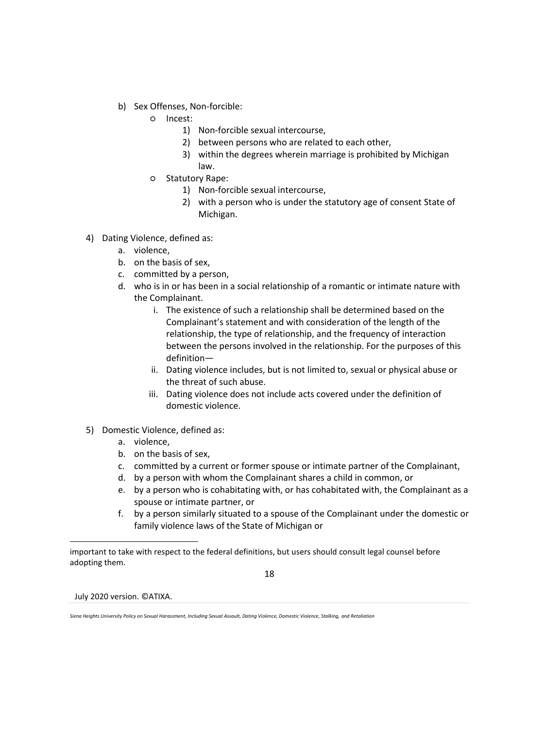- b) Sex Offenses, Non-forcible:
	- Incest:
		- 1) Non-forcible sexual intercourse,
		- 2) between persons who are related to each other,
		- 3) within the degrees wherein marriage is prohibited by Michigan law.
	- Statutory Rape:
		- 1) Non-forcible sexual intercourse,
		- 2) with a person who is under the statutory age of consent State of Michigan.
- 4) Dating Violence, defined as:
	- a. violence,
	- b. on the basis of sex,
	- c. committed by a person,
	- d. who is in or has been in a social relationship of a romantic or intimate nature with the Complainant.
		- i. The existence of such a relationship shall be determined based on the Complainant's statement and with consideration of the length of the relationship, the type of relationship, and the frequency of interaction between the persons involved in the relationship. For the purposes of this definition—
		- ii. Dating violence includes, but is not limited to, sexual or physical abuse or the threat of such abuse.
		- iii. Dating violence does not include acts covered under the definition of domestic violence.
- 5) Domestic Violence, defined as:
	- a. violence,
	- b. on the basis of sex,
	- c. committed by a current or former spouse or intimate partner of the Complainant,
	- d. by a person with whom the Complainant shares a child in common, or
	- e. by a person who is cohabitating with, or has cohabitated with, the Complainant as a spouse or intimate partner, or
	- f. by a person similarly situated to a spouse of the Complainant under the domestic or family violence laws of the State of Michigan or

18

important to take with respect to the federal definitions, but users should consult legal counsel before adopting them.

*Siena Heights University Policy on Sexual Harassment, Including Sexual Assault, Dating Violence, Domestic Violence, Stalking, and Retaliation*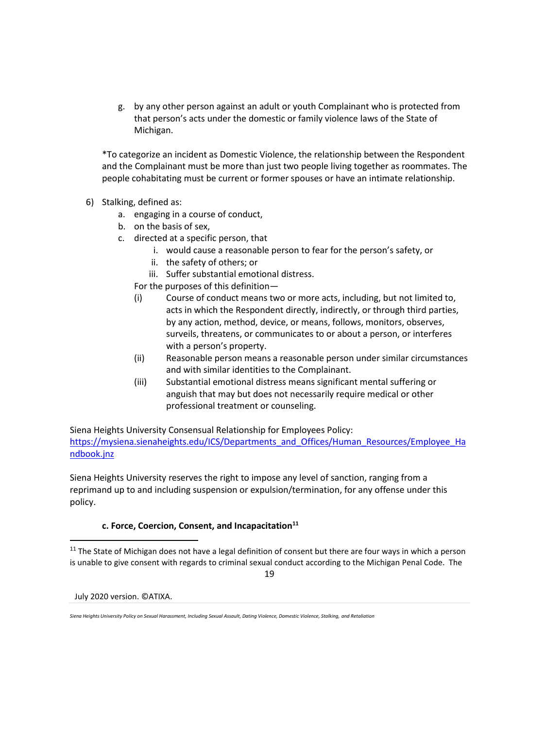g. by any other person against an adult or youth Complainant who is protected from that person's acts under the domestic or family violence laws of the State of Michigan.

\*To categorize an incident as Domestic Violence, the relationship between the Respondent and the Complainant must be more than just two people living together as roommates. The people cohabitating must be current or former spouses or have an intimate relationship.

- 6) Stalking, defined as:
	- a. engaging in a course of conduct,
	- b. on the basis of sex,
	- c. directed at a specific person, that
		- i. would cause a reasonable person to fear for the person's safety, or
		- ii. the safety of others; or
		- iii. Suffer substantial emotional distress.
		- For the purposes of this definition—
		- (i) Course of conduct means two or more acts, including, but not limited to, acts in which the Respondent directly, indirectly, or through third parties, by any action, method, device, or means, follows, monitors, observes, surveils, threatens, or communicates to or about a person, or interferes with a person's property.
		- (ii) Reasonable person means a reasonable person under similar circumstances and with similar identities to the Complainant.
		- (iii) Substantial emotional distress means significant mental suffering or anguish that may but does not necessarily require medical or other professional treatment or counseling.

Siena Heights University Consensual Relationship for Employees Policy: [https://mysiena.sienaheights.edu/ICS/Departments\\_and\\_Offices/Human\\_Resources/Employee\\_Ha](https://mysiena.sienaheights.edu/ICS/Departments_and_Offices/Human_Resources/Employee_Handbook.jnz) [ndbook.jnz](https://mysiena.sienaheights.edu/ICS/Departments_and_Offices/Human_Resources/Employee_Handbook.jnz)

Siena Heights University reserves the right to impose any level of sanction, ranging from a reprimand up to and including suspension or expulsion/termination, for any offense under this policy.

# **c. Force, Coercion, Consent, and Incapacitation<sup>11</sup>**

<sup>11</sup> The State of Michigan does not have a legal definition of consent but there are four ways in which a person is unable to give consent with regards to criminal sexual conduct according to the Michigan Penal Code. The

19

*Siena Heights University Policy on Sexual Harassment, Including Sexual Assault, Dating Violence, Domestic Violence, Stalking, and Retaliation*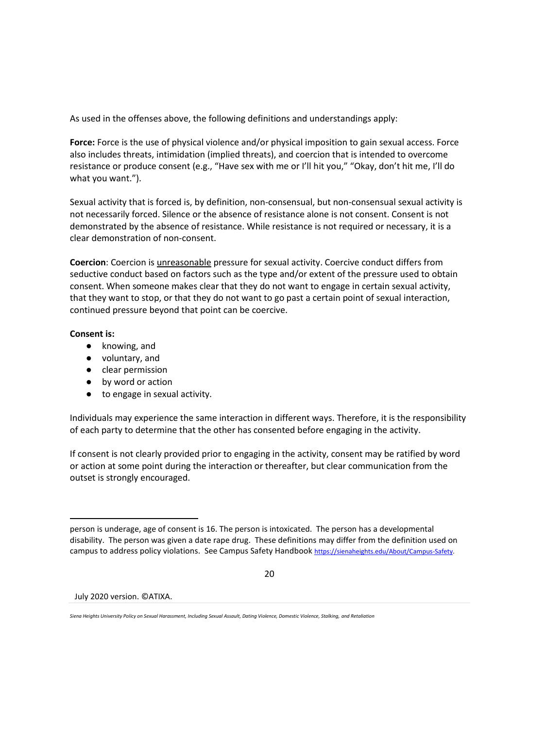As used in the offenses above, the following definitions and understandings apply:

**Force:** Force is the use of physical violence and/or physical imposition to gain sexual access. Force also includes threats, intimidation (implied threats), and coercion that is intended to overcome resistance or produce consent (e.g., "Have sex with me or I'll hit you," "Okay, don't hit me, I'll do what you want.").

Sexual activity that is forced is, by definition, non-consensual, but non-consensual sexual activity is not necessarily forced. Silence or the absence of resistance alone is not consent. Consent is not demonstrated by the absence of resistance. While resistance is not required or necessary, it is a clear demonstration of non-consent.

**Coercion**: Coercion is unreasonable pressure for sexual activity. Coercive conduct differs from seductive conduct based on factors such as the type and/or extent of the pressure used to obtain consent. When someone makes clear that they do not want to engage in certain sexual activity, that they want to stop, or that they do not want to go past a certain point of sexual interaction, continued pressure beyond that point can be coercive.

### **Consent is:**

- knowing, and
- voluntary, and
- clear permission
- by word or action
- to engage in sexual activity.

Individuals may experience the same interaction in different ways. Therefore, it is the responsibility of each party to determine that the other has consented before engaging in the activity.

If consent is not clearly provided prior to engaging in the activity, consent may be ratified by word or action at some point during the interaction or thereafter, but clear communication from the outset is strongly encouraged.

20

person is underage, age of consent is 16. The person is intoxicated. The person has a developmental disability. The person was given a date rape drug. These definitions may differ from the definition used on campus to address policy violations. See Campus Safety Handbook [https://sienaheights.edu/About/Campus-Safety.](https://sienaheights.edu/About/Campus-Safety)

*Siena Heights University Policy on Sexual Harassment, Including Sexual Assault, Dating Violence, Domestic Violence, Stalking, and Retaliation*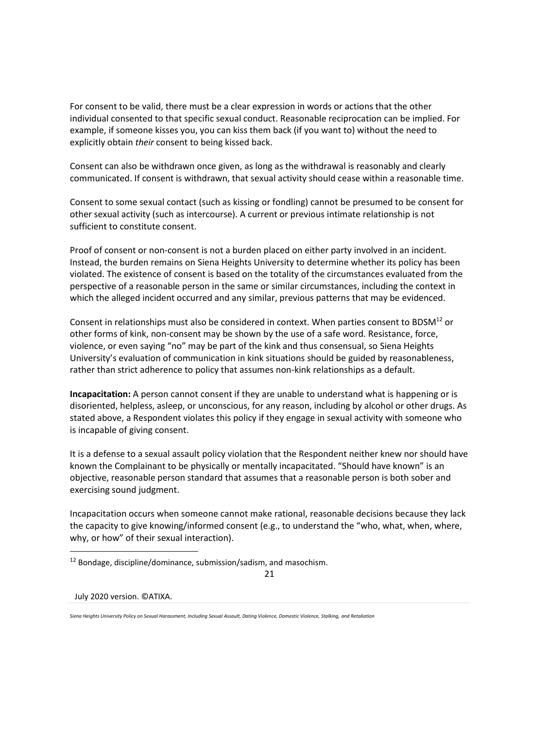For consent to be valid, there must be a clear expression in words or actions that the other individual consented to that specific sexual conduct. Reasonable reciprocation can be implied. For example, if someone kisses you, you can kiss them back (if you want to) without the need to explicitly obtain *their* consent to being kissed back.

Consent can also be withdrawn once given, as long as the withdrawal is reasonably and clearly communicated. If consent is withdrawn, that sexual activity should cease within a reasonable time.

Consent to some sexual contact (such as kissing or fondling) cannot be presumed to be consent for other sexual activity (such as intercourse). A current or previous intimate relationship is not sufficient to constitute consent.

Proof of consent or non-consent is not a burden placed on either party involved in an incident. Instead, the burden remains on Siena Heights University to determine whether its policy has been violated. The existence of consent is based on the totality of the circumstances evaluated from the perspective of a reasonable person in the same or similar circumstances, including the context in which the alleged incident occurred and any similar, previous patterns that may be evidenced.

Consent in relationships must also be considered in context. When parties consent to BDSM<sup>12</sup> or other forms of kink, non-consent may be shown by the use of a safe word. Resistance, force, violence, or even saying "no" may be part of the kink and thus consensual, so Siena Heights University's evaluation of communication in kink situations should be guided by reasonableness, rather than strict adherence to policy that assumes non-kink relationships as a default.

**Incapacitation:** A person cannot consent if they are unable to understand what is happening or is disoriented, helpless, asleep, or unconscious, for any reason, including by alcohol or other drugs. As stated above, a Respondent violates this policy if they engage in sexual activity with someone who is incapable of giving consent.

It is a defense to a sexual assault policy violation that the Respondent neither knew nor should have known the Complainant to be physically or mentally incapacitated. "Should have known" is an objective, reasonable person standard that assumes that a reasonable person is both sober and exercising sound judgment.

Incapacitation occurs when someone cannot make rational, reasonable decisions because they lack the capacity to give knowing/informed consent (e.g., to understand the "who, what, when, where, why, or how" of their sexual interaction).

21

 $12$  Bondage, discipline/dominance, submission/sadism, and masochism.

*Siena Heights University Policy on Sexual Harassment, Including Sexual Assault, Dating Violence, Domestic Violence, Stalking, and Retaliation*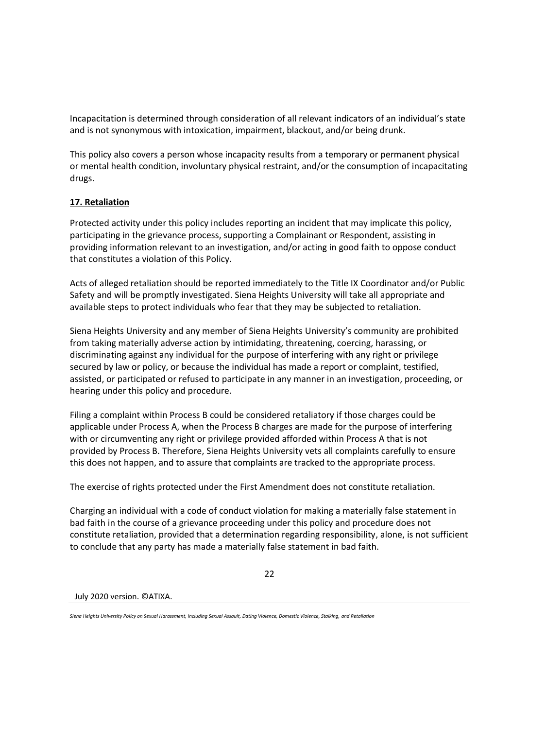Incapacitation is determined through consideration of all relevant indicators of an individual's state and is not synonymous with intoxication, impairment, blackout, and/or being drunk.

This policy also covers a person whose incapacity results from a temporary or permanent physical or mental health condition, involuntary physical restraint, and/or the consumption of incapacitating drugs.

# **17. Retaliation**

Protected activity under this policy includes reporting an incident that may implicate this policy, participating in the grievance process, supporting a Complainant or Respondent, assisting in providing information relevant to an investigation, and/or acting in good faith to oppose conduct that constitutes a violation of this Policy.

Acts of alleged retaliation should be reported immediately to the Title IX Coordinator and/or Public Safety and will be promptly investigated. Siena Heights University will take all appropriate and available steps to protect individuals who fear that they may be subjected to retaliation.

Siena Heights University and any member of Siena Heights University's community are prohibited from taking materially adverse action by intimidating, threatening, coercing, harassing, or discriminating against any individual for the purpose of interfering with any right or privilege secured by law or policy, or because the individual has made a report or complaint, testified, assisted, or participated or refused to participate in any manner in an investigation, proceeding, or hearing under this policy and procedure.

Filing a complaint within Process B could be considered retaliatory if those charges could be applicable under Process A, when the Process B charges are made for the purpose of interfering with or circumventing any right or privilege provided afforded within Process A that is not provided by Process B. Therefore, Siena Heights University vets all complaints carefully to ensure this does not happen, and to assure that complaints are tracked to the appropriate process.

The exercise of rights protected under the First Amendment does not constitute retaliation.

Charging an individual with a code of conduct violation for making a materially false statement in bad faith in the course of a grievance proceeding under this policy and procedure does not constitute retaliation, provided that a determination regarding responsibility, alone, is not sufficient to conclude that any party has made a materially false statement in bad faith.

<span id="page-22-0"></span>22

July 2020 version. ©ATIXA.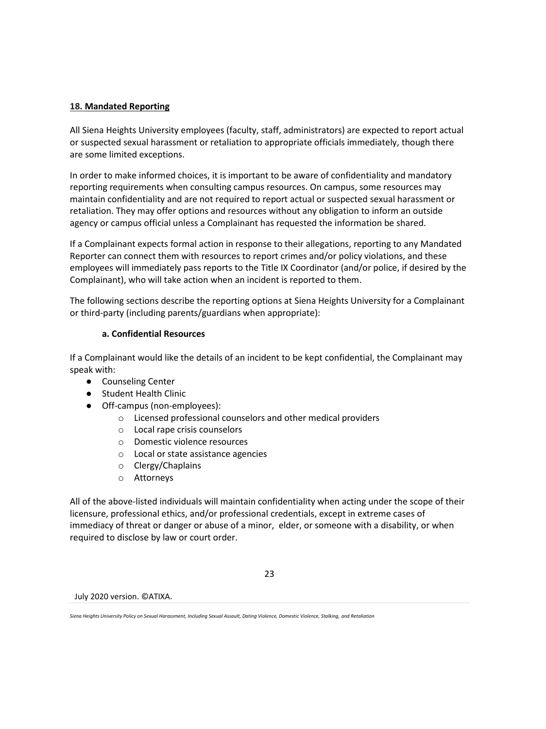## **18. Mandated Reporting**

All Siena Heights University employees (faculty, staff, administrators) are expected to report actual or suspected sexual harassment or retaliation to appropriate officials immediately, though there are some limited exceptions.

In order to make informed choices, it is important to be aware of confidentiality and mandatory reporting requirements when consulting campus resources. On campus, some resources may maintain confidentiality and are not required to report actual or suspected sexual harassment or retaliation. They may offer options and resources without any obligation to inform an outside agency or campus official unless a Complainant has requested the information be shared.

If a Complainant expects formal action in response to their allegations, reporting to any Mandated Reporter can connect them with resources to report crimes and/or policy violations, and these employees will immediately pass reports to the Title IX Coordinator (and/or police, if desired by the Complainant), who will take action when an incident is reported to them.

The following sections describe the reporting options at Siena Heights University for a Complainant or third-party (including parents/guardians when appropriate):

### **a. Confidential Resources**

If a Complainant would like the details of an incident to be kept confidential, the Complainant may speak with:

- Counseling Center
- Student Health Clinic
- Off-campus (non-employees):
	- o Licensed professional counselors and other medical providers
	- o Local rape crisis counselors
	- o Domestic violence resources
	- o Local or state assistance agencies
	- o Clergy/Chaplains
	- o Attorneys

All of the above-listed individuals will maintain confidentiality when acting under the scope of their licensure, professional ethics, and/or professional credentials, except in extreme cases of immediacy of threat or danger or abuse of a minor, elder, or someone with a disability, or when required to disclose by law or court order.

23

July 2020 version. ©ATIXA.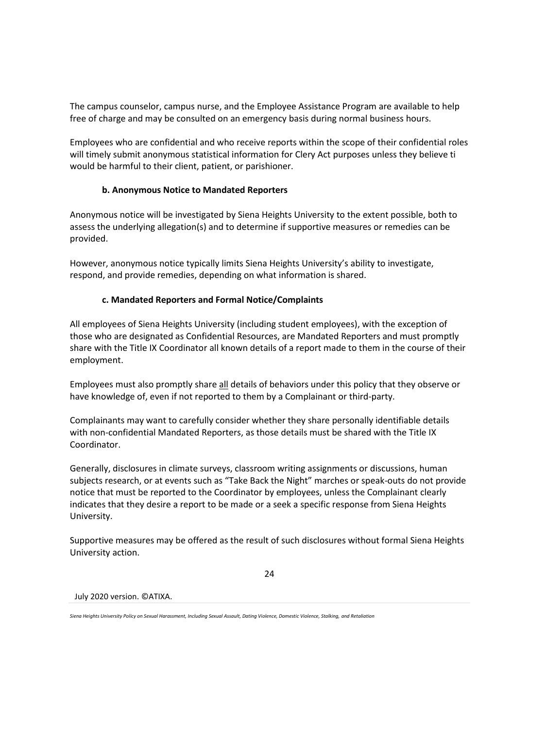The campus counselor, campus nurse, and the Employee Assistance Program are available to help free of charge and may be consulted on an emergency basis during normal business hours.

Employees who are confidential and who receive reports within the scope of their confidential roles will timely submit anonymous statistical information for Clery Act purposes unless they believe ti would be harmful to their client, patient, or parishioner.

# **b. Anonymous Notice to Mandated Reporters**

Anonymous notice will be investigated by Siena Heights University to the extent possible, both to assess the underlying allegation(s) and to determine if supportive measures or remedies can be provided.

However, anonymous notice typically limits Siena Heights University's ability to investigate, respond, and provide remedies, depending on what information is shared.

## **c. Mandated Reporters and Formal Notice/Complaints**

All employees of Siena Heights University (including student employees), with the exception of those who are designated as Confidential Resources, are Mandated Reporters and must promptly share with the Title IX Coordinator all known details of a report made to them in the course of their employment.

Employees must also promptly share all details of behaviors under this policy that they observe or have knowledge of, even if not reported to them by a Complainant or third-party.

Complainants may want to carefully consider whether they share personally identifiable details with non-confidential Mandated Reporters, as those details must be shared with the Title IX Coordinator.

Generally, disclosures in climate surveys, classroom writing assignments or discussions, human subjects research, or at events such as "Take Back the Night" marches or speak-outs do not provide notice that must be reported to the Coordinator by employees, unless the Complainant clearly indicates that they desire a report to be made or a seek a specific response from Siena Heights University.

Supportive measures may be offered as the result of such disclosures without formal Siena Heights University action.

#### 24

July 2020 version. ©ATIXA.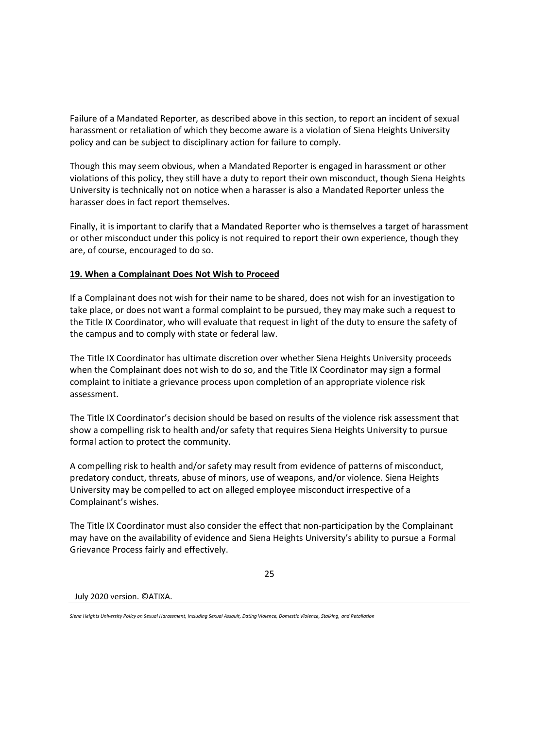Failure of a Mandated Reporter, as described above in this section, to report an incident of sexual harassment or retaliation of which they become aware is a violation of Siena Heights University policy and can be subject to disciplinary action for failure to comply.

Though this may seem obvious, when a Mandated Reporter is engaged in harassment or other violations of this policy, they still have a duty to report their own misconduct, though Siena Heights University is technically not on notice when a harasser is also a Mandated Reporter unless the harasser does in fact report themselves.

Finally, it is important to clarify that a Mandated Reporter who is themselves a target of harassment or other misconduct under this policy is not required to report their own experience, though they are, of course, encouraged to do so.

## **19. When a Complainant Does Not Wish to Proceed**

If a Complainant does not wish for their name to be shared, does not wish for an investigation to take place, or does not want a formal complaint to be pursued, they may make such a request to the Title IX Coordinator, who will evaluate that request in light of the duty to ensure the safety of the campus and to comply with state or federal law.

The Title IX Coordinator has ultimate discretion over whether Siena Heights University proceeds when the Complainant does not wish to do so, and the Title IX Coordinator may sign a formal complaint to initiate a grievance process upon completion of an appropriate violence risk assessment.

The Title IX Coordinator's decision should be based on results of the violence risk assessment that show a compelling risk to health and/or safety that requires Siena Heights University to pursue formal action to protect the community.

A compelling risk to health and/or safety may result from evidence of patterns of misconduct, predatory conduct, threats, abuse of minors, use of weapons, and/or violence. Siena Heights University may be compelled to act on alleged employee misconduct irrespective of a Complainant's wishes.

The Title IX Coordinator must also consider the effect that non-participation by the Complainant may have on the availability of evidence and Siena Heights University's ability to pursue a Formal Grievance Process fairly and effectively.

#### 25

July 2020 version. ©ATIXA.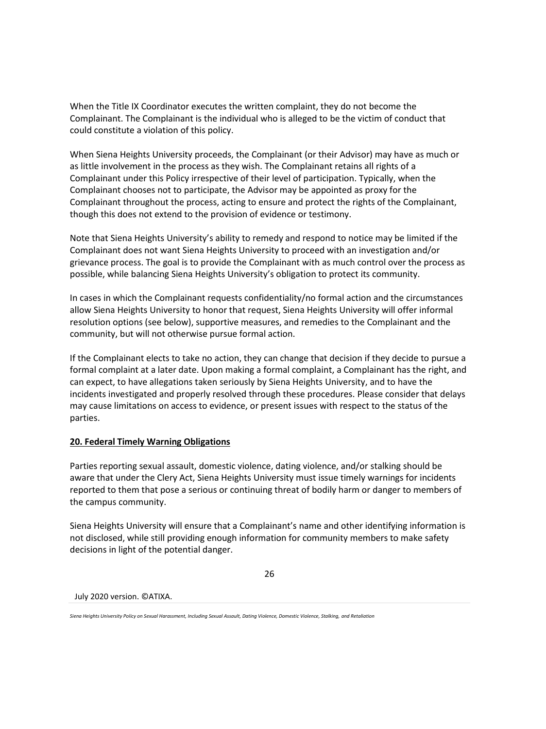When the Title IX Coordinator executes the written complaint, they do not become the Complainant. The Complainant is the individual who is alleged to be the victim of conduct that could constitute a violation of this policy.

When Siena Heights University proceeds, the Complainant (or their Advisor) may have as much or as little involvement in the process as they wish. The Complainant retains all rights of a Complainant under this Policy irrespective of their level of participation. Typically, when the Complainant chooses not to participate, the Advisor may be appointed as proxy for the Complainant throughout the process, acting to ensure and protect the rights of the Complainant, though this does not extend to the provision of evidence or testimony.

Note that Siena Heights University's ability to remedy and respond to notice may be limited if the Complainant does not want Siena Heights University to proceed with an investigation and/or grievance process. The goal is to provide the Complainant with as much control over the process as possible, while balancing Siena Heights University's obligation to protect its community.

In cases in which the Complainant requests confidentiality/no formal action and the circumstances allow Siena Heights University to honor that request, Siena Heights University will offer informal resolution options (see below), supportive measures, and remedies to the Complainant and the community, but will not otherwise pursue formal action.

If the Complainant elects to take no action, they can change that decision if they decide to pursue a formal complaint at a later date. Upon making a formal complaint, a Complainant has the right, and can expect, to have allegations taken seriously by Siena Heights University, and to have the incidents investigated and properly resolved through these procedures. Please consider that delays may cause limitations on access to evidence, or present issues with respect to the status of the parties.

### **20. Federal Timely Warning Obligations**

Parties reporting sexual assault, domestic violence, dating violence, and/or stalking should be aware that under the Clery Act, Siena Heights University must issue timely warnings for incidents reported to them that pose a serious or continuing threat of bodily harm or danger to members of the campus community.

Siena Heights University will ensure that a Complainant's name and other identifying information is not disclosed, while still providing enough information for community members to make safety decisions in light of the potential danger.

26

July 2020 version. ©ATIXA.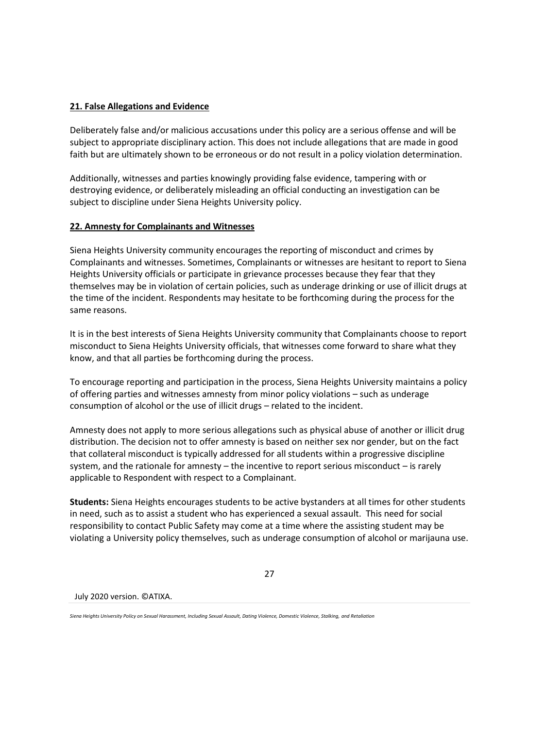## **21. False Allegations and Evidence**

Deliberately false and/or malicious accusations under this policy are a serious offense and will be subject to appropriate disciplinary action. This does not include allegations that are made in good faith but are ultimately shown to be erroneous or do not result in a policy violation determination.

Additionally, witnesses and parties knowingly providing false evidence, tampering with or destroying evidence, or deliberately misleading an official conducting an investigation can be subject to discipline under Siena Heights University policy.

## **22. Amnesty for Complainants and Witnesses**

Siena Heights University community encourages the reporting of misconduct and crimes by Complainants and witnesses. Sometimes, Complainants or witnesses are hesitant to report to Siena Heights University officials or participate in grievance processes because they fear that they themselves may be in violation of certain policies, such as underage drinking or use of illicit drugs at the time of the incident. Respondents may hesitate to be forthcoming during the process for the same reasons.

It is in the best interests of Siena Heights University community that Complainants choose to report misconduct to Siena Heights University officials, that witnesses come forward to share what they know, and that all parties be forthcoming during the process.

To encourage reporting and participation in the process, Siena Heights University maintains a policy of offering parties and witnesses amnesty from minor policy violations – such as underage consumption of alcohol or the use of illicit drugs – related to the incident.

Amnesty does not apply to more serious allegations such as physical abuse of another or illicit drug distribution. The decision not to offer amnesty is based on neither sex nor gender, but on the fact that collateral misconduct is typically addressed for all students within a progressive discipline system, and the rationale for amnesty – the incentive to report serious misconduct – is rarely applicable to Respondent with respect to a Complainant.

**Students:** Siena Heights encourages students to be active bystanders at all times for other students in need, such as to assist a student who has experienced a sexual assault. This need for social responsibility to contact Public Safety may come at a time where the assisting student may be violating a University policy themselves, such as underage consumption of alcohol or marijauna use.

27

July 2020 version. ©ATIXA.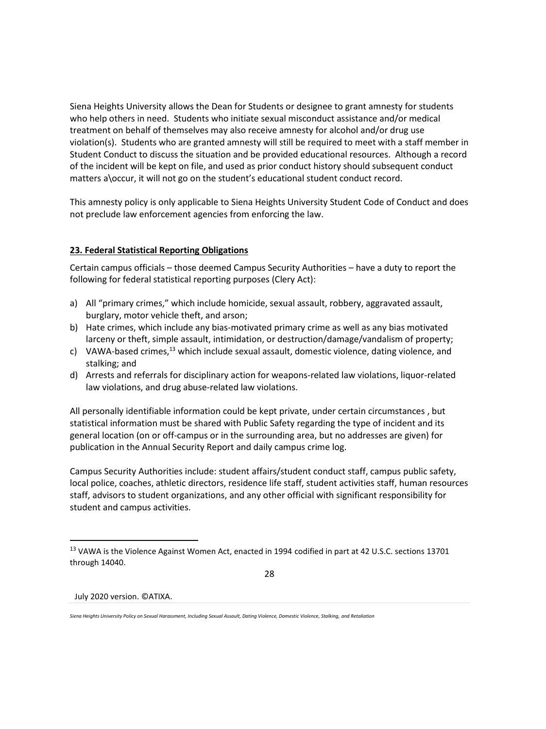Siena Heights University allows the Dean for Students or designee to grant amnesty for students who help others in need. Students who initiate sexual misconduct assistance and/or medical treatment on behalf of themselves may also receive amnesty for alcohol and/or drug use violation(s). Students who are granted amnesty will still be required to meet with a staff member in Student Conduct to discuss the situation and be provided educational resources. Although a record of the incident will be kept on file, and used as prior conduct history should subsequent conduct matters a\occur, it will not go on the student's educational student conduct record.

This amnesty policy is only applicable to Siena Heights University Student Code of Conduct and does not preclude law enforcement agencies from enforcing the law.

## **23. Federal Statistical Reporting Obligations**

Certain campus officials – those deemed Campus Security Authorities – have a duty to report the following for federal statistical reporting purposes (Clery Act):

- a) All "primary crimes," which include homicide, sexual assault, robbery, aggravated assault, burglary, motor vehicle theft, and arson;
- b) Hate crimes, which include any bias-motivated primary crime as well as any bias motivated larceny or theft, simple assault, intimidation, or destruction/damage/vandalism of property;
- c) VAWA-based crimes, $^{13}$  which include sexual assault, domestic violence, dating violence, and stalking; and
- d) Arrests and referrals for disciplinary action for weapons-related law violations, liquor-related law violations, and drug abuse-related law violations.

All personally identifiable information could be kept private, under certain circumstances , but statistical information must be shared with Public Safety regarding the type of incident and its general location (on or off-campus or in the surrounding area, but no addresses are given) for publication in the Annual Security Report and daily campus crime log.

Campus Security Authorities include: student affairs/student conduct staff, campus public safety, local police, coaches, athletic directors, residence life staff, student activities staff, human resources staff, advisors to student organizations, and any other official with significant responsibility for student and campus activities.

28

<sup>13</sup> VAWA is the Violence Against Women Act, enacted in 1994 codified in part at 42 U.S.C. sections 13701 through 14040.

*Siena Heights University Policy on Sexual Harassment, Including Sexual Assault, Dating Violence, Domestic Violence, Stalking, and Retaliation*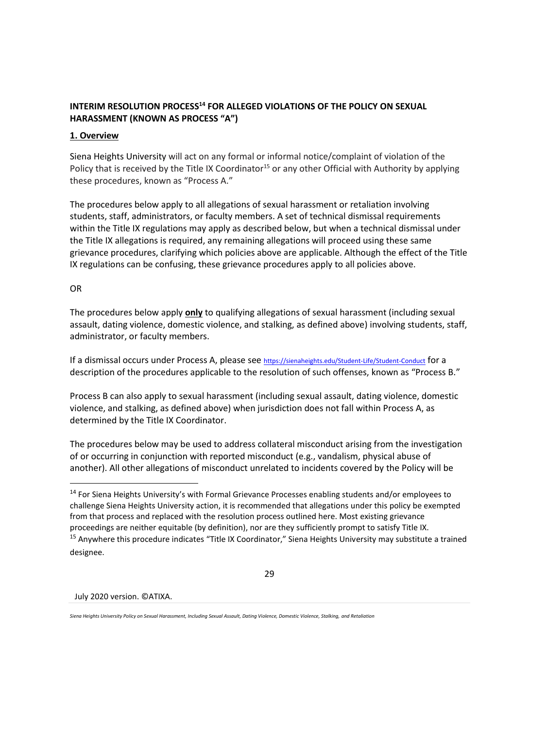# **INTERIM RESOLUTION PROCESS<sup>14</sup> FOR ALLEGED VIOLATIONS OF THE POLICY ON SEXUAL HARASSMENT (KNOWN AS PROCESS "A")**

### **1. Overview**

Siena Heights University will act on any formal or informal notice/complaint of violation of the Policy that is received by the Title IX Coordinator<sup>15</sup> or any other Official with Authority by applying these procedures, known as "Process A."

The procedures below apply to all allegations of sexual harassment or retaliation involving students, staff, administrators, or faculty members. A set of technical dismissal requirements within the Title IX regulations may apply as described below, but when a technical dismissal under the Title IX allegations is required, any remaining allegations will proceed using these same grievance procedures, clarifying which policies above are applicable. Although the effect of the Title IX regulations can be confusing, these grievance procedures apply to all policies above.

## OR

The procedures below apply **only** to qualifying allegations of sexual harassment (including sexual assault, dating violence, domestic violence, and stalking, as defined above) involving students, staff, administrator, or faculty members.

If a dismissal occurs under Process A, please see <https://sienaheights.edu/Student-Life/Student-Conduct> for a description of the procedures applicable to the resolution of such offenses, known as "Process B."

Process B can also apply to sexual harassment (including sexual assault, dating violence, domestic violence, and stalking, as defined above) when jurisdiction does not fall within Process A, as determined by the Title IX Coordinator.

The procedures below may be used to address collateral misconduct arising from the investigation of or occurring in conjunction with reported misconduct (e.g., vandalism, physical abuse of another). All other allegations of misconduct unrelated to incidents covered by the Policy will be

29

July 2020 version. ©ATIXA.

<sup>&</sup>lt;sup>14</sup> For Siena Heights University's with Formal Grievance Processes enabling students and/or employees to challenge Siena Heights University action, it is recommended that allegations under this policy be exempted from that process and replaced with the resolution process outlined here. Most existing grievance proceedings are neither equitable (by definition), nor are they sufficiently prompt to satisfy Title IX. <sup>15</sup> Anywhere this procedure indicates "Title IX Coordinator," Siena Heights University may substitute a trained designee.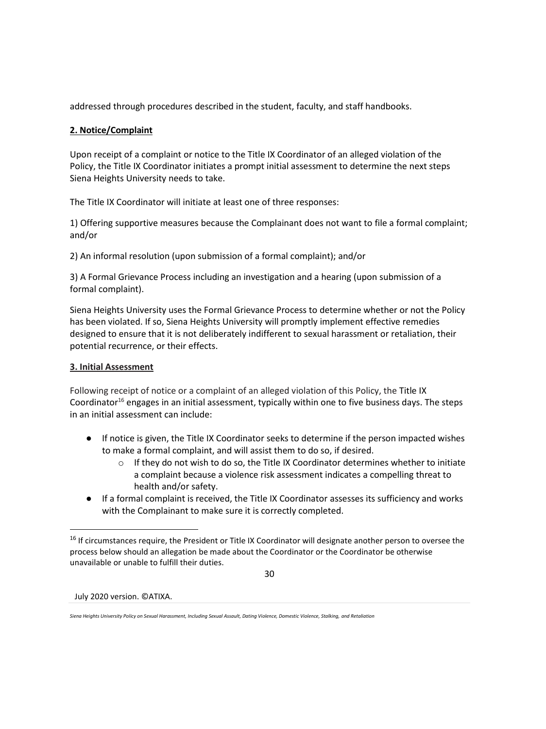addressed through procedures described in the student, faculty, and staff handbooks.

# **2. Notice/Complaint**

Upon receipt of a complaint or notice to the Title IX Coordinator of an alleged violation of the Policy, the Title IX Coordinator initiates a prompt initial assessment to determine the next steps Siena Heights University needs to take.

The Title IX Coordinator will initiate at least one of three responses:

1) Offering supportive measures because the Complainant does not want to file a formal complaint; and/or

2) An informal resolution (upon submission of a formal complaint); and/or

3) A Formal Grievance Process including an investigation and a hearing (upon submission of a formal complaint).

Siena Heights University uses the Formal Grievance Process to determine whether or not the Policy has been violated. If so, Siena Heights University will promptly implement effective remedies designed to ensure that it is not deliberately indifferent to sexual harassment or retaliation, their potential recurrence, or their effects.

# **3. Initial Assessment**

Following receipt of notice or a complaint of an alleged violation of this Policy, the Title IX Coordinator<sup>16</sup> engages in an initial assessment, typically within one to five business days. The steps in an initial assessment can include:

- If notice is given, the Title IX Coordinator seeks to determine if the person impacted wishes to make a formal complaint, and will assist them to do so, if desired.
	- $\circ$  If they do not wish to do so, the Title IX Coordinator determines whether to initiate a complaint because a violence risk assessment indicates a compelling threat to health and/or safety.
- If a formal complaint is received, the Title IX Coordinator assesses its sufficiency and works with the Complainant to make sure it is correctly completed.

30

<sup>&</sup>lt;sup>16</sup> If circumstances require, the President or Title IX Coordinator will designate another person to oversee the process below should an allegation be made about the Coordinator or the Coordinator be otherwise unavailable or unable to fulfill their duties.

*Siena Heights University Policy on Sexual Harassment, Including Sexual Assault, Dating Violence, Domestic Violence, Stalking, and Retaliation*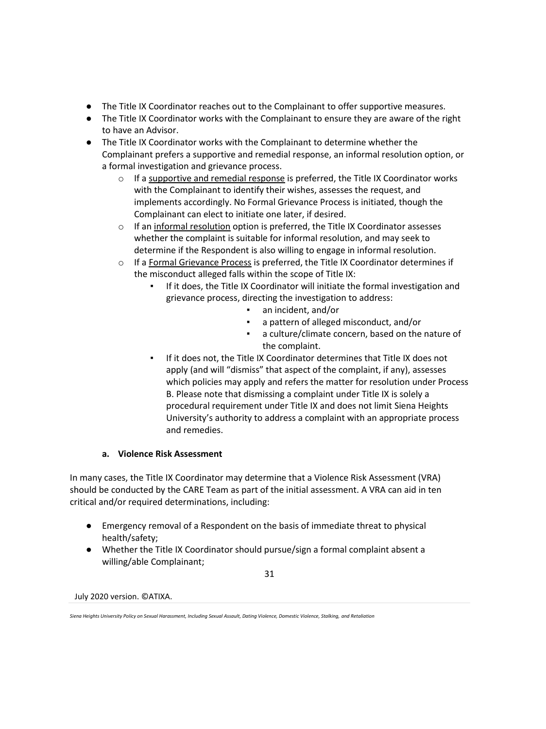- The Title IX Coordinator reaches out to the Complainant to offer supportive measures.
- The Title IX Coordinator works with the Complainant to ensure they are aware of the right to have an Advisor.
- The Title IX Coordinator works with the Complainant to determine whether the Complainant prefers a supportive and remedial response, an informal resolution option, or a formal investigation and grievance process.
	- $\circ$  If a supportive and remedial response is preferred, the Title IX Coordinator works with the Complainant to identify their wishes, assesses the request, and implements accordingly. No Formal Grievance Process is initiated, though the Complainant can elect to initiate one later, if desired.
	- o If an informal resolution option is preferred, the Title IX Coordinator assesses whether the complaint is suitable for informal resolution, and may seek to determine if the Respondent is also willing to engage in informal resolution.
	- o If a Formal Grievance Process is preferred, the Title IX Coordinator determines if the misconduct alleged falls within the scope of Title IX:
		- If it does, the Title IX Coordinator will initiate the formal investigation and grievance process, directing the investigation to address:
			- an incident, and/or
			- a pattern of alleged misconduct, and/or
			- a culture/climate concern, based on the nature of the complaint.
		- If it does not, the Title IX Coordinator determines that Title IX does not apply (and will "dismiss" that aspect of the complaint, if any), assesses which policies may apply and refers the matter for resolution under Process B. Please note that dismissing a complaint under Title IX is solely a procedural requirement under Title IX and does not limit Siena Heights University's authority to address a complaint with an appropriate process and remedies.

# **a. Violence Risk Assessment**

In many cases, the Title IX Coordinator may determine that a Violence Risk Assessment (VRA) should be conducted by the CARE Team as part of the initial assessment. A VRA can aid in ten critical and/or required determinations, including:

- Emergency removal of a Respondent on the basis of immediate threat to physical health/safety;
- Whether the Title IX Coordinator should pursue/sign a formal complaint absent a willing/able Complainant;

31

*Siena Heights University Policy on Sexual Harassment, Including Sexual Assault, Dating Violence, Domestic Violence, Stalking, and Retaliation*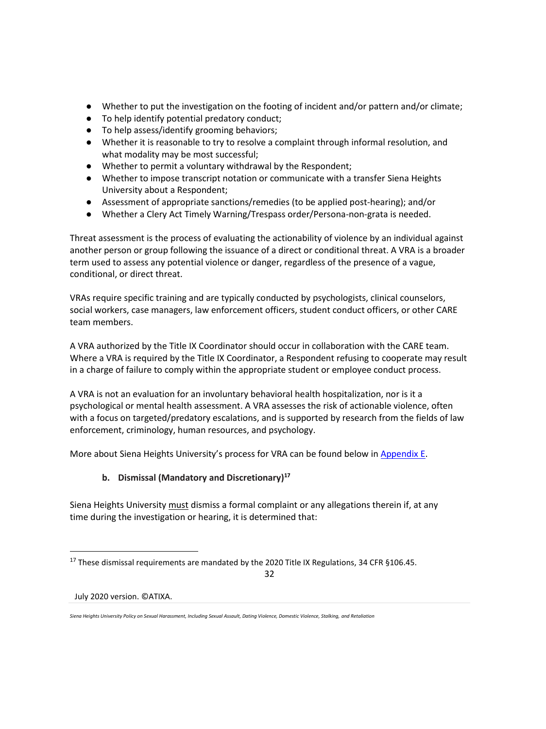- Whether to put the investigation on the footing of incident and/or pattern and/or climate;
- To help identify potential predatory conduct;
- To help assess/identify grooming behaviors;
- Whether it is reasonable to try to resolve a complaint through informal resolution, and what modality may be most successful;
- Whether to permit a voluntary withdrawal by the Respondent;
- Whether to impose transcript notation or communicate with a transfer Siena Heights University about a Respondent;
- Assessment of appropriate sanctions/remedies (to be applied post-hearing); and/or
- Whether a Clery Act Timely Warning/Trespass order/Persona-non-grata is needed.

Threat assessment is the process of evaluating the actionability of violence by an individual against another person or group following the issuance of a direct or conditional threat. A VRA is a broader term used to assess any potential violence or danger, regardless of the presence of a vague, conditional, or direct threat.

VRAs require specific training and are typically conducted by psychologists, clinical counselors, social workers, case managers, law enforcement officers, student conduct officers, or other CARE team members.

A VRA authorized by the Title IX Coordinator should occur in collaboration with the CARE team. Where a VRA is required by the Title IX Coordinator, a Respondent refusing to cooperate may result in a charge of failure to comply within the appropriate student or employee conduct process.

A VRA is not an evaluation for an involuntary behavioral health hospitalization, nor is it a psychological or mental health assessment. A VRA assesses the risk of actionable violence, often with a focus on targeted/predatory escalations, and is supported by research from the fields of law enforcement, criminology, human resources, and psychology.

More about Siena Heights University's process for VRA can be found below in Appendix E.

# **b. Dismissal (Mandatory and Discretionary)<sup>17</sup>**

Siena Heights University must dismiss a formal complaint or any allegations therein if, at any time during the investigation or hearing, it is determined that:

32

<sup>&</sup>lt;sup>17</sup> These dismissal requirements are mandated by the 2020 Title IX Regulations, 34 CFR §106.45.

*Siena Heights University Policy on Sexual Harassment, Including Sexual Assault, Dating Violence, Domestic Violence, Stalking, and Retaliation*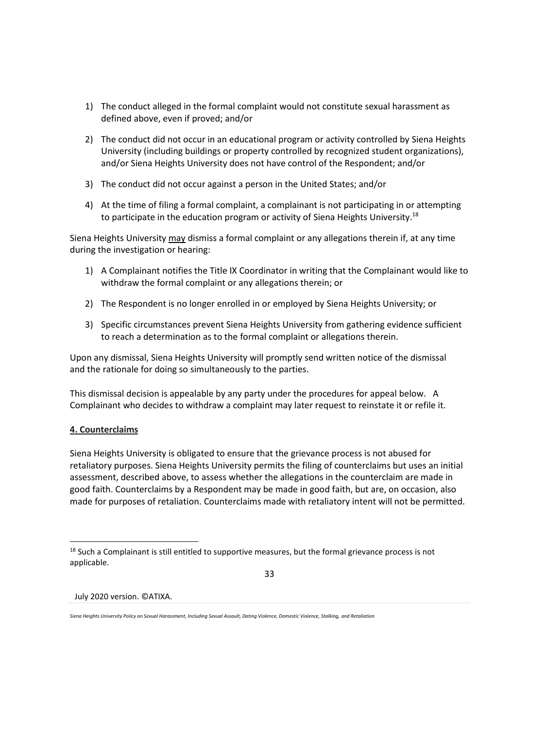- 1) The conduct alleged in the formal complaint would not constitute sexual harassment as defined above, even if proved; and/or
- 2) The conduct did not occur in an educational program or activity controlled by Siena Heights University (including buildings or property controlled by recognized student organizations), and/or Siena Heights University does not have control of the Respondent; and/or
- 3) The conduct did not occur against a person in the United States; and/or
- 4) At the time of filing a formal complaint, a complainant is not participating in or attempting to participate in the education program or activity of Siena Heights University.<sup>18</sup>

Siena Heights University may dismiss a formal complaint or any allegations therein if, at any time during the investigation or hearing:

- 1) A Complainant notifies the Title IX Coordinator in writing that the Complainant would like to withdraw the formal complaint or any allegations therein; or
- 2) The Respondent is no longer enrolled in or employed by Siena Heights University; or
- 3) Specific circumstances prevent Siena Heights University from gathering evidence sufficient to reach a determination as to the formal complaint or allegations therein.

Upon any dismissal, Siena Heights University will promptly send written notice of the dismissal and the rationale for doing so simultaneously to the parties.

This dismissal decision is appealable by any party under the procedures for appeal below. A Complainant who decides to withdraw a complaint may later request to reinstate it or refile it.

# **4. Counterclaims**

Siena Heights University is obligated to ensure that the grievance process is not abused for retaliatory purposes. Siena Heights University permits the filing of counterclaims but uses an initial assessment, described above, to assess whether the allegations in the counterclaim are made in good faith. Counterclaims by a Respondent may be made in good faith, but are, on occasion, also made for purposes of retaliation. Counterclaims made with retaliatory intent will not be permitted.

33

<sup>&</sup>lt;sup>18</sup> Such a Complainant is still entitled to supportive measures, but the formal grievance process is not applicable.

*Siena Heights University Policy on Sexual Harassment, Including Sexual Assault, Dating Violence, Domestic Violence, Stalking, and Retaliation*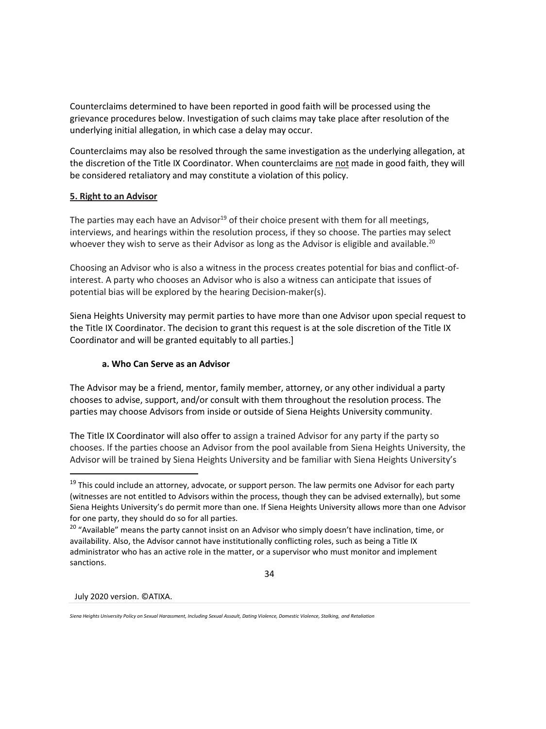Counterclaims determined to have been reported in good faith will be processed using the grievance procedures below. Investigation of such claims may take place after resolution of the underlying initial allegation, in which case a delay may occur.

Counterclaims may also be resolved through the same investigation as the underlying allegation, at the discretion of the Title IX Coordinator. When counterclaims are not made in good faith, they will be considered retaliatory and may constitute a violation of this policy.

# **5. Right to an Advisor**

The parties may each have an Advisor<sup>19</sup> of their choice present with them for all meetings, interviews, and hearings within the resolution process, if they so choose. The parties may select whoever they wish to serve as their Advisor as long as the Advisor is eligible and available.<sup>20</sup>

Choosing an Advisor who is also a witness in the process creates potential for bias and conflict-ofinterest. A party who chooses an Advisor who is also a witness can anticipate that issues of potential bias will be explored by the hearing Decision-maker(s).

Siena Heights University may permit parties to have more than one Advisor upon special request to the Title IX Coordinator. The decision to grant this request is at the sole discretion of the Title IX Coordinator and will be granted equitably to all parties.]

## **a. Who Can Serve as an Advisor**

The Advisor may be a friend, mentor, family member, attorney, or any other individual a party chooses to advise, support, and/or consult with them throughout the resolution process. The parties may choose Advisors from inside or outside of Siena Heights University community.

The Title IX Coordinator will also offer to assign a trained Advisor for any party if the party so chooses. If the parties choose an Advisor from the pool available from Siena Heights University, the Advisor will be trained by Siena Heights University and be familiar with Siena Heights University's

34

<sup>&</sup>lt;sup>19</sup> This could include an attorney, advocate, or support person. The law permits one Advisor for each party (witnesses are not entitled to Advisors within the process, though they can be advised externally), but some Siena Heights University's do permit more than one. If Siena Heights University allows more than one Advisor for one party, they should do so for all parties.

<sup>&</sup>lt;sup>20</sup> "Available" means the party cannot insist on an Advisor who simply doesn't have inclination, time, or availability. Also, the Advisor cannot have institutionally conflicting roles, such as being a Title IX administrator who has an active role in the matter, or a supervisor who must monitor and implement sanctions.

*Siena Heights University Policy on Sexual Harassment, Including Sexual Assault, Dating Violence, Domestic Violence, Stalking, and Retaliation*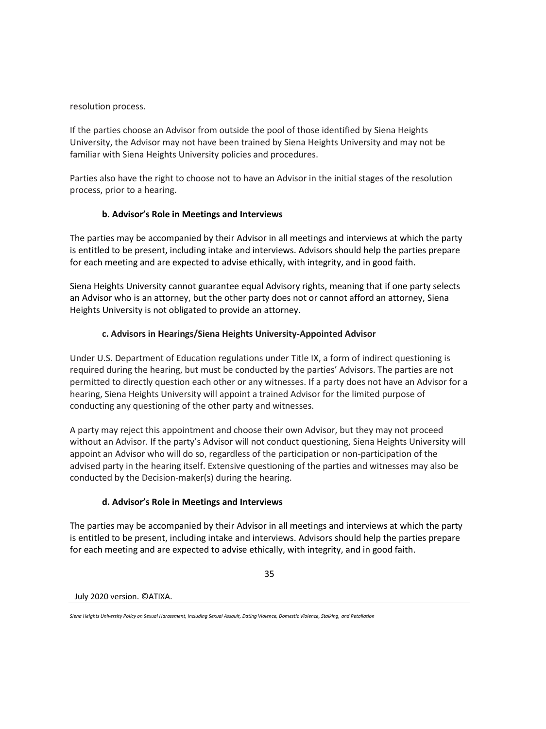resolution process.

If the parties choose an Advisor from outside the pool of those identified by Siena Heights University, the Advisor may not have been trained by Siena Heights University and may not be familiar with Siena Heights University policies and procedures.

Parties also have the right to choose not to have an Advisor in the initial stages of the resolution process, prior to a hearing.

# **b. Advisor's Role in Meetings and Interviews**

The parties may be accompanied by their Advisor in all meetings and interviews at which the party is entitled to be present, including intake and interviews. Advisors should help the parties prepare for each meeting and are expected to advise ethically, with integrity, and in good faith.

Siena Heights University cannot guarantee equal Advisory rights, meaning that if one party selects an Advisor who is an attorney, but the other party does not or cannot afford an attorney, Siena Heights University is not obligated to provide an attorney.

# **c. Advisors in Hearings/Siena Heights University-Appointed Advisor**

Under U.S. Department of Education regulations under Title IX, a form of indirect questioning is required during the hearing, but must be conducted by the parties' Advisors. The parties are not permitted to directly question each other or any witnesses. If a party does not have an Advisor for a hearing, Siena Heights University will appoint a trained Advisor for the limited purpose of conducting any questioning of the other party and witnesses.

A party may reject this appointment and choose their own Advisor, but they may not proceed without an Advisor. If the party's Advisor will not conduct questioning, Siena Heights University will appoint an Advisor who will do so, regardless of the participation or non-participation of the advised party in the hearing itself. Extensive questioning of the parties and witnesses may also be conducted by the Decision-maker(s) during the hearing.

# **d. Advisor's Role in Meetings and Interviews**

The parties may be accompanied by their Advisor in all meetings and interviews at which the party is entitled to be present, including intake and interviews. Advisors should help the parties prepare for each meeting and are expected to advise ethically, with integrity, and in good faith.

35

*Siena Heights University Policy on Sexual Harassment, Including Sexual Assault, Dating Violence, Domestic Violence, Stalking, and Retaliation*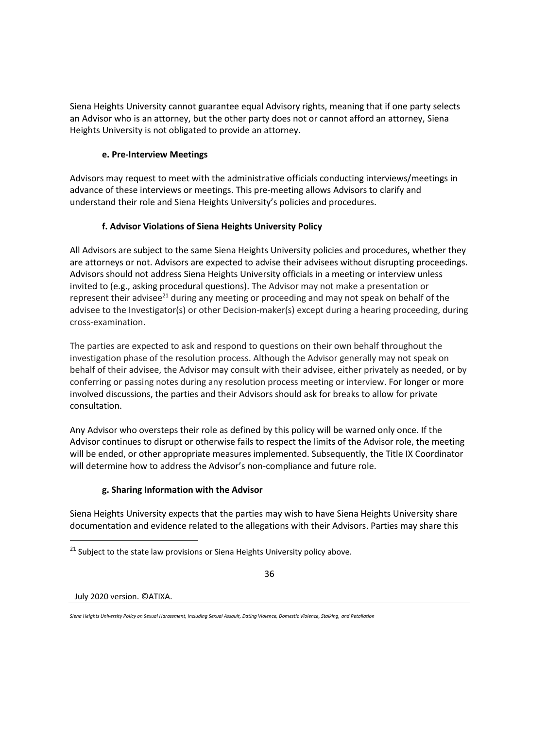Siena Heights University cannot guarantee equal Advisory rights, meaning that if one party selects an Advisor who is an attorney, but the other party does not or cannot afford an attorney, Siena Heights University is not obligated to provide an attorney.

## **e. Pre-Interview Meetings**

Advisors may request to meet with the administrative officials conducting interviews/meetings in advance of these interviews or meetings. This pre-meeting allows Advisors to clarify and understand their role and Siena Heights University's policies and procedures.

# **f. Advisor Violations of Siena Heights University Policy**

All Advisors are subject to the same Siena Heights University policies and procedures, whether they are attorneys or not. Advisors are expected to advise their advisees without disrupting proceedings. Advisors should not address Siena Heights University officials in a meeting or interview unless invited to (e.g., asking procedural questions). The Advisor may not make a presentation or represent their advisee $^{21}$  during any meeting or proceeding and may not speak on behalf of the advisee to the Investigator(s) or other Decision-maker(s) except during a hearing proceeding, during cross-examination.

The parties are expected to ask and respond to questions on their own behalf throughout the investigation phase of the resolution process. Although the Advisor generally may not speak on behalf of their advisee, the Advisor may consult with their advisee, either privately as needed, or by conferring or passing notes during any resolution process meeting or interview. For longer or more involved discussions, the parties and their Advisors should ask for breaks to allow for private consultation.

Any Advisor who oversteps their role as defined by this policy will be warned only once. If the Advisor continues to disrupt or otherwise fails to respect the limits of the Advisor role, the meeting will be ended, or other appropriate measures implemented. Subsequently, the Title IX Coordinator will determine how to address the Advisor's non-compliance and future role.

# **g. Sharing Information with the Advisor**

Siena Heights University expects that the parties may wish to have Siena Heights University share documentation and evidence related to the allegations with their Advisors. Parties may share this

 $21$  Subject to the state law provisions or Siena Heights University policy above.



*Siena Heights University Policy on Sexual Harassment, Including Sexual Assault, Dating Violence, Domestic Violence, Stalking, and Retaliation*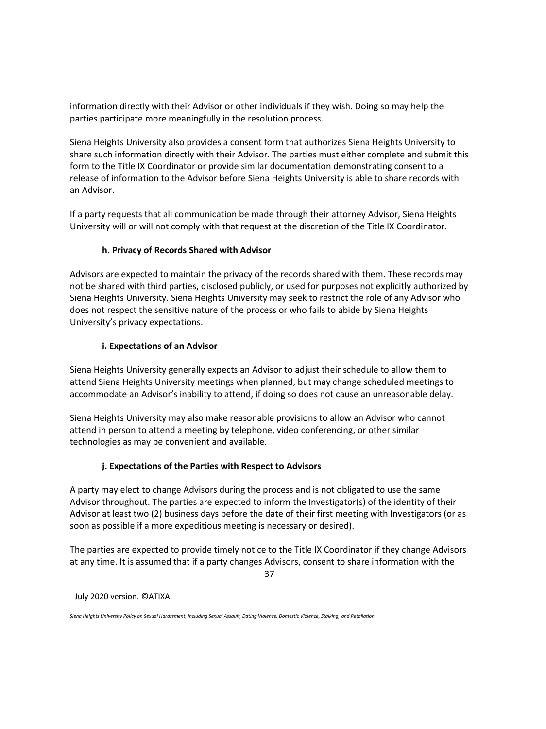information directly with their Advisor or other individuals if they wish. Doing so may help the parties participate more meaningfully in the resolution process.

Siena Heights University also provides a consent form that authorizes Siena Heights University to share such information directly with their Advisor. The parties must either complete and submit this form to the Title IX Coordinator or provide similar documentation demonstrating consent to a release of information to the Advisor before Siena Heights University is able to share records with an Advisor.

If a party requests that all communication be made through their attorney Advisor, Siena Heights University will or will not comply with that request at the discretion of the Title IX Coordinator.

## **h. Privacy of Records Shared with Advisor**

Advisors are expected to maintain the privacy of the records shared with them. These records may not be shared with third parties, disclosed publicly, or used for purposes not explicitly authorized by Siena Heights University. Siena Heights University may seek to restrict the role of any Advisor who does not respect the sensitive nature of the process or who fails to abide by Siena Heights University's privacy expectations.

## **i. Expectations of an Advisor**

Siena Heights University generally expects an Advisor to adjust their schedule to allow them to attend Siena Heights University meetings when planned, but may change scheduled meetings to accommodate an Advisor's inability to attend, if doing so does not cause an unreasonable delay.

Siena Heights University may also make reasonable provisions to allow an Advisor who cannot attend in person to attend a meeting by telephone, video conferencing, or other similar technologies as may be convenient and available.

# **j. Expectations of the Parties with Respect to Advisors**

A party may elect to change Advisors during the process and is not obligated to use the same Advisor throughout. The parties are expected to inform the Investigator(s) of the identity of their Advisor at least two (2) business days before the date of their first meeting with Investigators (or as soon as possible if a more expeditious meeting is necessary or desired).

The parties are expected to provide timely notice to the Title IX Coordinator if they change Advisors at any time. It is assumed that if a party changes Advisors, consent to share information with the

37

*Siena Heights University Policy on Sexual Harassment, Including Sexual Assault, Dating Violence, Domestic Violence, Stalking, and Retaliation*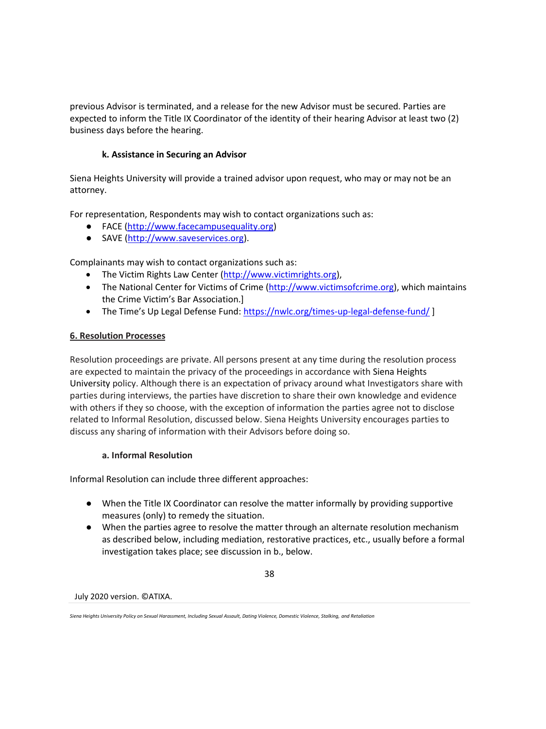previous Advisor is terminated, and a release for the new Advisor must be secured. Parties are expected to inform the Title IX Coordinator of the identity of their hearing Advisor at least two (2) business days before the hearing.

## **k. Assistance in Securing an Advisor**

Siena Heights University will provide a trained advisor upon request, who may or may not be an attorney.

For representation, Respondents may wish to contact organizations such as:

- FACE [\(http://www.facecampusequality.org\)](http://www.facecampusequality.org/)
- SAVE [\(http://www.saveservices.org\)](http://www.saveservices.org/).

Complainants may wish to contact organizations such as:

- The Victim Rights Law Center [\(http://www.victimrights.org\)](http://www.victimrights.org/),
- The National Center for Victims of Crime [\(http://www.victimsofcrime.org\)](http://www.victimsofcrime.org/), which maintains the Crime Victim's Bar Association.]
- The Time's Up Legal Defense Fund: <https://nwlc.org/times-up-legal-defense-fund/>]

### **6. Resolution Processes**

Resolution proceedings are private. All persons present at any time during the resolution process are expected to maintain the privacy of the proceedings in accordance with Siena Heights University policy. Although there is an expectation of privacy around what Investigators share with parties during interviews, the parties have discretion to share their own knowledge and evidence with others if they so choose, with the exception of information the parties agree not to disclose related to Informal Resolution, discussed below. Siena Heights University encourages parties to discuss any sharing of information with their Advisors before doing so.

### **a. Informal Resolution**

Informal Resolution can include three different approaches:

- When the Title IX Coordinator can resolve the matter informally by providing supportive measures (only) to remedy the situation.
- When the parties agree to resolve the matter through an alternate resolution mechanism as described below, including mediation, restorative practices, etc., usually before a formal investigation takes place; see discussion in b., below.

38

*Siena Heights University Policy on Sexual Harassment, Including Sexual Assault, Dating Violence, Domestic Violence, Stalking, and Retaliation*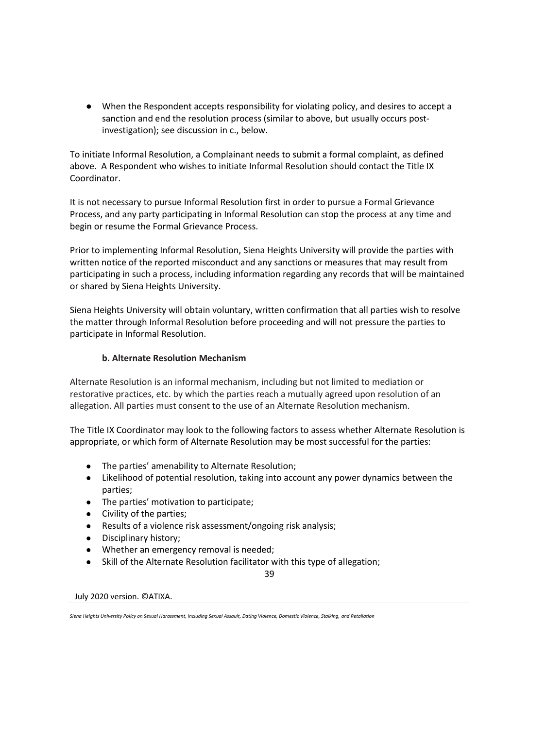● When the Respondent accepts responsibility for violating policy, and desires to accept a sanction and end the resolution process (similar to above, but usually occurs postinvestigation); see discussion in c., below.

To initiate Informal Resolution, a Complainant needs to submit a formal complaint, as defined above. A Respondent who wishes to initiate Informal Resolution should contact the Title IX Coordinator.

It is not necessary to pursue Informal Resolution first in order to pursue a Formal Grievance Process, and any party participating in Informal Resolution can stop the process at any time and begin or resume the Formal Grievance Process.

Prior to implementing Informal Resolution, Siena Heights University will provide the parties with written notice of the reported misconduct and any sanctions or measures that may result from participating in such a process, including information regarding any records that will be maintained or shared by Siena Heights University.

Siena Heights University will obtain voluntary, written confirmation that all parties wish to resolve the matter through Informal Resolution before proceeding and will not pressure the parties to participate in Informal Resolution.

## **b. Alternate Resolution Mechanism**

Alternate Resolution is an informal mechanism, including but not limited to mediation or restorative practices, etc. by which the parties reach a mutually agreed upon resolution of an allegation. All parties must consent to the use of an Alternate Resolution mechanism.

The Title IX Coordinator may look to the following factors to assess whether Alternate Resolution is appropriate, or which form of Alternate Resolution may be most successful for the parties:

- The parties' amenability to Alternate Resolution;
- Likelihood of potential resolution, taking into account any power dynamics between the parties;
- The parties' motivation to participate;
- Civility of the parties;
- Results of a violence risk assessment/ongoing risk analysis;
- Disciplinary history;
- Whether an emergency removal is needed;
- Skill of the Alternate Resolution facilitator with this type of allegation;

39

July 2020 version. ©ATIXA.

*Siena Heights University Policy on Sexual Harassment, Including Sexual Assault, Dating Violence, Domestic Violence, Stalking, and Retaliation*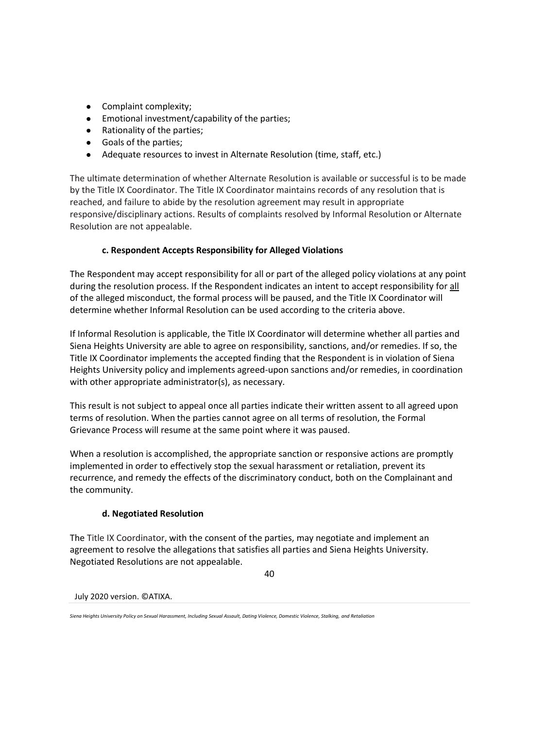- Complaint complexity;
- Emotional investment/capability of the parties;
- Rationality of the parties;
- Goals of the parties;
- Adequate resources to invest in Alternate Resolution (time, staff, etc.)

The ultimate determination of whether Alternate Resolution is available or successful is to be made by the Title IX Coordinator. The Title IX Coordinator maintains records of any resolution that is reached, and failure to abide by the resolution agreement may result in appropriate responsive/disciplinary actions. Results of complaints resolved by Informal Resolution or Alternate Resolution are not appealable.

# **c. Respondent Accepts Responsibility for Alleged Violations**

The Respondent may accept responsibility for all or part of the alleged policy violations at any point during the resolution process. If the Respondent indicates an intent to accept responsibility for all of the alleged misconduct, the formal process will be paused, and the Title IX Coordinator will determine whether Informal Resolution can be used according to the criteria above.

If Informal Resolution is applicable, the Title IX Coordinator will determine whether all parties and Siena Heights University are able to agree on responsibility, sanctions, and/or remedies. If so, the Title IX Coordinator implements the accepted finding that the Respondent is in violation of Siena Heights University policy and implements agreed-upon sanctions and/or remedies, in coordination with other appropriate administrator(s), as necessary.

This result is not subject to appeal once all parties indicate their written assent to all agreed upon terms of resolution. When the parties cannot agree on all terms of resolution, the Formal Grievance Process will resume at the same point where it was paused.

When a resolution is accomplished, the appropriate sanction or responsive actions are promptly implemented in order to effectively stop the sexual harassment or retaliation, prevent its recurrence, and remedy the effects of the discriminatory conduct, both on the Complainant and the community.

# **d. Negotiated Resolution**

The Title IX Coordinator, with the consent of the parties, may negotiate and implement an agreement to resolve the allegations that satisfies all parties and Siena Heights University. Negotiated Resolutions are not appealable.

40

*Siena Heights University Policy on Sexual Harassment, Including Sexual Assault, Dating Violence, Domestic Violence, Stalking, and Retaliation*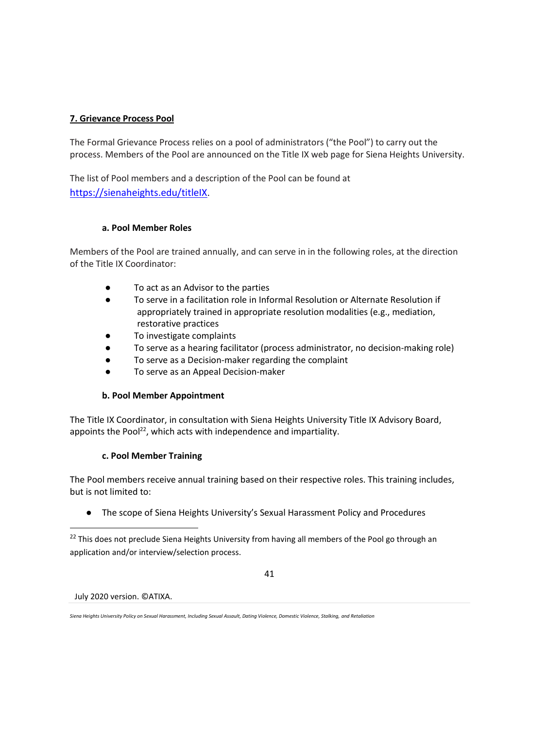## **7. Grievance Process Pool**

The Formal Grievance Process relies on a pool of administrators ("the Pool") to carry out the process. Members of the Pool are announced on the Title IX web page for Siena Heights University.

The list of Pool members and a description of the Pool can be found at <https://sienaheights.edu/titleIX>.

### **a. Pool Member Roles**

Members of the Pool are trained annually, and can serve in in the following roles, at the direction of the Title IX Coordinator:

- To act as an Advisor to the parties
- To serve in a facilitation role in Informal Resolution or Alternate Resolution if appropriately trained in appropriate resolution modalities (e.g., mediation, restorative practices
- To investigate complaints
- To serve as a hearing facilitator (process administrator, no decision-making role)
- To serve as a Decision-maker regarding the complaint
- To serve as an Appeal Decision-maker

# **b. Pool Member Appointment**

The Title IX Coordinator, in consultation with Siena Heights University Title IX Advisory Board, appoints the Pool $^{22}$ , which acts with independence and impartiality.

### **c. Pool Member Training**

The Pool members receive annual training based on their respective roles. This training includes, but is not limited to:

● The scope of Siena Heights University's Sexual Harassment Policy and Procedures

41

<sup>&</sup>lt;sup>22</sup> This does not preclude Siena Heights University from having all members of the Pool go through an application and/or interview/selection process.

*Siena Heights University Policy on Sexual Harassment, Including Sexual Assault, Dating Violence, Domestic Violence, Stalking, and Retaliation*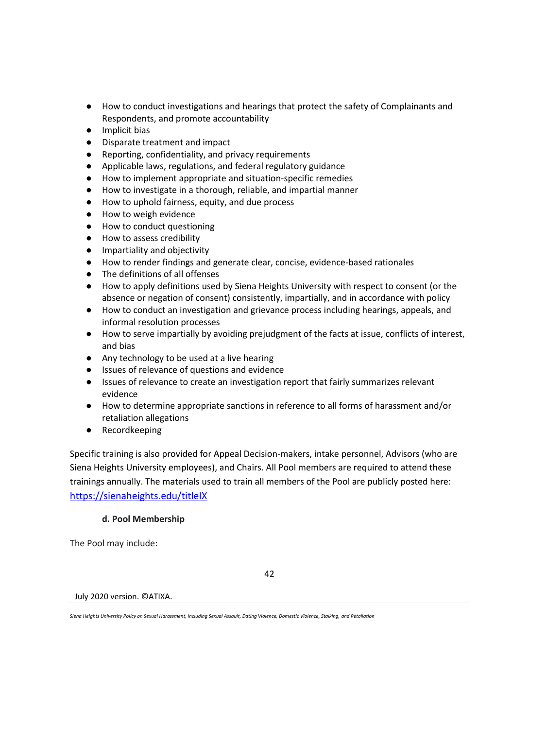- How to conduct investigations and hearings that protect the safety of Complainants and Respondents, and promote accountability
- Implicit bias
- Disparate treatment and impact
- Reporting, confidentiality, and privacy requirements
- Applicable laws, regulations, and federal regulatory guidance
- How to implement appropriate and situation-specific remedies
- How to investigate in a thorough, reliable, and impartial manner
- How to uphold fairness, equity, and due process
- How to weigh evidence
- How to conduct questioning
- How to assess credibility
- Impartiality and objectivity
- How to render findings and generate clear, concise, evidence-based rationales
- The definitions of all offenses
- How to apply definitions used by Siena Heights University with respect to consent (or the absence or negation of consent) consistently, impartially, and in accordance with policy
- How to conduct an investigation and grievance process including hearings, appeals, and informal resolution processes
- How to serve impartially by avoiding prejudgment of the facts at issue, conflicts of interest, and bias
- Any technology to be used at a live hearing
- Issues of relevance of questions and evidence
- Issues of relevance to create an investigation report that fairly summarizes relevant evidence
- How to determine appropriate sanctions in reference to all forms of harassment and/or retaliation allegations
- Recordkeeping

Specific training is also provided for Appeal Decision-makers, intake personnel, Advisors (who are Siena Heights University employees), and Chairs. All Pool members are required to attend these trainings annually. The materials used to train all members of the Pool are publicly posted here: <https://sienaheights.edu/titleIX>

# **d. Pool Membership**

The Pool may include:

42

July 2020 version. ©ATIXA.

*Siena Heights University Policy on Sexual Harassment, Including Sexual Assault, Dating Violence, Domestic Violence, Stalking, and Retaliation*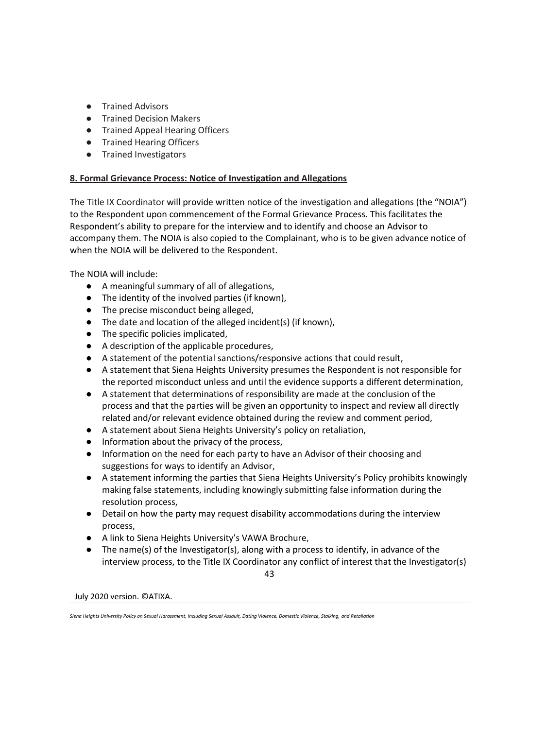- Trained Advisors
- Trained Decision Makers
- Trained Appeal Hearing Officers
- Trained Hearing Officers
- Trained Investigators

# **8. Formal Grievance Process: Notice of Investigation and Allegations**

The Title IX Coordinator will provide written notice of the investigation and allegations (the "NOIA") to the Respondent upon commencement of the Formal Grievance Process. This facilitates the Respondent's ability to prepare for the interview and to identify and choose an Advisor to accompany them. The NOIA is also copied to the Complainant, who is to be given advance notice of when the NOIA will be delivered to the Respondent.

The NOIA will include:

- A meaningful summary of all of allegations,
- The identity of the involved parties (if known),
- The precise misconduct being alleged,
- The date and location of the alleged incident(s) (if known),
- The specific policies implicated,
- A description of the applicable procedures,
- A statement of the potential sanctions/responsive actions that could result,
- A statement that Siena Heights University presumes the Respondent is not responsible for the reported misconduct unless and until the evidence supports a different determination,
- A statement that determinations of responsibility are made at the conclusion of the process and that the parties will be given an opportunity to inspect and review all directly related and/or relevant evidence obtained during the review and comment period,
- A statement about Siena Heights University's policy on retaliation,
- Information about the privacy of the process,
- Information on the need for each party to have an Advisor of their choosing and suggestions for ways to identify an Advisor,
- A statement informing the parties that Siena Heights University's Policy prohibits knowingly making false statements, including knowingly submitting false information during the resolution process,
- Detail on how the party may request disability accommodations during the interview process,
- A link to Siena Heights University's VAWA Brochure,
- The name(s) of the Investigator(s), along with a process to identify, in advance of the interview process, to the Title IX Coordinator any conflict of interest that the Investigator(s)

43

*Siena Heights University Policy on Sexual Harassment, Including Sexual Assault, Dating Violence, Domestic Violence, Stalking, and Retaliation*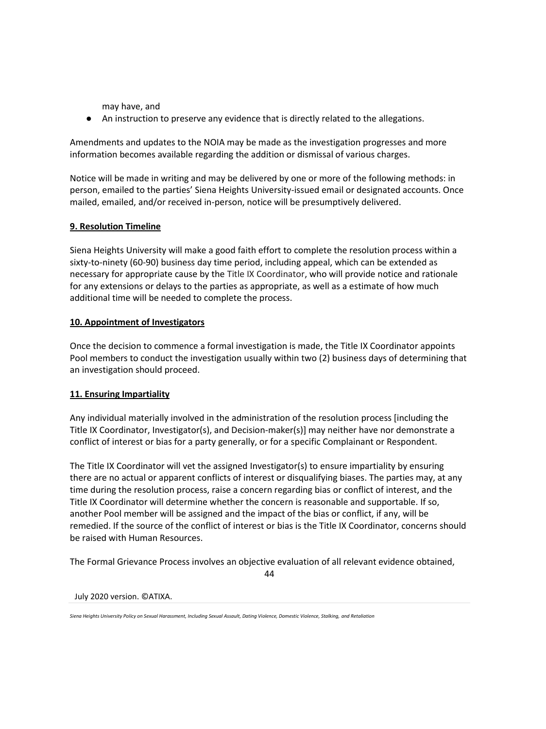may have, and

● An instruction to preserve any evidence that is directly related to the allegations.

Amendments and updates to the NOIA may be made as the investigation progresses and more information becomes available regarding the addition or dismissal of various charges.

Notice will be made in writing and may be delivered by one or more of the following methods: in person, emailed to the parties' Siena Heights University-issued email or designated accounts. Once mailed, emailed, and/or received in-person, notice will be presumptively delivered.

# **9. Resolution Timeline**

Siena Heights University will make a good faith effort to complete the resolution process within a sixty-to-ninety (60-90) business day time period, including appeal, which can be extended as necessary for appropriate cause by the Title IX Coordinator, who will provide notice and rationale for any extensions or delays to the parties as appropriate, as well as a estimate of how much additional time will be needed to complete the process.

# **10. Appointment of Investigators**

Once the decision to commence a formal investigation is made, the Title IX Coordinator appoints Pool members to conduct the investigation usually within two (2) business days of determining that an investigation should proceed.

# **11. Ensuring Impartiality**

Any individual materially involved in the administration of the resolution process [including the Title IX Coordinator, Investigator(s), and Decision-maker(s)] may neither have nor demonstrate a conflict of interest or bias for a party generally, or for a specific Complainant or Respondent.

The Title IX Coordinator will vet the assigned Investigator(s) to ensure impartiality by ensuring there are no actual or apparent conflicts of interest or disqualifying biases. The parties may, at any time during the resolution process, raise a concern regarding bias or conflict of interest, and the Title IX Coordinator will determine whether the concern is reasonable and supportable. If so, another Pool member will be assigned and the impact of the bias or conflict, if any, will be remedied. If the source of the conflict of interest or bias is the Title IX Coordinator, concerns should be raised with Human Resources.

The Formal Grievance Process involves an objective evaluation of all relevant evidence obtained,

44

### July 2020 version. ©ATIXA.

*Siena Heights University Policy on Sexual Harassment, Including Sexual Assault, Dating Violence, Domestic Violence, Stalking, and Retaliation*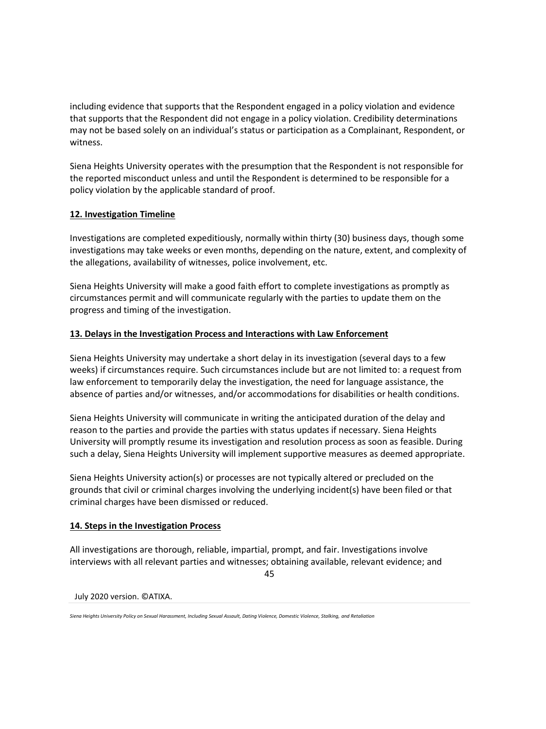including evidence that supports that the Respondent engaged in a policy violation and evidence that supports that the Respondent did not engage in a policy violation. Credibility determinations may not be based solely on an individual's status or participation as a Complainant, Respondent, or witness.

Siena Heights University operates with the presumption that the Respondent is not responsible for the reported misconduct unless and until the Respondent is determined to be responsible for a policy violation by the applicable standard of proof.

# **12. Investigation Timeline**

Investigations are completed expeditiously, normally within thirty (30) business days, though some investigations may take weeks or even months, depending on the nature, extent, and complexity of the allegations, availability of witnesses, police involvement, etc.

Siena Heights University will make a good faith effort to complete investigations as promptly as circumstances permit and will communicate regularly with the parties to update them on the progress and timing of the investigation.

## **13. Delays in the Investigation Process and Interactions with Law Enforcement**

Siena Heights University may undertake a short delay in its investigation (several days to a few weeks) if circumstances require. Such circumstances include but are not limited to: a request from law enforcement to temporarily delay the investigation, the need for language assistance, the absence of parties and/or witnesses, and/or accommodations for disabilities or health conditions.

Siena Heights University will communicate in writing the anticipated duration of the delay and reason to the parties and provide the parties with status updates if necessary. Siena Heights University will promptly resume its investigation and resolution process as soon as feasible. During such a delay, Siena Heights University will implement supportive measures as deemed appropriate.

Siena Heights University action(s) or processes are not typically altered or precluded on the grounds that civil or criminal charges involving the underlying incident(s) have been filed or that criminal charges have been dismissed or reduced.

### **14. Steps in the Investigation Process**

All investigations are thorough, reliable, impartial, prompt, and fair. Investigations involve interviews with all relevant parties and witnesses; obtaining available, relevant evidence; and

45

July 2020 version. ©ATIXA.

*Siena Heights University Policy on Sexual Harassment, Including Sexual Assault, Dating Violence, Domestic Violence, Stalking, and Retaliation*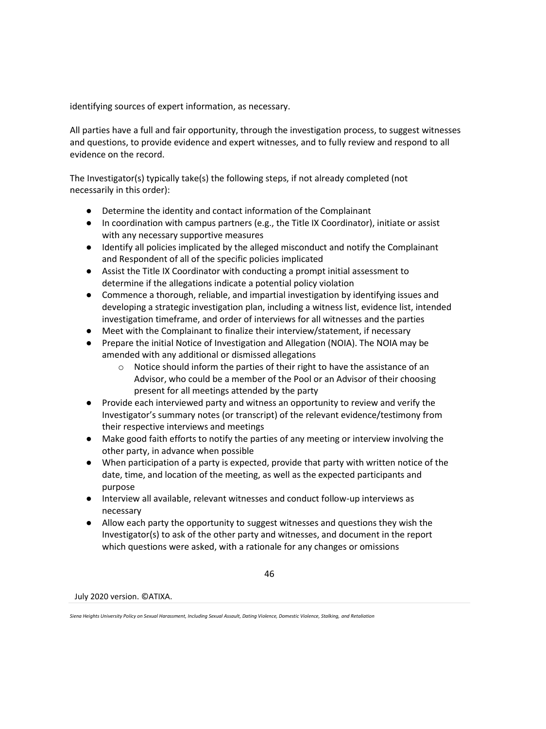identifying sources of expert information, as necessary.

All parties have a full and fair opportunity, through the investigation process, to suggest witnesses and questions, to provide evidence and expert witnesses, and to fully review and respond to all evidence on the record.

The Investigator(s) typically take(s) the following steps, if not already completed (not necessarily in this order):

- Determine the identity and contact information of the Complainant
- In coordination with campus partners (e.g., the Title IX Coordinator), initiate or assist with any necessary supportive measures
- Identify all policies implicated by the alleged misconduct and notify the Complainant and Respondent of all of the specific policies implicated
- Assist the Title IX Coordinator with conducting a prompt initial assessment to determine if the allegations indicate a potential policy violation
- Commence a thorough, reliable, and impartial investigation by identifying issues and developing a strategic investigation plan, including a witness list, evidence list, intended investigation timeframe, and order of interviews for all witnesses and the parties
- Meet with the Complainant to finalize their interview/statement, if necessary
- Prepare the initial Notice of Investigation and Allegation (NOIA). The NOIA may be amended with any additional or dismissed allegations
	- $\circ$  Notice should inform the parties of their right to have the assistance of an Advisor, who could be a member of the Pool or an Advisor of their choosing present for all meetings attended by the party
- Provide each interviewed party and witness an opportunity to review and verify the Investigator's summary notes (or transcript) of the relevant evidence/testimony from their respective interviews and meetings
- Make good faith efforts to notify the parties of any meeting or interview involving the other party, in advance when possible
- When participation of a party is expected, provide that party with written notice of the date, time, and location of the meeting, as well as the expected participants and purpose
- Interview all available, relevant witnesses and conduct follow-up interviews as necessary
- Allow each party the opportunity to suggest witnesses and questions they wish the Investigator(s) to ask of the other party and witnesses, and document in the report which questions were asked, with a rationale for any changes or omissions

46

*Siena Heights University Policy on Sexual Harassment, Including Sexual Assault, Dating Violence, Domestic Violence, Stalking, and Retaliation*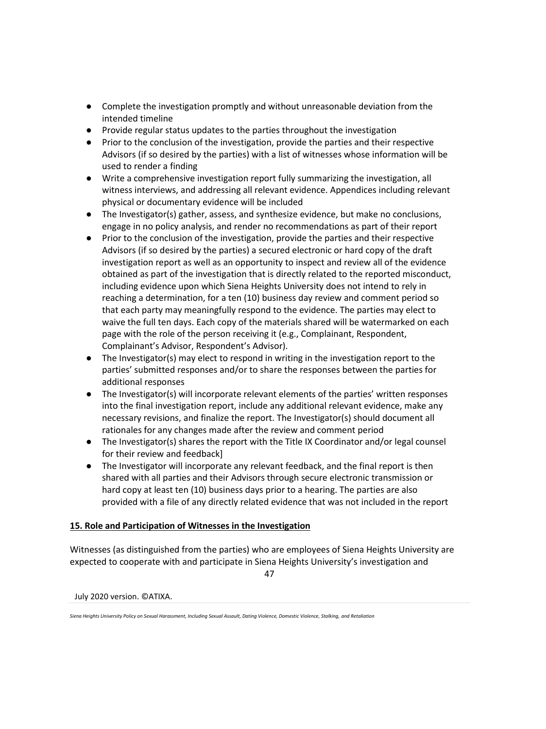- Complete the investigation promptly and without unreasonable deviation from the intended timeline
- Provide regular status updates to the parties throughout the investigation
- Prior to the conclusion of the investigation, provide the parties and their respective Advisors (if so desired by the parties) with a list of witnesses whose information will be used to render a finding
- Write a comprehensive investigation report fully summarizing the investigation, all witness interviews, and addressing all relevant evidence. Appendices including relevant physical or documentary evidence will be included
- The Investigator(s) gather, assess, and synthesize evidence, but make no conclusions, engage in no policy analysis, and render no recommendations as part of their report
- Prior to the conclusion of the investigation, provide the parties and their respective Advisors (if so desired by the parties) a secured electronic or hard copy of the draft investigation report as well as an opportunity to inspect and review all of the evidence obtained as part of the investigation that is directly related to the reported misconduct, including evidence upon which Siena Heights University does not intend to rely in reaching a determination, for a ten (10) business day review and comment period so that each party may meaningfully respond to the evidence. The parties may elect to waive the full ten days. Each copy of the materials shared will be watermarked on each page with the role of the person receiving it (e.g., Complainant, Respondent, Complainant's Advisor, Respondent's Advisor).
- The Investigator(s) may elect to respond in writing in the investigation report to the parties' submitted responses and/or to share the responses between the parties for additional responses
- The Investigator(s) will incorporate relevant elements of the parties' written responses into the final investigation report, include any additional relevant evidence, make any necessary revisions, and finalize the report. The Investigator(s) should document all rationales for any changes made after the review and comment period
- The Investigator(s) shares the report with the Title IX Coordinator and/or legal counsel for their review and feedback]
- The Investigator will incorporate any relevant feedback, and the final report is then shared with all parties and their Advisors through secure electronic transmission or hard copy at least ten (10) business days prior to a hearing. The parties are also provided with a file of any directly related evidence that was not included in the report

# **15. Role and Participation of Witnesses in the Investigation**

Witnesses (as distinguished from the parties) who are employees of Siena Heights University are expected to cooperate with and participate in Siena Heights University's investigation and

47

*Siena Heights University Policy on Sexual Harassment, Including Sexual Assault, Dating Violence, Domestic Violence, Stalking, and Retaliation*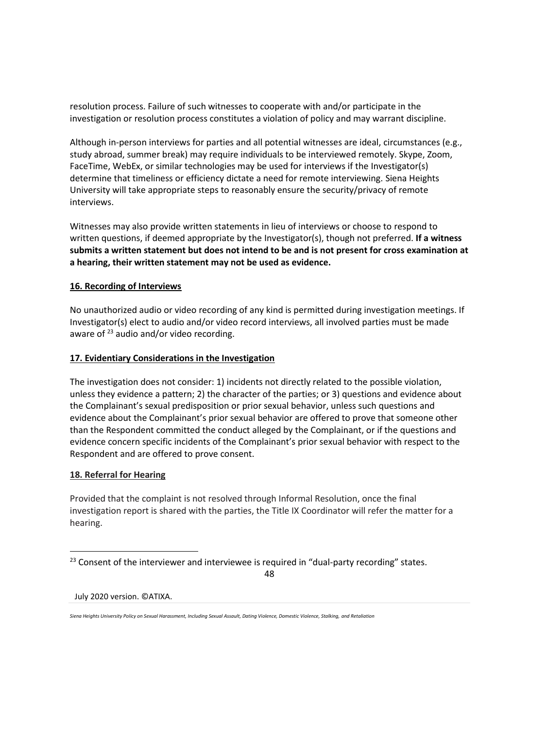resolution process. Failure of such witnesses to cooperate with and/or participate in the investigation or resolution process constitutes a violation of policy and may warrant discipline.

Although in-person interviews for parties and all potential witnesses are ideal, circumstances (e.g., study abroad, summer break) may require individuals to be interviewed remotely. Skype, Zoom, FaceTime, WebEx, or similar technologies may be used for interviews if the Investigator(s) determine that timeliness or efficiency dictate a need for remote interviewing. Siena Heights University will take appropriate steps to reasonably ensure the security/privacy of remote interviews.

Witnesses may also provide written statements in lieu of interviews or choose to respond to written questions, if deemed appropriate by the Investigator(s), though not preferred. **If a witness submits a written statement but does not intend to be and is not present for cross examination at a hearing, their written statement may not be used as evidence.**

## **16. Recording of Interviews**

No unauthorized audio or video recording of any kind is permitted during investigation meetings. If Investigator(s) elect to audio and/or video record interviews, all involved parties must be made aware of  $^{23}$  audio and/or video recording.

## **17. Evidentiary Considerations in the Investigation**

The investigation does not consider: 1) incidents not directly related to the possible violation, unless they evidence a pattern; 2) the character of the parties; or 3) questions and evidence about the Complainant's sexual predisposition or prior sexual behavior, unless such questions and evidence about the Complainant's prior sexual behavior are offered to prove that someone other than the Respondent committed the conduct alleged by the Complainant, or if the questions and evidence concern specific incidents of the Complainant's prior sexual behavior with respect to the Respondent and are offered to prove consent.

### **18. Referral for Hearing**

Provided that the complaint is not resolved through Informal Resolution, once the final investigation report is shared with the parties, the Title IX Coordinator will refer the matter for a hearing.

48

<sup>&</sup>lt;sup>23</sup> Consent of the interviewer and interviewee is required in "dual-party recording" states.

*Siena Heights University Policy on Sexual Harassment, Including Sexual Assault, Dating Violence, Domestic Violence, Stalking, and Retaliation*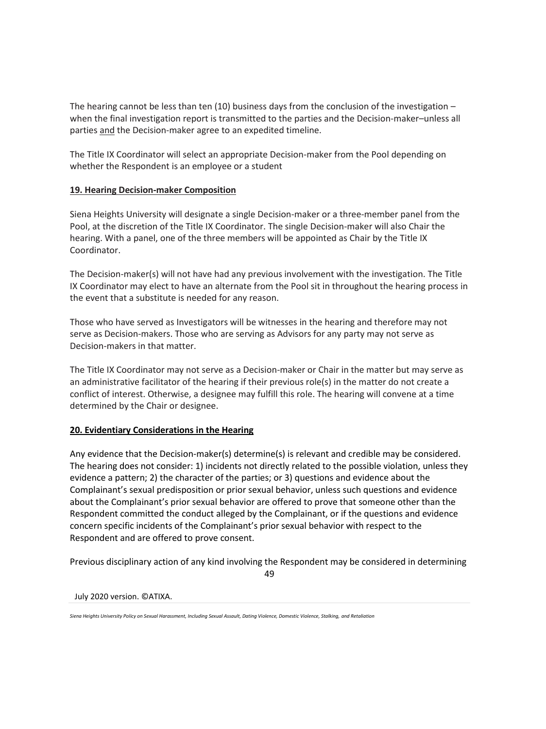The hearing cannot be less than ten (10) business days from the conclusion of the investigation – when the final investigation report is transmitted to the parties and the Decision-maker–unless all parties and the Decision-maker agree to an expedited timeline.

The Title IX Coordinator will select an appropriate Decision-maker from the Pool depending on whether the Respondent is an employee or a student

## **19. Hearing Decision-maker Composition**

Siena Heights University will designate a single Decision-maker or a three-member panel from the Pool, at the discretion of the Title IX Coordinator. The single Decision-maker will also Chair the hearing. With a panel, one of the three members will be appointed as Chair by the Title IX Coordinator.

The Decision-maker(s) will not have had any previous involvement with the investigation. The Title IX Coordinator may elect to have an alternate from the Pool sit in throughout the hearing process in the event that a substitute is needed for any reason.

Those who have served as Investigators will be witnesses in the hearing and therefore may not serve as Decision-makers. Those who are serving as Advisors for any party may not serve as Decision-makers in that matter.

The Title IX Coordinator may not serve as a Decision-maker or Chair in the matter but may serve as an administrative facilitator of the hearing if their previous role(s) in the matter do not create a conflict of interest. Otherwise, a designee may fulfill this role. The hearing will convene at a time determined by the Chair or designee.

# **20. Evidentiary Considerations in the Hearing**

Any evidence that the Decision-maker(s) determine(s) is relevant and credible may be considered. The hearing does not consider: 1) incidents not directly related to the possible violation, unless they evidence a pattern; 2) the character of the parties; or 3) questions and evidence about the Complainant's sexual predisposition or prior sexual behavior, unless such questions and evidence about the Complainant's prior sexual behavior are offered to prove that someone other than the Respondent committed the conduct alleged by the Complainant, or if the questions and evidence concern specific incidents of the Complainant's prior sexual behavior with respect to the Respondent and are offered to prove consent.

Previous disciplinary action of any kind involving the Respondent may be considered in determining

49

July 2020 version. ©ATIXA.

*Siena Heights University Policy on Sexual Harassment, Including Sexual Assault, Dating Violence, Domestic Violence, Stalking, and Retaliation*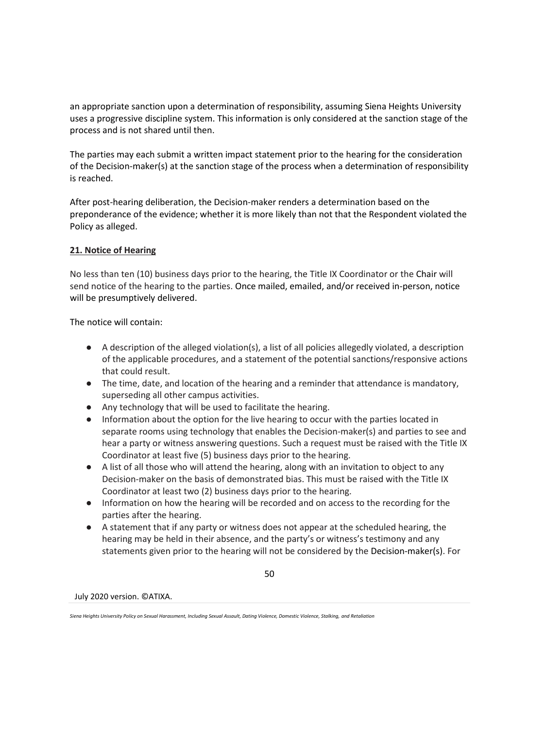an appropriate sanction upon a determination of responsibility, assuming Siena Heights University uses a progressive discipline system. This information is only considered at the sanction stage of the process and is not shared until then.

The parties may each submit a written impact statement prior to the hearing for the consideration of the Decision-maker(s) at the sanction stage of the process when a determination of responsibility is reached.

After post-hearing deliberation, the Decision-maker renders a determination based on the preponderance of the evidence; whether it is more likely than not that the Respondent violated the Policy as alleged.

## **21. Notice of Hearing**

No less than ten (10) business days prior to the hearing, the Title IX Coordinator or the Chair will send notice of the hearing to the parties. Once mailed, emailed, and/or received in-person, notice will be presumptively delivered.

The notice will contain:

- A description of the alleged violation(s), a list of all policies allegedly violated, a description of the applicable procedures, and a statement of the potential sanctions/responsive actions that could result.
- The time, date, and location of the hearing and a reminder that attendance is mandatory, superseding all other campus activities.
- Any technology that will be used to facilitate the hearing.
- Information about the option for the live hearing to occur with the parties located in separate rooms using technology that enables the Decision-maker(s) and parties to see and hear a party or witness answering questions. Such a request must be raised with the Title IX Coordinator at least five (5) business days prior to the hearing.
- A list of all those who will attend the hearing, along with an invitation to object to any Decision-maker on the basis of demonstrated bias. This must be raised with the Title IX Coordinator at least two (2) business days prior to the hearing.
- Information on how the hearing will be recorded and on access to the recording for the parties after the hearing.
- A statement that if any party or witness does not appear at the scheduled hearing, the hearing may be held in their absence, and the party's or witness's testimony and any statements given prior to the hearing will not be considered by the Decision-maker(s). For

50

*Siena Heights University Policy on Sexual Harassment, Including Sexual Assault, Dating Violence, Domestic Violence, Stalking, and Retaliation*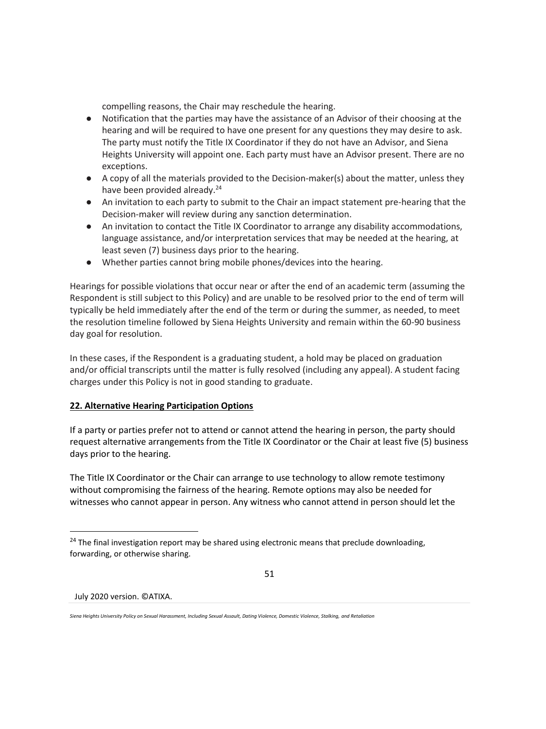compelling reasons, the Chair may reschedule the hearing.

- Notification that the parties may have the assistance of an Advisor of their choosing at the hearing and will be required to have one present for any questions they may desire to ask. The party must notify the Title IX Coordinator if they do not have an Advisor, and Siena Heights University will appoint one. Each party must have an Advisor present. There are no exceptions.
- A copy of all the materials provided to the Decision-maker(s) about the matter, unless they have been provided already.<sup>24</sup>
- An invitation to each party to submit to the Chair an impact statement pre-hearing that the Decision-maker will review during any sanction determination.
- An invitation to contact the Title IX Coordinator to arrange any disability accommodations, language assistance, and/or interpretation services that may be needed at the hearing, at least seven (7) business days prior to the hearing.
- Whether parties cannot bring mobile phones/devices into the hearing.

Hearings for possible violations that occur near or after the end of an academic term (assuming the Respondent is still subject to this Policy) and are unable to be resolved prior to the end of term will typically be held immediately after the end of the term or during the summer, as needed, to meet the resolution timeline followed by Siena Heights University and remain within the 60-90 business day goal for resolution.

In these cases, if the Respondent is a graduating student, a hold may be placed on graduation and/or official transcripts until the matter is fully resolved (including any appeal). A student facing charges under this Policy is not in good standing to graduate.

# **22. Alternative Hearing Participation Options**

If a party or parties prefer not to attend or cannot attend the hearing in person, the party should request alternative arrangements from the Title IX Coordinator or the Chair at least five (5) business days prior to the hearing.

The Title IX Coordinator or the Chair can arrange to use technology to allow remote testimony without compromising the fairness of the hearing. Remote options may also be needed for witnesses who cannot appear in person. Any witness who cannot attend in person should let the

51

<sup>&</sup>lt;sup>24</sup> The final investigation report may be shared using electronic means that preclude downloading, forwarding, or otherwise sharing.

*Siena Heights University Policy on Sexual Harassment, Including Sexual Assault, Dating Violence, Domestic Violence, Stalking, and Retaliation*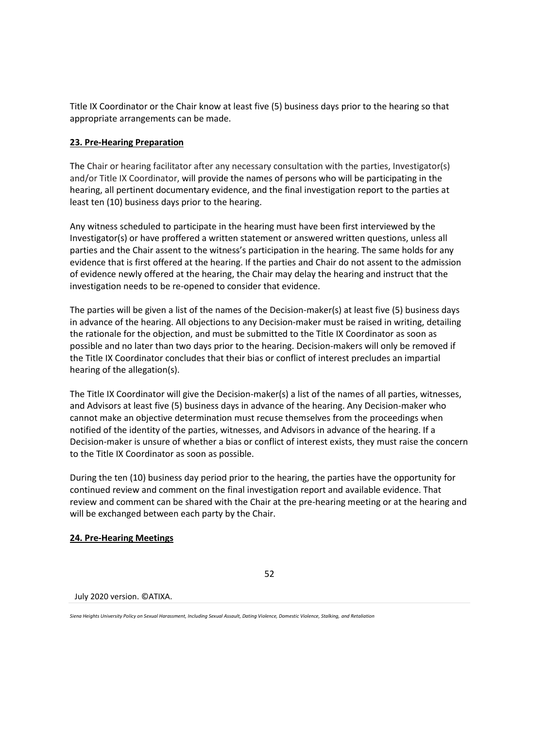Title IX Coordinator or the Chair know at least five (5) business days prior to the hearing so that appropriate arrangements can be made.

## **23. Pre-Hearing Preparation**

The Chair or hearing facilitator after any necessary consultation with the parties, Investigator(s) and/or Title IX Coordinator, will provide the names of persons who will be participating in the hearing, all pertinent documentary evidence, and the final investigation report to the parties at least ten (10) business days prior to the hearing.

Any witness scheduled to participate in the hearing must have been first interviewed by the Investigator(s) or have proffered a written statement or answered written questions, unless all parties and the Chair assent to the witness's participation in the hearing. The same holds for any evidence that is first offered at the hearing. If the parties and Chair do not assent to the admission of evidence newly offered at the hearing, the Chair may delay the hearing and instruct that the investigation needs to be re-opened to consider that evidence.

The parties will be given a list of the names of the Decision-maker(s) at least five (5) business days in advance of the hearing. All objections to any Decision-maker must be raised in writing, detailing the rationale for the objection, and must be submitted to the Title IX Coordinator as soon as possible and no later than two days prior to the hearing. Decision-makers will only be removed if the Title IX Coordinator concludes that their bias or conflict of interest precludes an impartial hearing of the allegation(s).

The Title IX Coordinator will give the Decision-maker(s) a list of the names of all parties, witnesses, and Advisors at least five (5) business days in advance of the hearing. Any Decision-maker who cannot make an objective determination must recuse themselves from the proceedings when notified of the identity of the parties, witnesses, and Advisors in advance of the hearing. If a Decision-maker is unsure of whether a bias or conflict of interest exists, they must raise the concern to the Title IX Coordinator as soon as possible.

During the ten (10) business day period prior to the hearing, the parties have the opportunity for continued review and comment on the final investigation report and available evidence. That review and comment can be shared with the Chair at the pre-hearing meeting or at the hearing and will be exchanged between each party by the Chair.

### **24. Pre-Hearing Meetings**

52

#### July 2020 version. ©ATIXA.

*Siena Heights University Policy on Sexual Harassment, Including Sexual Assault, Dating Violence, Domestic Violence, Stalking, and Retaliation*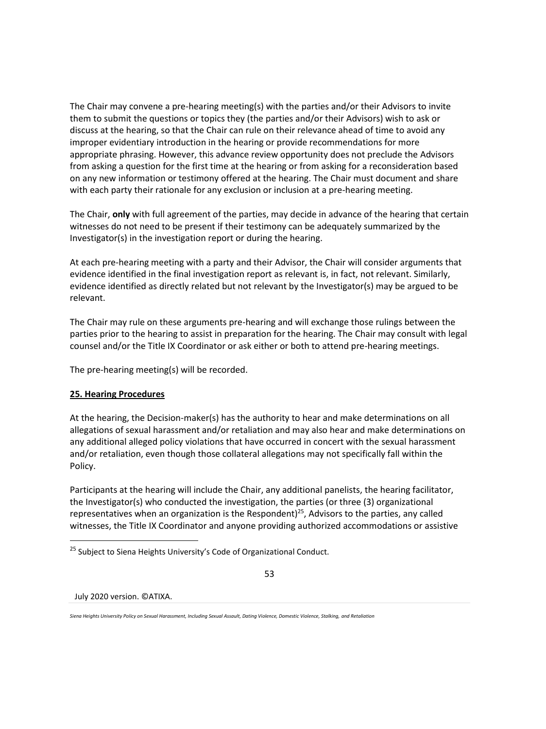The Chair may convene a pre-hearing meeting(s) with the parties and/or their Advisors to invite them to submit the questions or topics they (the parties and/or their Advisors) wish to ask or discuss at the hearing, so that the Chair can rule on their relevance ahead of time to avoid any improper evidentiary introduction in the hearing or provide recommendations for more appropriate phrasing. However, this advance review opportunity does not preclude the Advisors from asking a question for the first time at the hearing or from asking for a reconsideration based on any new information or testimony offered at the hearing. The Chair must document and share with each party their rationale for any exclusion or inclusion at a pre-hearing meeting.

The Chair, **only** with full agreement of the parties, may decide in advance of the hearing that certain witnesses do not need to be present if their testimony can be adequately summarized by the Investigator(s) in the investigation report or during the hearing.

At each pre-hearing meeting with a party and their Advisor, the Chair will consider arguments that evidence identified in the final investigation report as relevant is, in fact, not relevant. Similarly, evidence identified as directly related but not relevant by the Investigator(s) may be argued to be relevant.

The Chair may rule on these arguments pre-hearing and will exchange those rulings between the parties prior to the hearing to assist in preparation for the hearing. The Chair may consult with legal counsel and/or the Title IX Coordinator or ask either or both to attend pre-hearing meetings.

The pre-hearing meeting(s) will be recorded.

# **25. Hearing Procedures**

At the hearing, the Decision-maker(s) has the authority to hear and make determinations on all allegations of sexual harassment and/or retaliation and may also hear and make determinations on any additional alleged policy violations that have occurred in concert with the sexual harassment and/or retaliation, even though those collateral allegations may not specifically fall within the Policy.

Participants at the hearing will include the Chair, any additional panelists, the hearing facilitator, the Investigator(s) who conducted the investigation, the parties (or three (3) organizational representatives when an organization is the Respondent)<sup>25</sup>, Advisors to the parties, any called witnesses, the Title IX Coordinator and anyone providing authorized accommodations or assistive

<sup>&</sup>lt;sup>25</sup> Subject to Siena Heights University's Code of Organizational Conduct.



*Siena Heights University Policy on Sexual Harassment, Including Sexual Assault, Dating Violence, Domestic Violence, Stalking, and Retaliation*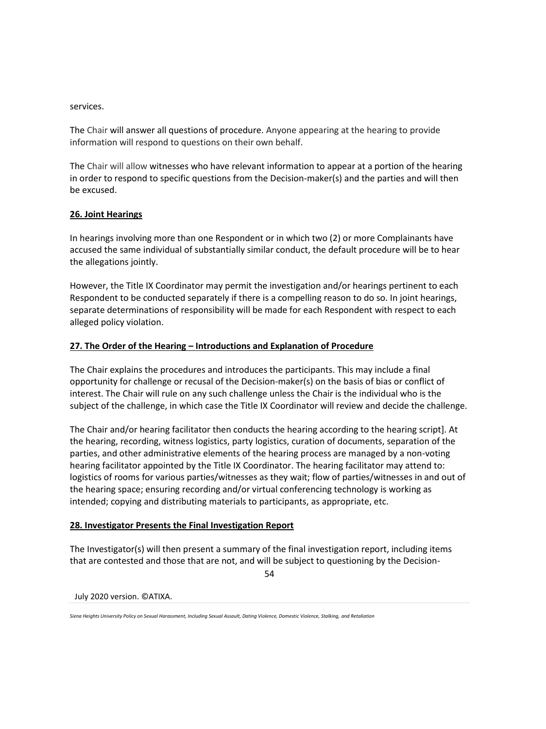services.

The Chair will answer all questions of procedure. Anyone appearing at the hearing to provide information will respond to questions on their own behalf.

The Chair will allow witnesses who have relevant information to appear at a portion of the hearing in order to respond to specific questions from the Decision-maker(s) and the parties and will then be excused.

## **26. Joint Hearings**

In hearings involving more than one Respondent or in which two (2) or more Complainants have accused the same individual of substantially similar conduct, the default procedure will be to hear the allegations jointly.

However, the Title IX Coordinator may permit the investigation and/or hearings pertinent to each Respondent to be conducted separately if there is a compelling reason to do so. In joint hearings, separate determinations of responsibility will be made for each Respondent with respect to each alleged policy violation.

## **27. The Order of the Hearing – Introductions and Explanation of Procedure**

The Chair explains the procedures and introduces the participants. This may include a final opportunity for challenge or recusal of the Decision-maker(s) on the basis of bias or conflict of interest. The Chair will rule on any such challenge unless the Chair is the individual who is the subject of the challenge, in which case the Title IX Coordinator will review and decide the challenge.

The Chair and/or hearing facilitator then conducts the hearing according to the hearing script]. At the hearing, recording, witness logistics, party logistics, curation of documents, separation of the parties, and other administrative elements of the hearing process are managed by a non-voting hearing facilitator appointed by the Title IX Coordinator. The hearing facilitator may attend to: logistics of rooms for various parties/witnesses as they wait; flow of parties/witnesses in and out of the hearing space; ensuring recording and/or virtual conferencing technology is working as intended; copying and distributing materials to participants, as appropriate, etc.

### **28. Investigator Presents the Final Investigation Report**

The Investigator(s) will then present a summary of the final investigation report, including items that are contested and those that are not, and will be subject to questioning by the Decision-

54

*Siena Heights University Policy on Sexual Harassment, Including Sexual Assault, Dating Violence, Domestic Violence, Stalking, and Retaliation*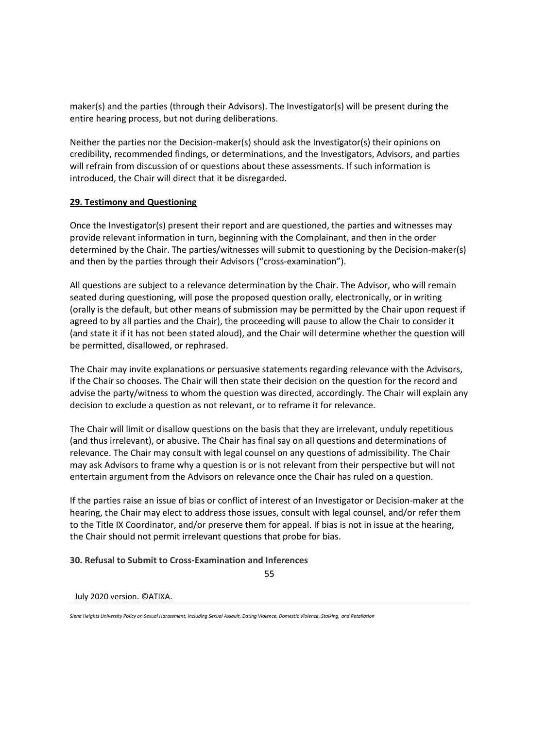maker(s) and the parties (through their Advisors). The Investigator(s) will be present during the entire hearing process, but not during deliberations.

Neither the parties nor the Decision-maker(s) should ask the Investigator(s) their opinions on credibility, recommended findings, or determinations, and the Investigators, Advisors, and parties will refrain from discussion of or questions about these assessments. If such information is introduced, the Chair will direct that it be disregarded.

## **29. Testimony and Questioning**

Once the Investigator(s) present their report and are questioned, the parties and witnesses may provide relevant information in turn, beginning with the Complainant, and then in the order determined by the Chair. The parties/witnesses will submit to questioning by the Decision-maker(s) and then by the parties through their Advisors ("cross-examination").

All questions are subject to a relevance determination by the Chair. The Advisor, who will remain seated during questioning, will pose the proposed question orally, electronically, or in writing (orally is the default, but other means of submission may be permitted by the Chair upon request if agreed to by all parties and the Chair), the proceeding will pause to allow the Chair to consider it (and state it if it has not been stated aloud), and the Chair will determine whether the question will be permitted, disallowed, or rephrased.

The Chair may invite explanations or persuasive statements regarding relevance with the Advisors, if the Chair so chooses. The Chair will then state their decision on the question for the record and advise the party/witness to whom the question was directed, accordingly. The Chair will explain any decision to exclude a question as not relevant, or to reframe it for relevance.

The Chair will limit or disallow questions on the basis that they are irrelevant, unduly repetitious (and thus irrelevant), or abusive. The Chair has final say on all questions and determinations of relevance. The Chair may consult with legal counsel on any questions of admissibility. The Chair may ask Advisors to frame why a question is or is not relevant from their perspective but will not entertain argument from the Advisors on relevance once the Chair has ruled on a question.

If the parties raise an issue of bias or conflict of interest of an Investigator or Decision-maker at the hearing, the Chair may elect to address those issues, consult with legal counsel, and/or refer them to the Title IX Coordinator, and/or preserve them for appeal. If bias is not in issue at the hearing, the Chair should not permit irrelevant questions that probe for bias.

# **30. Refusal to Submit to Cross-Examination and Inferences**

55

*Siena Heights University Policy on Sexual Harassment, Including Sexual Assault, Dating Violence, Domestic Violence, Stalking, and Retaliation*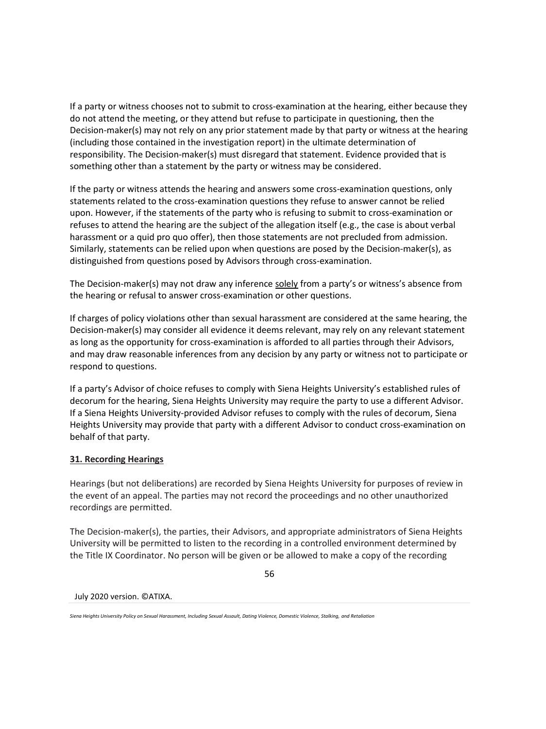If a party or witness chooses not to submit to cross-examination at the hearing, either because they do not attend the meeting, or they attend but refuse to participate in questioning, then the Decision-maker(s) may not rely on any prior statement made by that party or witness at the hearing (including those contained in the investigation report) in the ultimate determination of responsibility. The Decision-maker(s) must disregard that statement. Evidence provided that is something other than a statement by the party or witness may be considered.

If the party or witness attends the hearing and answers some cross-examination questions, only statements related to the cross-examination questions they refuse to answer cannot be relied upon. However, if the statements of the party who is refusing to submit to cross-examination or refuses to attend the hearing are the subject of the allegation itself (e.g., the case is about verbal harassment or a quid pro quo offer), then those statements are not precluded from admission. Similarly, statements can be relied upon when questions are posed by the Decision-maker(s), as distinguished from questions posed by Advisors through cross-examination.

The Decision-maker(s) may not draw any inference solely from a party's or witness's absence from the hearing or refusal to answer cross-examination or other questions.

If charges of policy violations other than sexual harassment are considered at the same hearing, the Decision-maker(s) may consider all evidence it deems relevant, may rely on any relevant statement as long as the opportunity for cross-examination is afforded to all parties through their Advisors, and may draw reasonable inferences from any decision by any party or witness not to participate or respond to questions.

If a party's Advisor of choice refuses to comply with Siena Heights University's established rules of decorum for the hearing, Siena Heights University may require the party to use a different Advisor. If a Siena Heights University-provided Advisor refuses to comply with the rules of decorum, Siena Heights University may provide that party with a different Advisor to conduct cross-examination on behalf of that party.

# **31. Recording Hearings**

Hearings (but not deliberations) are recorded by Siena Heights University for purposes of review in the event of an appeal. The parties may not record the proceedings and no other unauthorized recordings are permitted.

The Decision-maker(s), the parties, their Advisors, and appropriate administrators of Siena Heights University will be permitted to listen to the recording in a controlled environment determined by the Title IX Coordinator. No person will be given or be allowed to make a copy of the recording

56

*Siena Heights University Policy on Sexual Harassment, Including Sexual Assault, Dating Violence, Domestic Violence, Stalking, and Retaliation*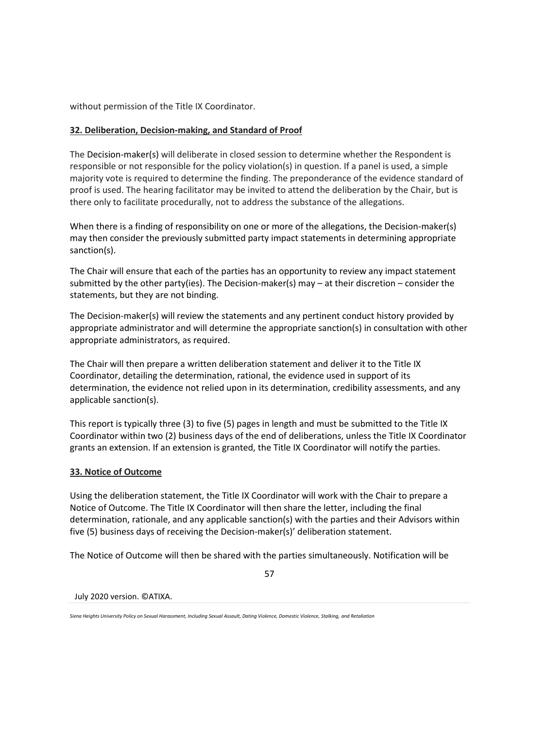without permission of the Title IX Coordinator.

## **32. Deliberation, Decision-making, and Standard of Proof**

The Decision-maker(s) will deliberate in closed session to determine whether the Respondent is responsible or not responsible for the policy violation(s) in question. If a panel is used, a simple majority vote is required to determine the finding. The preponderance of the evidence standard of proof is used. The hearing facilitator may be invited to attend the deliberation by the Chair, but is there only to facilitate procedurally, not to address the substance of the allegations.

When there is a finding of responsibility on one or more of the allegations, the Decision-maker(s) may then consider the previously submitted party impact statements in determining appropriate sanction(s).

The Chair will ensure that each of the parties has an opportunity to review any impact statement submitted by the other party(ies). The Decision-maker(s) may – at their discretion – consider the statements, but they are not binding.

The Decision-maker(s) will review the statements and any pertinent conduct history provided by appropriate administrator and will determine the appropriate sanction(s) in consultation with other appropriate administrators, as required.

The Chair will then prepare a written deliberation statement and deliver it to the Title IX Coordinator, detailing the determination, rational, the evidence used in support of its determination, the evidence not relied upon in its determination, credibility assessments, and any applicable sanction(s).

This report is typically three (3) to five (5) pages in length and must be submitted to the Title IX Coordinator within two (2) business days of the end of deliberations, unless the Title IX Coordinator grants an extension. If an extension is granted, the Title IX Coordinator will notify the parties.

### **33. Notice of Outcome**

Using the deliberation statement, the Title IX Coordinator will work with the Chair to prepare a Notice of Outcome. The Title IX Coordinator will then share the letter, including the final determination, rationale, and any applicable sanction(s) with the parties and their Advisors within five (5) business days of receiving the Decision-maker(s)' deliberation statement.

The Notice of Outcome will then be shared with the parties simultaneously. Notification will be

57

*Siena Heights University Policy on Sexual Harassment, Including Sexual Assault, Dating Violence, Domestic Violence, Stalking, and Retaliation*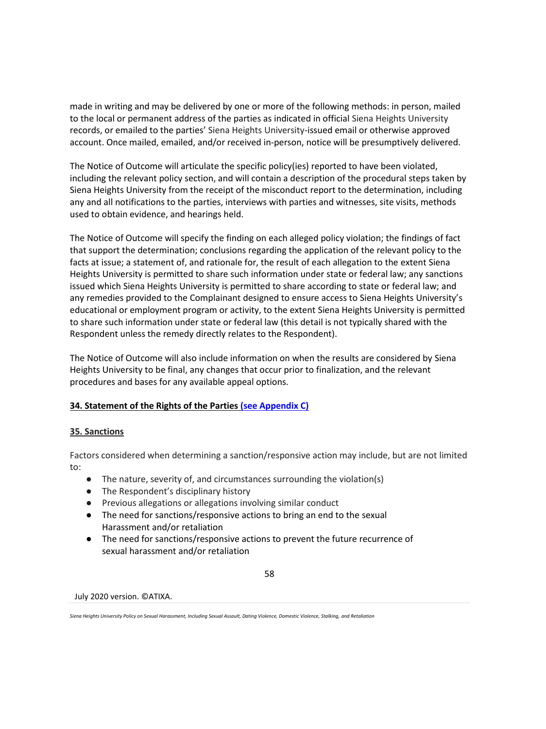made in writing and may be delivered by one or more of the following methods: in person, mailed to the local or permanent address of the parties as indicated in official Siena Heights University records, or emailed to the parties' Siena Heights University-issued email or otherwise approved account. Once mailed, emailed, and/or received in-person, notice will be presumptively delivered.

The Notice of Outcome will articulate the specific policy(ies) reported to have been violated, including the relevant policy section, and will contain a description of the procedural steps taken by Siena Heights University from the receipt of the misconduct report to the determination, including any and all notifications to the parties, interviews with parties and witnesses, site visits, methods used to obtain evidence, and hearings held.

The Notice of Outcome will specify the finding on each alleged policy violation; the findings of fact that support the determination; conclusions regarding the application of the relevant policy to the facts at issue; a statement of, and rationale for, the result of each allegation to the extent Siena Heights University is permitted to share such information under state or federal law; any sanctions issued which Siena Heights University is permitted to share according to state or federal law; and any remedies provided to the Complainant designed to ensure access to Siena Heights University's educational or employment program or activity, to the extent Siena Heights University is permitted to share such information under state or federal law (this detail is not typically shared with the Respondent unless the remedy directly relates to the Respondent).

The Notice of Outcome will also include information on when the results are considered by Siena Heights University to be final, any changes that occur prior to finalization, and the relevant procedures and bases for any available appeal options.

# **34. Statement of the Rights of the Partie[s \(see Appendix C\)](#page-74-0)**

# **35. Sanctions**

Factors considered when determining a sanction/responsive action may include, but are not limited to:

- The nature, severity of, and circumstances surrounding the violation(s)
- The Respondent's disciplinary history
- Previous allegations or allegations involving similar conduct
- The need for sanctions/responsive actions to bring an end to the sexual Harassment and/or retaliation
- The need for sanctions/responsive actions to prevent the future recurrence of sexual harassment and/or retaliation

$$
58 \\
$$

*Siena Heights University Policy on Sexual Harassment, Including Sexual Assault, Dating Violence, Domestic Violence, Stalking, and Retaliation*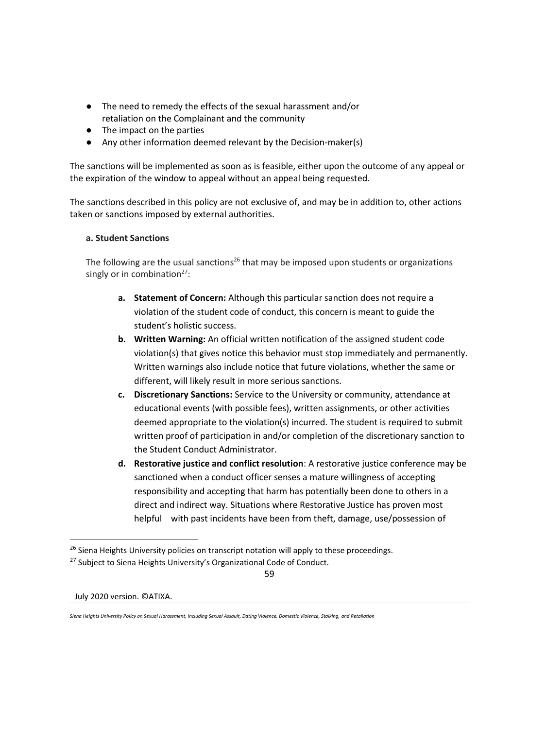- The need to remedy the effects of the sexual harassment and/or retaliation on the Complainant and the community
- The impact on the parties
- Any other information deemed relevant by the Decision-maker(s)

The sanctions will be implemented as soon as is feasible, either upon the outcome of any appeal or the expiration of the window to appeal without an appeal being requested.

The sanctions described in this policy are not exclusive of, and may be in addition to, other actions taken or sanctions imposed by external authorities.

## **a. Student Sanctions**

The following are the usual sanctions<sup>26</sup> that may be imposed upon students or organizations singly or in combination $27$ :

- **a. Statement of Concern:** Although this particular sanction does not require a violation of the student code of conduct, this concern is meant to guide the student's holistic success.
- **b. Written Warning:** An official written notification of the assigned student code violation(s) that gives notice this behavior must stop immediately and permanently. Written warnings also include notice that future violations, whether the same or different, will likely result in more serious sanctions.
- **c. Discretionary Sanctions:** Service to the University or community, attendance at educational events (with possible fees), written assignments, or other activities deemed appropriate to the violation(s) incurred. The student is required to submit written proof of participation in and/or completion of the discretionary sanction to the Student Conduct Administrator.
- **d. Restorative justice and conflict resolution**: A restorative justice conference may be sanctioned when a conduct officer senses a mature willingness of accepting responsibility and accepting that harm has potentially been done to others in a direct and indirect way. Situations where Restorative Justice has proven most helpful with past incidents have been from theft, damage, use/possession of

<sup>&</sup>lt;sup>26</sup> Siena Heights University policies on transcript notation will apply to these proceedings.

<sup>&</sup>lt;sup>27</sup> Subject to Siena Heights University's Organizational Code of Conduct.

<sup>59</sup>

*Siena Heights University Policy on Sexual Harassment, Including Sexual Assault, Dating Violence, Domestic Violence, Stalking, and Retaliation*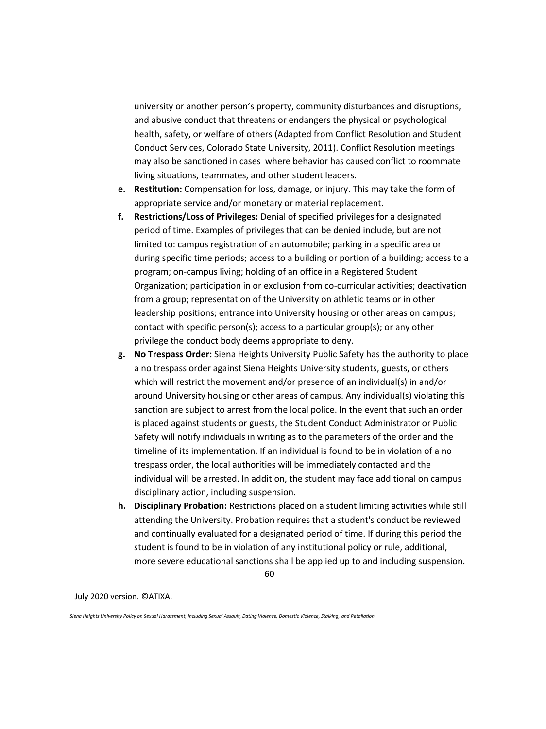university or another person's property, community disturbances and disruptions, and abusive conduct that threatens or endangers the physical or psychological health, safety, or welfare of others (Adapted from Conflict Resolution and Student Conduct Services, Colorado State University, 2011). Conflict Resolution meetings may also be sanctioned in cases where behavior has caused conflict to roommate living situations, teammates, and other student leaders.

- **e. Restitution:** Compensation for loss, damage, or injury. This may take the form of appropriate service and/or monetary or material replacement.
- **f. Restrictions/Loss of Privileges:** Denial of specified privileges for a designated period of time. Examples of privileges that can be denied include, but are not limited to: campus registration of an automobile; parking in a specific area or during specific time periods; access to a building or portion of a building; access to a program; on-campus living; holding of an office in a Registered Student Organization; participation in or exclusion from co-curricular activities; deactivation from a group; representation of the University on athletic teams or in other leadership positions; entrance into University housing or other areas on campus; contact with specific person(s); access to a particular group(s); or any other privilege the conduct body deems appropriate to deny.
- **g. No Trespass Order:** Siena Heights University Public Safety has the authority to place a no trespass order against Siena Heights University students, guests, or others which will restrict the movement and/or presence of an individual(s) in and/or around University housing or other areas of campus. Any individual(s) violating this sanction are subject to arrest from the local police. In the event that such an order is placed against students or guests, the Student Conduct Administrator or Public Safety will notify individuals in writing as to the parameters of the order and the timeline of its implementation. If an individual is found to be in violation of a no trespass order, the local authorities will be immediately contacted and the individual will be arrested. In addition, the student may face additional on campus disciplinary action, including suspension.
- **h. Disciplinary Probation:** Restrictions placed on a student limiting activities while still attending the University. Probation requires that a student's conduct be reviewed and continually evaluated for a designated period of time. If during this period the student is found to be in violation of any institutional policy or rule, additional, more severe educational sanctions shall be applied up to and including suspension.

60

*Siena Heights University Policy on Sexual Harassment, Including Sexual Assault, Dating Violence, Domestic Violence, Stalking, and Retaliation*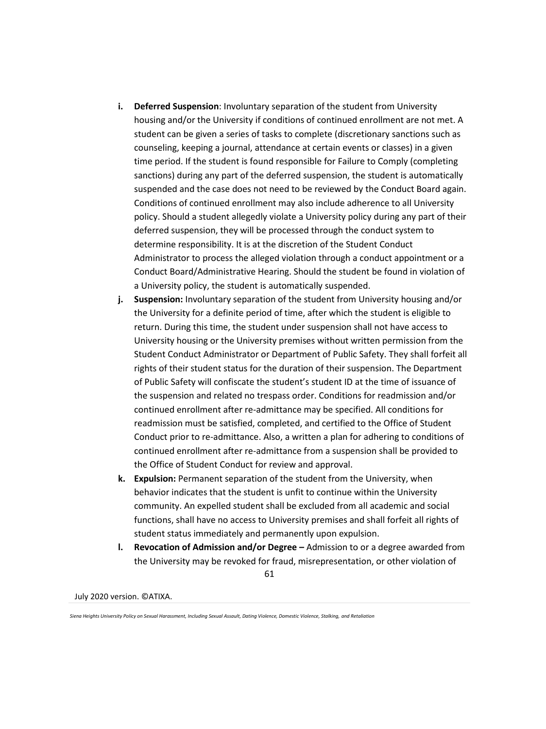- **i. Deferred Suspension**: Involuntary separation of the student from University housing and/or the University if conditions of continued enrollment are not met. A student can be given a series of tasks to complete (discretionary sanctions such as counseling, keeping a journal, attendance at certain events or classes) in a given time period. If the student is found responsible for Failure to Comply (completing sanctions) during any part of the deferred suspension, the student is automatically suspended and the case does not need to be reviewed by the Conduct Board again. Conditions of continued enrollment may also include adherence to all University policy. Should a student allegedly violate a University policy during any part of their deferred suspension, they will be processed through the conduct system to determine responsibility. It is at the discretion of the Student Conduct Administrator to process the alleged violation through a conduct appointment or a Conduct Board/Administrative Hearing. Should the student be found in violation of a University policy, the student is automatically suspended.
- **j. Suspension:** Involuntary separation of the student from University housing and/or the University for a definite period of time, after which the student is eligible to return. During this time, the student under suspension shall not have access to University housing or the University premises without written permission from the Student Conduct Administrator or Department of Public Safety. They shall forfeit all rights of their student status for the duration of their suspension. The Department of Public Safety will confiscate the student's student ID at the time of issuance of the suspension and related no trespass order. Conditions for readmission and/or continued enrollment after re-admittance may be specified. All conditions for readmission must be satisfied, completed, and certified to the Office of Student Conduct prior to re-admittance. Also, a written a plan for adhering to conditions of continued enrollment after re-admittance from a suspension shall be provided to the Office of Student Conduct for review and approval.
- **k. Expulsion:** Permanent separation of the student from the University, when behavior indicates that the student is unfit to continue within the University community. An expelled student shall be excluded from all academic and social functions, shall have no access to University premises and shall forfeit all rights of student status immediately and permanently upon expulsion.
- 61 **l. Revocation of Admission and/or Degree –** Admission to or a degree awarded from the University may be revoked for fraud, misrepresentation, or other violation of

*Siena Heights University Policy on Sexual Harassment, Including Sexual Assault, Dating Violence, Domestic Violence, Stalking, and Retaliation*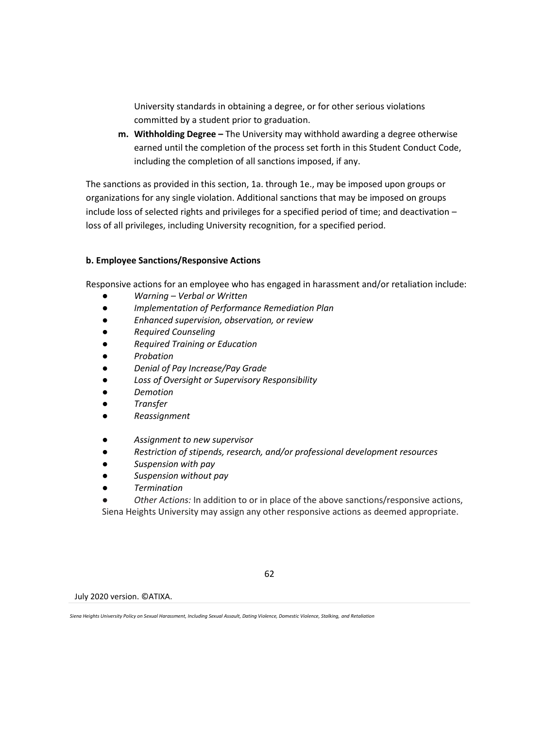University standards in obtaining a degree, or for other serious violations committed by a student prior to graduation.

**m. Withholding Degree –** The University may withhold awarding a degree otherwise earned until the completion of the process set forth in this Student Conduct Code, including the completion of all sanctions imposed, if any.

The sanctions as provided in this section, 1a. through 1e., may be imposed upon groups or organizations for any single violation. Additional sanctions that may be imposed on groups include loss of selected rights and privileges for a specified period of time; and deactivation – loss of all privileges, including University recognition, for a specified period.

# **b. Employee Sanctions/Responsive Actions**

Responsive actions for an employee who has engaged in harassment and/or retaliation include:

- *Warning – Verbal or Written*
- *Implementation of Performance Remediation Plan*
- *Enhanced supervision, observation, or review*
- *Required Counseling*
- *Required Training or Education*
- *Probation*
- *Denial of Pay Increase/Pay Grade*
- *Loss of Oversight or Supervisory Responsibility*
- *Demotion*
- *Transfer*
- *Reassignment*
- *Assignment to new supervisor*
- *Restriction of stipends, research, and/or professional development resources*
- **Suspension with pay**
- **Suspension without pay**
- *Termination*
- *Other Actions:* In addition to or in place of the above sanctions/responsive actions,

Siena Heights University may assign any other responsive actions as deemed appropriate.

July 2020 version. ©ATIXA.

62

*Siena Heights University Policy on Sexual Harassment, Including Sexual Assault, Dating Violence, Domestic Violence, Stalking, and Retaliation*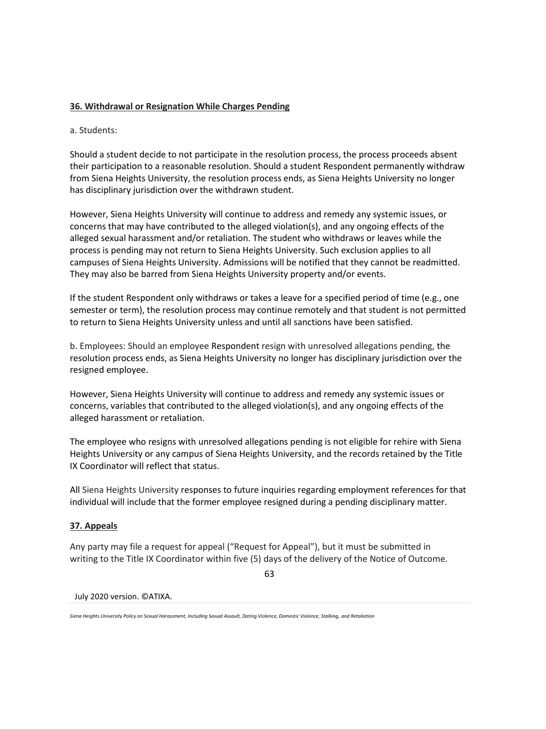## **36. Withdrawal or Resignation While Charges Pending**

a. Students:

Should a student decide to not participate in the resolution process, the process proceeds absent their participation to a reasonable resolution. Should a student Respondent permanently withdraw from Siena Heights University, the resolution process ends, as Siena Heights University no longer has disciplinary jurisdiction over the withdrawn student.

However, Siena Heights University will continue to address and remedy any systemic issues, or concerns that may have contributed to the alleged violation(s), and any ongoing effects of the alleged sexual harassment and/or retaliation. The student who withdraws or leaves while the process is pending may not return to Siena Heights University. Such exclusion applies to all campuses of Siena Heights University. Admissions will be notified that they cannot be readmitted. They may also be barred from Siena Heights University property and/or events.

If the student Respondent only withdraws or takes a leave for a specified period of time (e.g., one semester or term), the resolution process may continue remotely and that student is not permitted to return to Siena Heights University unless and until all sanctions have been satisfied.

b. Employees: Should an employee Respondent resign with unresolved allegations pending, the resolution process ends, as Siena Heights University no longer has disciplinary jurisdiction over the resigned employee.

However, Siena Heights University will continue to address and remedy any systemic issues or concerns, variables that contributed to the alleged violation(s), and any ongoing effects of the alleged harassment or retaliation.

The employee who resigns with unresolved allegations pending is not eligible for rehire with Siena Heights University or any campus of Siena Heights University, and the records retained by the Title IX Coordinator will reflect that status.

All Siena Heights University responses to future inquiries regarding employment references for that individual will include that the former employee resigned during a pending disciplinary matter.

### **37. Appeals**

Any party may file a request for appeal ("Request for Appeal"), but it must be submitted in writing to the Title IX Coordinator within five (5) days of the delivery of the Notice of Outcome.

63

*Siena Heights University Policy on Sexual Harassment, Including Sexual Assault, Dating Violence, Domestic Violence, Stalking, and Retaliation*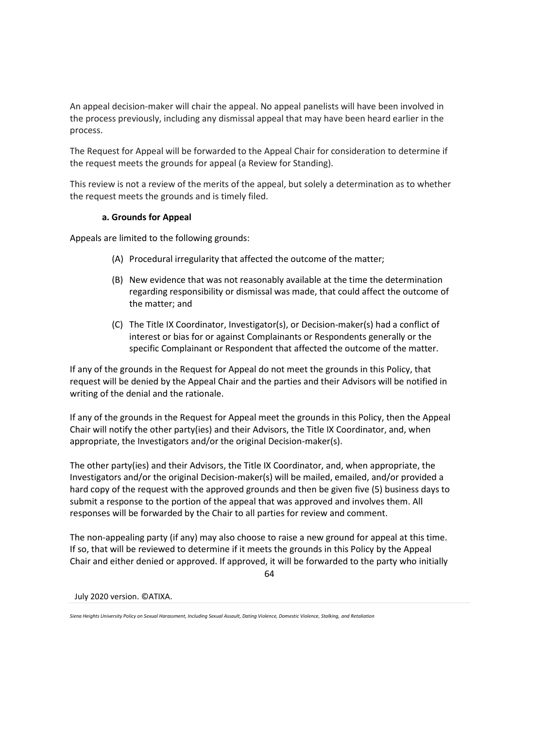An appeal decision-maker will chair the appeal. No appeal panelists will have been involved in the process previously, including any dismissal appeal that may have been heard earlier in the process.

The Request for Appeal will be forwarded to the Appeal Chair for consideration to determine if the request meets the grounds for appeal (a Review for Standing).

This review is not a review of the merits of the appeal, but solely a determination as to whether the request meets the grounds and is timely filed.

### **a. Grounds for Appeal**

Appeals are limited to the following grounds:

- (A) Procedural irregularity that affected the outcome of the matter;
- (B) New evidence that was not reasonably available at the time the determination regarding responsibility or dismissal was made, that could affect the outcome of the matter; and
- (C) The Title IX Coordinator, Investigator(s), or Decision-maker(s) had a conflict of interest or bias for or against Complainants or Respondents generally or the specific Complainant or Respondent that affected the outcome of the matter.

If any of the grounds in the Request for Appeal do not meet the grounds in this Policy, that request will be denied by the Appeal Chair and the parties and their Advisors will be notified in writing of the denial and the rationale.

If any of the grounds in the Request for Appeal meet the grounds in this Policy, then the Appeal Chair will notify the other party(ies) and their Advisors, the Title IX Coordinator, and, when appropriate, the Investigators and/or the original Decision-maker(s).

The other party(ies) and their Advisors, the Title IX Coordinator, and, when appropriate, the Investigators and/or the original Decision-maker(s) will be mailed, emailed, and/or provided a hard copy of the request with the approved grounds and then be given five (5) business days to submit a response to the portion of the appeal that was approved and involves them. All responses will be forwarded by the Chair to all parties for review and comment.

The non-appealing party (if any) may also choose to raise a new ground for appeal at this time. If so, that will be reviewed to determine if it meets the grounds in this Policy by the Appeal Chair and either denied or approved. If approved, it will be forwarded to the party who initially

64

*Siena Heights University Policy on Sexual Harassment, Including Sexual Assault, Dating Violence, Domestic Violence, Stalking, and Retaliation*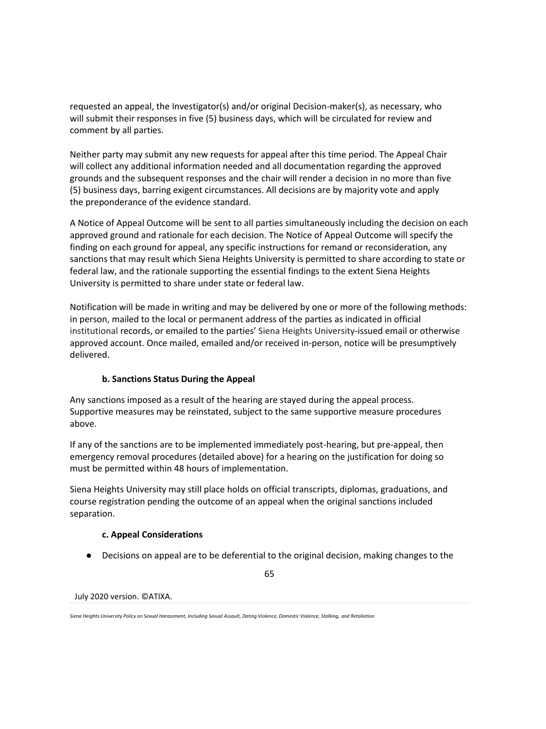requested an appeal, the Investigator(s) and/or original Decision-maker(s), as necessary, who will submit their responses in five (5) business days, which will be circulated for review and comment by all parties.

Neither party may submit any new requests for appeal after this time period. The Appeal Chair will collect any additional information needed and all documentation regarding the approved grounds and the subsequent responses and the chair will render a decision in no more than five (5) business days, barring exigent circumstances. All decisions are by majority vote and apply the preponderance of the evidence standard.

A Notice of Appeal Outcome will be sent to all parties simultaneously including the decision on each approved ground and rationale for each decision. The Notice of Appeal Outcome will specify the finding on each ground for appeal, any specific instructions for remand or reconsideration, any sanctions that may result which Siena Heights University is permitted to share according to state or federal law, and the rationale supporting the essential findings to the extent Siena Heights University is permitted to share under state or federal law.

Notification will be made in writing and may be delivered by one or more of the following methods: in person, mailed to the local or permanent address of the parties as indicated in official institutional records, or emailed to the parties' Siena Heights University-issued email or otherwise approved account. Once mailed, emailed and/or received in-person, notice will be presumptively delivered.

# **b. Sanctions Status During the Appeal**

Any sanctions imposed as a result of the hearing are stayed during the appeal process. Supportive measures may be reinstated, subject to the same supportive measure procedures above.

If any of the sanctions are to be implemented immediately post-hearing, but pre-appeal, then emergency removal procedures (detailed above) for a hearing on the justification for doing so must be permitted within 48 hours of implementation.

Siena Heights University may still place holds on official transcripts, diplomas, graduations, and course registration pending the outcome of an appeal when the original sanctions included separation.

### **c. Appeal Considerations**

● Decisions on appeal are to be deferential to the original decision, making changes to the

65

*Siena Heights University Policy on Sexual Harassment, Including Sexual Assault, Dating Violence, Domestic Violence, Stalking, and Retaliation*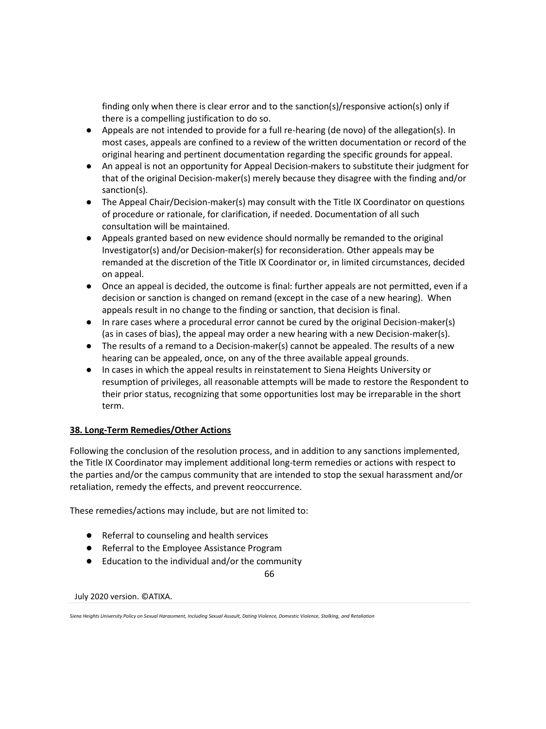finding only when there is clear error and to the sanction(s)/responsive action(s) only if there is a compelling justification to do so.

- Appeals are not intended to provide for a full re-hearing (de novo) of the allegation(s). In most cases, appeals are confined to a review of the written documentation or record of the original hearing and pertinent documentation regarding the specific grounds for appeal.
- An appeal is not an opportunity for Appeal Decision-makers to substitute their judgment for that of the original Decision-maker(s) merely because they disagree with the finding and/or sanction(s).
- The Appeal Chair/Decision-maker(s) may consult with the Title IX Coordinator on questions of procedure or rationale, for clarification, if needed. Documentation of all such consultation will be maintained.
- Appeals granted based on new evidence should normally be remanded to the original Investigator(s) and/or Decision-maker(s) for reconsideration. Other appeals may be remanded at the discretion of the Title IX Coordinator or, in limited circumstances, decided on appeal.
- Once an appeal is decided, the outcome is final: further appeals are not permitted, even if a decision or sanction is changed on remand (except in the case of a new hearing). When appeals result in no change to the finding or sanction, that decision is final.
- In rare cases where a procedural error cannot be cured by the original Decision-maker(s) (as in cases of bias), the appeal may order a new hearing with a new Decision-maker(s).
- The results of a remand to a Decision-maker(s) cannot be appealed. The results of a new hearing can be appealed, once, on any of the three available appeal grounds.
- In cases in which the appeal results in reinstatement to Siena Heights University or resumption of privileges, all reasonable attempts will be made to restore the Respondent to their prior status, recognizing that some opportunities lost may be irreparable in the short term.

# **38. Long-Term Remedies/Other Actions**

Following the conclusion of the resolution process, and in addition to any sanctions implemented, the Title IX Coordinator may implement additional long-term remedies or actions with respect to the parties and/or the campus community that are intended to stop the sexual harassment and/or retaliation, remedy the effects, and prevent reoccurrence.

These remedies/actions may include, but are not limited to:

- Referral to counseling and health services
- Referral to the Employee Assistance Program
- Education to the individual and/or the community

66

*Siena Heights University Policy on Sexual Harassment, Including Sexual Assault, Dating Violence, Domestic Violence, Stalking, and Retaliation*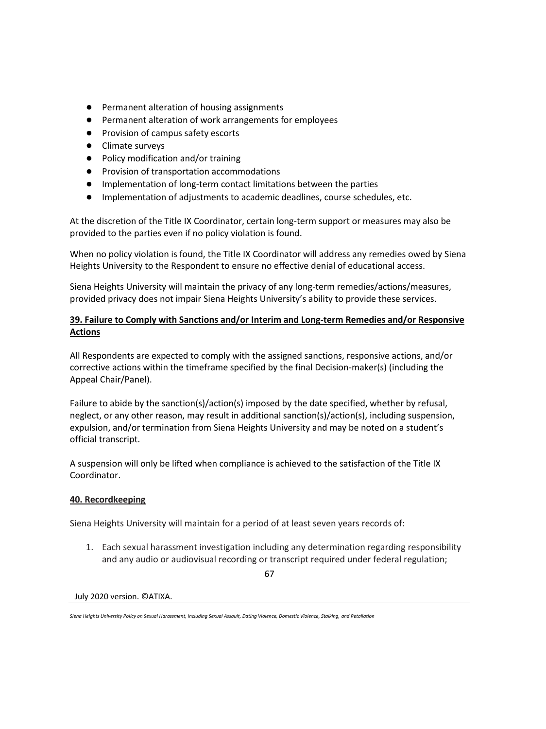- Permanent alteration of housing assignments
- Permanent alteration of work arrangements for employees
- Provision of campus safety escorts
- Climate surveys
- Policy modification and/or training
- Provision of transportation accommodations
- Implementation of long-term contact limitations between the parties
- Implementation of adjustments to academic deadlines, course schedules, etc.

At the discretion of the Title IX Coordinator, certain long-term support or measures may also be provided to the parties even if no policy violation is found.

When no policy violation is found, the Title IX Coordinator will address any remedies owed by Siena Heights University to the Respondent to ensure no effective denial of educational access.

Siena Heights University will maintain the privacy of any long-term remedies/actions/measures, provided privacy does not impair Siena Heights University's ability to provide these services.

# **39. Failure to Comply with Sanctions and/or Interim and Long-term Remedies and/or Responsive Actions**

All Respondents are expected to comply with the assigned sanctions, responsive actions, and/or corrective actions within the timeframe specified by the final Decision-maker(s) (including the Appeal Chair/Panel).

Failure to abide by the sanction(s)/action(s) imposed by the date specified, whether by refusal, neglect, or any other reason, may result in additional sanction(s)/action(s), including suspension, expulsion, and/or termination from Siena Heights University and may be noted on a student's official transcript.

A suspension will only be lifted when compliance is achieved to the satisfaction of the Title IX Coordinator.

# **40. Recordkeeping**

Siena Heights University will maintain for a period of at least seven years records of:

1. Each sexual harassment investigation including any determination regarding responsibility and any audio or audiovisual recording or transcript required under federal regulation;

67

*Siena Heights University Policy on Sexual Harassment, Including Sexual Assault, Dating Violence, Domestic Violence, Stalking, and Retaliation*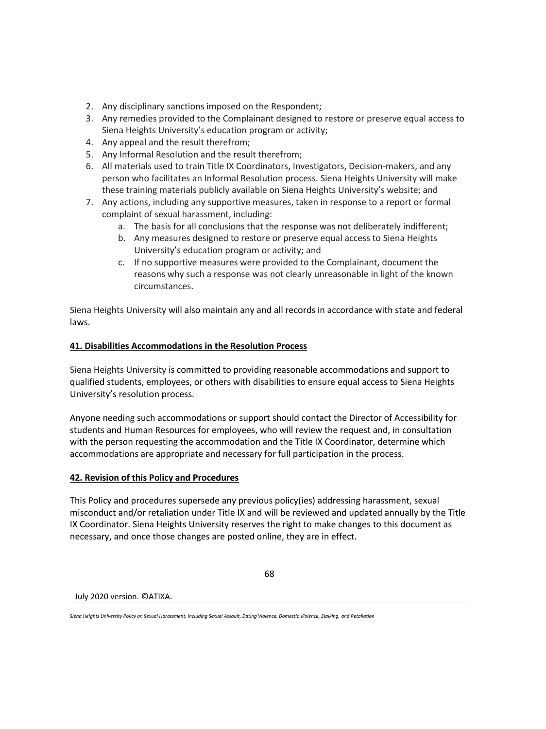- 2. Any disciplinary sanctions imposed on the Respondent;
- 3. Any remedies provided to the Complainant designed to restore or preserve equal access to Siena Heights University's education program or activity;
- 4. Any appeal and the result therefrom;
- 5. Any Informal Resolution and the result therefrom;
- 6. All materials used to train Title IX Coordinators, Investigators, Decision-makers, and any person who facilitates an Informal Resolution process. Siena Heights University will make these training materials publicly available on Siena Heights University's website; and
- 7. Any actions, including any supportive measures, taken in response to a report or formal complaint of sexual harassment, including:
	- a. The basis for all conclusions that the response was not deliberately indifferent;
	- b. Any measures designed to restore or preserve equal access to Siena Heights University's education program or activity; and
	- c. If no supportive measures were provided to the Complainant, document the reasons why such a response was not clearly unreasonable in light of the known circumstances.

Siena Heights University will also maintain any and all records in accordance with state and federal laws.

# **41. Disabilities Accommodations in the Resolution Process**

Siena Heights University is committed to providing reasonable accommodations and support to qualified students, employees, or others with disabilities to ensure equal access to Siena Heights University's resolution process.

Anyone needing such accommodations or support should contact the Director of Accessibility for students and Human Resources for employees, who will review the request and, in consultation with the person requesting the accommodation and the Title IX Coordinator, determine which accommodations are appropriate and necessary for full participation in the process.

# **42. Revision of this Policy and Procedures**

This Policy and procedures supersede any previous policy(ies) addressing harassment, sexual misconduct and/or retaliation under Title IX and will be reviewed and updated annually by the Title IX Coordinator. Siena Heights University reserves the right to make changes to this document as necessary, and once those changes are posted online, they are in effect.

68

#### July 2020 version. ©ATIXA.

*Siena Heights University Policy on Sexual Harassment, Including Sexual Assault, Dating Violence, Domestic Violence, Stalking, and Retaliation*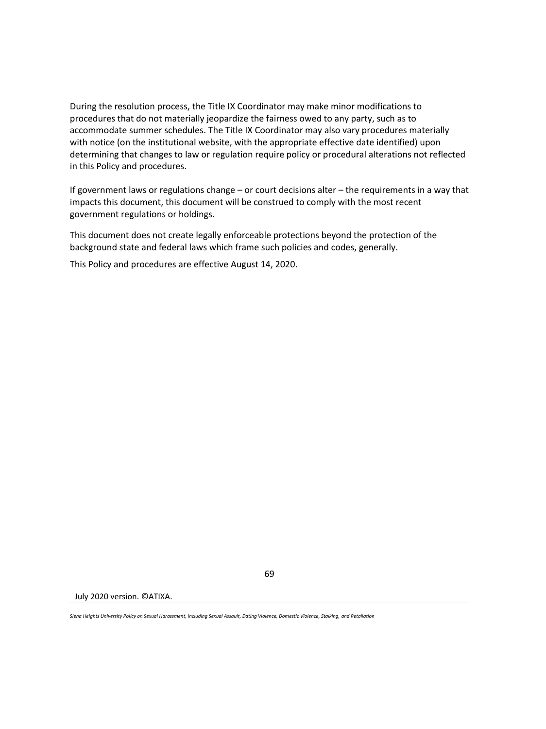During the resolution process, the Title IX Coordinator may make minor modifications to procedures that do not materially jeopardize the fairness owed to any party, such as to accommodate summer schedules. The Title IX Coordinator may also vary procedures materially with notice (on the institutional website, with the appropriate effective date identified) upon determining that changes to law or regulation require policy or procedural alterations not reflected in this Policy and procedures.

If government laws or regulations change – or court decisions alter – the requirements in a way that impacts this document, this document will be construed to comply with the most recent government regulations or holdings.

This document does not create legally enforceable protections beyond the protection of the background state and federal laws which frame such policies and codes, generally.

This Policy and procedures are effective August 14, 2020.

July 2020 version. ©ATIXA.

*Siena Heights University Policy on Sexual Harassment, Including Sexual Assault, Dating Violence, Domestic Violence, Stalking, and Retaliation*

69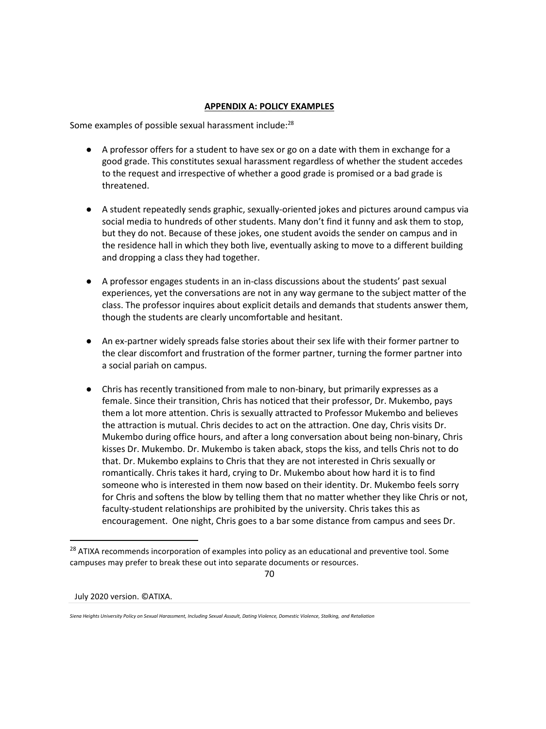## **APPENDIX A: POLICY EXAMPLES**

Some examples of possible sexual harassment include:<sup>28</sup>

- A professor offers for a student to have sex or go on a date with them in exchange for a good grade. This constitutes sexual harassment regardless of whether the student accedes to the request and irrespective of whether a good grade is promised or a bad grade is threatened.
- A student repeatedly sends graphic, sexually-oriented jokes and pictures around campus via social media to hundreds of other students. Many don't find it funny and ask them to stop, but they do not. Because of these jokes, one student avoids the sender on campus and in the residence hall in which they both live, eventually asking to move to a different building and dropping a class they had together.
- A professor engages students in an in-class discussions about the students' past sexual experiences, yet the conversations are not in any way germane to the subject matter of the class. The professor inquires about explicit details and demands that students answer them, though the students are clearly uncomfortable and hesitant.
- An ex-partner widely spreads false stories about their sex life with their former partner to the clear discomfort and frustration of the former partner, turning the former partner into a social pariah on campus.
- Chris has recently transitioned from male to non-binary, but primarily expresses as a female. Since their transition, Chris has noticed that their professor, Dr. Mukembo, pays them a lot more attention. Chris is sexually attracted to Professor Mukembo and believes the attraction is mutual. Chris decides to act on the attraction. One day, Chris visits Dr. Mukembo during office hours, and after a long conversation about being non-binary, Chris kisses Dr. Mukembo. Dr. Mukembo is taken aback, stops the kiss, and tells Chris not to do that. Dr. Mukembo explains to Chris that they are not interested in Chris sexually or romantically. Chris takes it hard, crying to Dr. Mukembo about how hard it is to find someone who is interested in them now based on their identity. Dr. Mukembo feels sorry for Chris and softens the blow by telling them that no matter whether they like Chris or not, faculty-student relationships are prohibited by the university. Chris takes this as encouragement. One night, Chris goes to a bar some distance from campus and sees Dr.

70

<sup>&</sup>lt;sup>28</sup> ATIXA recommends incorporation of examples into policy as an educational and preventive tool. Some campuses may prefer to break these out into separate documents or resources.

*Siena Heights University Policy on Sexual Harassment, Including Sexual Assault, Dating Violence, Domestic Violence, Stalking, and Retaliation*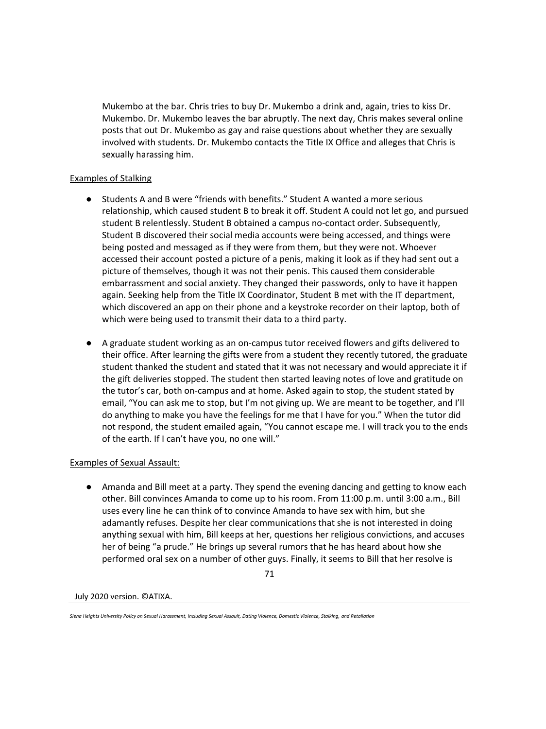Mukembo at the bar. Chris tries to buy Dr. Mukembo a drink and, again, tries to kiss Dr. Mukembo. Dr. Mukembo leaves the bar abruptly. The next day, Chris makes several online posts that out Dr. Mukembo as gay and raise questions about whether they are sexually involved with students. Dr. Mukembo contacts the Title IX Office and alleges that Chris is sexually harassing him.

## Examples of Stalking

- Students A and B were "friends with benefits." Student A wanted a more serious relationship, which caused student B to break it off. Student A could not let go, and pursued student B relentlessly. Student B obtained a campus no-contact order. Subsequently, Student B discovered their social media accounts were being accessed, and things were being posted and messaged as if they were from them, but they were not. Whoever accessed their account posted a picture of a penis, making it look as if they had sent out a picture of themselves, though it was not their penis. This caused them considerable embarrassment and social anxiety. They changed their passwords, only to have it happen again. Seeking help from the Title IX Coordinator, Student B met with the IT department, which discovered an app on their phone and a keystroke recorder on their laptop, both of which were being used to transmit their data to a third party.
- A graduate student working as an on-campus tutor received flowers and gifts delivered to their office. After learning the gifts were from a student they recently tutored, the graduate student thanked the student and stated that it was not necessary and would appreciate it if the gift deliveries stopped. The student then started leaving notes of love and gratitude on the tutor's car, both on-campus and at home. Asked again to stop, the student stated by email, "You can ask me to stop, but I'm not giving up. We are meant to be together, and I'll do anything to make you have the feelings for me that I have for you." When the tutor did not respond, the student emailed again, "You cannot escape me. I will track you to the ends of the earth. If I can't have you, no one will."

### Examples of Sexual Assault:

● Amanda and Bill meet at a party. They spend the evening dancing and getting to know each other. Bill convinces Amanda to come up to his room. From 11:00 p.m. until 3:00 a.m., Bill uses every line he can think of to convince Amanda to have sex with him, but she adamantly refuses. Despite her clear communications that she is not interested in doing anything sexual with him, Bill keeps at her, questions her religious convictions, and accuses her of being "a prude." He brings up several rumors that he has heard about how she performed oral sex on a number of other guys. Finally, it seems to Bill that her resolve is

71

*Siena Heights University Policy on Sexual Harassment, Including Sexual Assault, Dating Violence, Domestic Violence, Stalking, and Retaliation*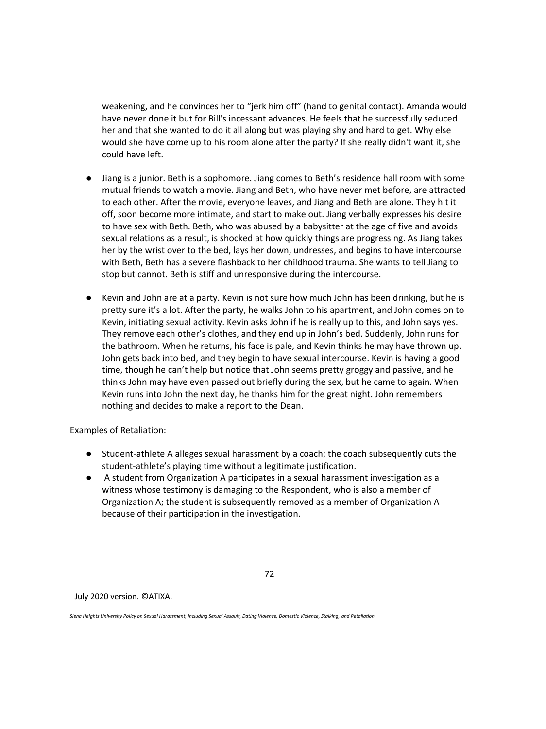weakening, and he convinces her to "jerk him off" (hand to genital contact). Amanda would have never done it but for Bill's incessant advances. He feels that he successfully seduced her and that she wanted to do it all along but was playing shy and hard to get. Why else would she have come up to his room alone after the party? If she really didn't want it, she could have left.

- Jiang is a junior. Beth is a sophomore. Jiang comes to Beth's residence hall room with some mutual friends to watch a movie. Jiang and Beth, who have never met before, are attracted to each other. After the movie, everyone leaves, and Jiang and Beth are alone. They hit it off, soon become more intimate, and start to make out. Jiang verbally expresses his desire to have sex with Beth. Beth, who was abused by a babysitter at the age of five and avoids sexual relations as a result, is shocked at how quickly things are progressing. As Jiang takes her by the wrist over to the bed, lays her down, undresses, and begins to have intercourse with Beth, Beth has a severe flashback to her childhood trauma. She wants to tell Jiang to stop but cannot. Beth is stiff and unresponsive during the intercourse.
- Kevin and John are at a party. Kevin is not sure how much John has been drinking, but he is pretty sure it's a lot. After the party, he walks John to his apartment, and John comes on to Kevin, initiating sexual activity. Kevin asks John if he is really up to this, and John says yes. They remove each other's clothes, and they end up in John's bed. Suddenly, John runs for the bathroom. When he returns, his face is pale, and Kevin thinks he may have thrown up. John gets back into bed, and they begin to have sexual intercourse. Kevin is having a good time, though he can't help but notice that John seems pretty groggy and passive, and he thinks John may have even passed out briefly during the sex, but he came to again. When Kevin runs into John the next day, he thanks him for the great night. John remembers nothing and decides to make a report to the Dean.

Examples of Retaliation:

- Student-athlete A alleges sexual harassment by a coach; the coach subsequently cuts the student-athlete's playing time without a legitimate justification.
- A student from Organization A participates in a sexual harassment investigation as a witness whose testimony is damaging to the Respondent, who is also a member of Organization A; the student is subsequently removed as a member of Organization A because of their participation in the investigation.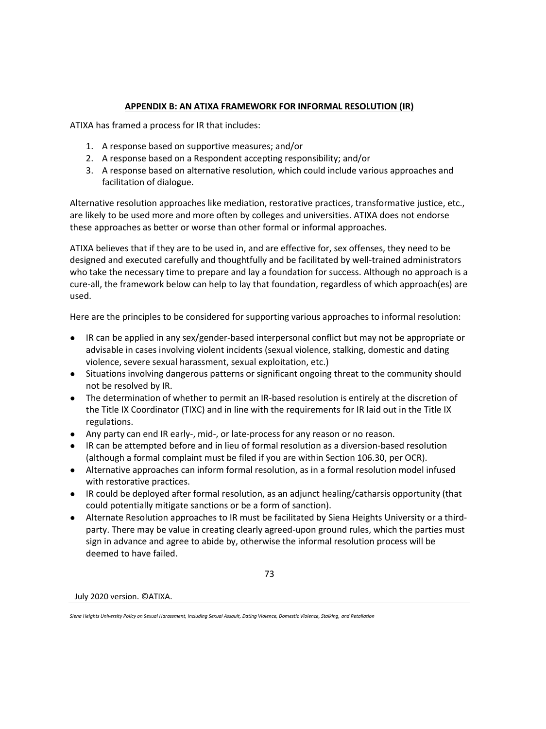## **APPENDIX B: AN ATIXA FRAMEWORK FOR INFORMAL RESOLUTION (IR)**

ATIXA has framed a process for IR that includes:

- 1. A response based on supportive measures; and/or
- 2. A response based on a Respondent accepting responsibility; and/or
- 3. A response based on alternative resolution, which could include various approaches and facilitation of dialogue.

Alternative resolution approaches like mediation, restorative practices, transformative justice, etc., are likely to be used more and more often by colleges and universities. ATIXA does not endorse these approaches as better or worse than other formal or informal approaches.

ATIXA believes that if they are to be used in, and are effective for, sex offenses, they need to be designed and executed carefully and thoughtfully and be facilitated by well-trained administrators who take the necessary time to prepare and lay a foundation for success. Although no approach is a cure-all, the framework below can help to lay that foundation, regardless of which approach(es) are used.

Here are the principles to be considered for supporting various approaches to informal resolution:

- IR can be applied in any sex/gender-based interpersonal conflict but may not be appropriate or advisable in cases involving violent incidents (sexual violence, stalking, domestic and dating violence, severe sexual harassment, sexual exploitation, etc.)
- Situations involving dangerous patterns or significant ongoing threat to the community should not be resolved by IR.
- The determination of whether to permit an IR-based resolution is entirely at the discretion of the Title IX Coordinator (TIXC) and in line with the requirements for IR laid out in the Title IX regulations.
- Any party can end IR early-, mid-, or late-process for any reason or no reason.
- IR can be attempted before and in lieu of formal resolution as a diversion-based resolution (although a formal complaint must be filed if you are within Section 106.30, per OCR).
- Alternative approaches can inform formal resolution, as in a formal resolution model infused with restorative practices.
- IR could be deployed after formal resolution, as an adjunct healing/catharsis opportunity (that could potentially mitigate sanctions or be a form of sanction).
- Alternate Resolution approaches to IR must be facilitated by Siena Heights University or a thirdparty. There may be value in creating clearly agreed-upon ground rules, which the parties must sign in advance and agree to abide by, otherwise the informal resolution process will be deemed to have failed.

73

*Siena Heights University Policy on Sexual Harassment, Including Sexual Assault, Dating Violence, Domestic Violence, Stalking, and Retaliation*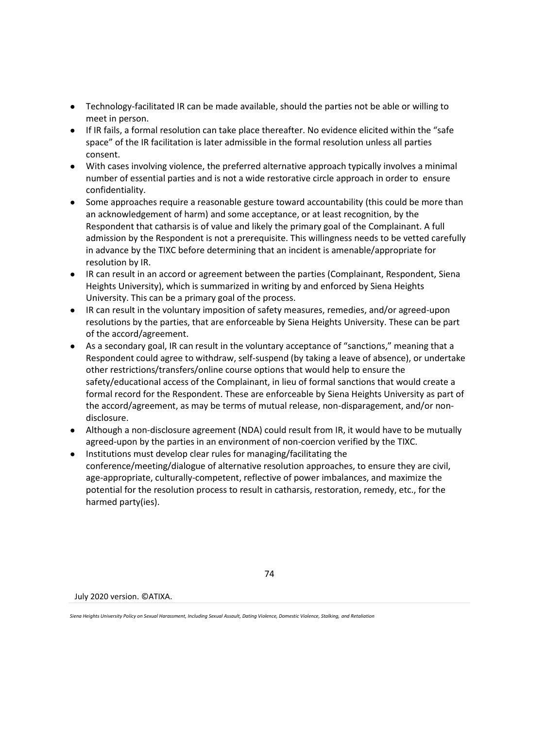- Technology-facilitated IR can be made available, should the parties not be able or willing to meet in person.
- If IR fails, a formal resolution can take place thereafter. No evidence elicited within the "safe space" of the IR facilitation is later admissible in the formal resolution unless all parties consent.
- With cases involving violence, the preferred alternative approach typically involves a minimal number of essential parties and is not a wide restorative circle approach in order to ensure confidentiality.
- Some approaches require a reasonable gesture toward accountability (this could be more than an acknowledgement of harm) and some acceptance, or at least recognition, by the Respondent that catharsis is of value and likely the primary goal of the Complainant. A full admission by the Respondent is not a prerequisite. This willingness needs to be vetted carefully in advance by the TIXC before determining that an incident is amenable/appropriate for resolution by IR.
- IR can result in an accord or agreement between the parties (Complainant, Respondent, Siena Heights University), which is summarized in writing by and enforced by Siena Heights University. This can be a primary goal of the process.
- IR can result in the voluntary imposition of safety measures, remedies, and/or agreed-upon resolutions by the parties, that are enforceable by Siena Heights University. These can be part of the accord/agreement.
- As a secondary goal, IR can result in the voluntary acceptance of "sanctions," meaning that a Respondent could agree to withdraw, self-suspend (by taking a leave of absence), or undertake other restrictions/transfers/online course options that would help to ensure the safety/educational access of the Complainant, in lieu of formal sanctions that would create a formal record for the Respondent. These are enforceable by Siena Heights University as part of the accord/agreement, as may be terms of mutual release, non-disparagement, and/or nondisclosure.
- Although a non-disclosure agreement (NDA) could result from IR, it would have to be mutually agreed-upon by the parties in an environment of non-coercion verified by the TIXC.
- Institutions must develop clear rules for managing/facilitating the conference/meeting/dialogue of alternative resolution approaches, to ensure they are civil, age-appropriate, culturally-competent, reflective of power imbalances, and maximize the potential for the resolution process to result in catharsis, restoration, remedy, etc., for the harmed party(ies).

July 2020 version. ©ATIXA.

*Siena Heights University Policy on Sexual Harassment, Including Sexual Assault, Dating Violence, Domestic Violence, Stalking, and Retaliation*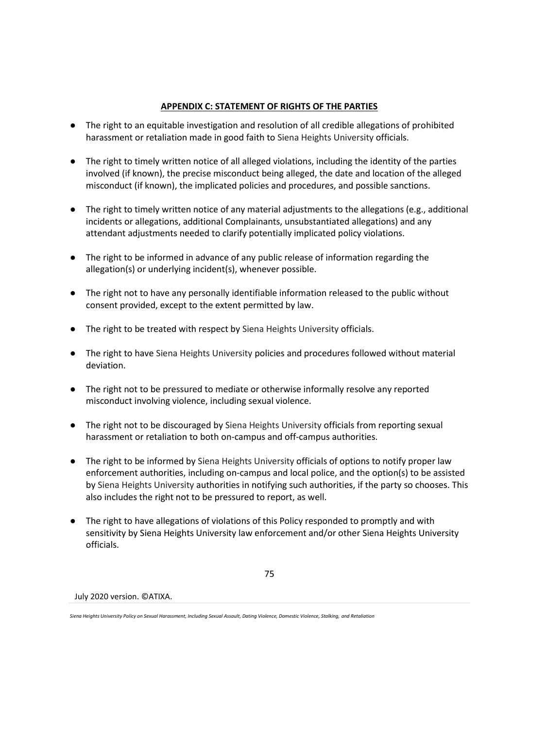## **APPENDIX C: STATEMENT OF RIGHTS OF THE PARTIES**

- The right to an equitable investigation and resolution of all credible allegations of prohibited harassment or retaliation made in good faith to Siena Heights University officials.
- The right to timely written notice of all alleged violations, including the identity of the parties involved (if known), the precise misconduct being alleged, the date and location of the alleged misconduct (if known), the implicated policies and procedures, and possible sanctions.
- The right to timely written notice of any material adjustments to the allegations (e.g., additional incidents or allegations, additional Complainants, unsubstantiated allegations) and any attendant adjustments needed to clarify potentially implicated policy violations.
- The right to be informed in advance of any public release of information regarding the allegation(s) or underlying incident(s), whenever possible.
- The right not to have any personally identifiable information released to the public without consent provided, except to the extent permitted by law.
- The right to be treated with respect by Siena Heights University officials.
- The right to have Siena Heights University policies and procedures followed without material deviation.
- The right not to be pressured to mediate or otherwise informally resolve any reported misconduct involving violence, including sexual violence.
- The right not to be discouraged by Siena Heights University officials from reporting sexual harassment or retaliation to both on-campus and off-campus authorities.
- The right to be informed by Siena Heights University officials of options to notify proper law enforcement authorities, including on-campus and local police, and the option(s) to be assisted by Siena Heights University authorities in notifying such authorities, if the party so chooses. This also includes the right not to be pressured to report, as well.
- The right to have allegations of violations of this Policy responded to promptly and with sensitivity by Siena Heights University law enforcement and/or other Siena Heights University officials.

75

July 2020 version. ©ATIXA.

*Siena Heights University Policy on Sexual Harassment, Including Sexual Assault, Dating Violence, Domestic Violence, Stalking, and Retaliation*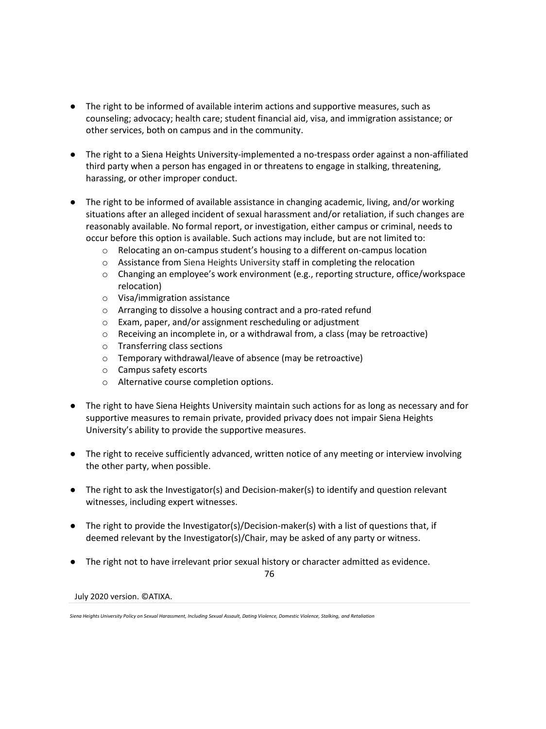- The right to be informed of available interim actions and supportive measures, such as counseling; advocacy; health care; student financial aid, visa, and immigration assistance; or other services, both on campus and in the community.
- The right to a Siena Heights University-implemented a no-trespass order against a non-affiliated third party when a person has engaged in or threatens to engage in stalking, threatening, harassing, or other improper conduct.
- The right to be informed of available assistance in changing academic, living, and/or working situations after an alleged incident of sexual harassment and/or retaliation, if such changes are reasonably available. No formal report, or investigation, either campus or criminal, needs to occur before this option is available. Such actions may include, but are not limited to:
	- o Relocating an on-campus student's housing to a different on-campus location
	- o Assistance from Siena Heights University staff in completing the relocation
	- $\circ$  Changing an employee's work environment (e.g., reporting structure, office/workspace relocation)
	- o Visa/immigration assistance
	- o Arranging to dissolve a housing contract and a pro-rated refund
	- o Exam, paper, and/or assignment rescheduling or adjustment
	- o Receiving an incomplete in, or a withdrawal from, a class (may be retroactive)
	- o Transferring class sections
	- o Temporary withdrawal/leave of absence (may be retroactive)
	- o Campus safety escorts
	- o Alternative course completion options.
- The right to have Siena Heights University maintain such actions for as long as necessary and for supportive measures to remain private, provided privacy does not impair Siena Heights University's ability to provide the supportive measures.
- The right to receive sufficiently advanced, written notice of any meeting or interview involving the other party, when possible.
- The right to ask the Investigator(s) and Decision-maker(s) to identify and question relevant witnesses, including expert witnesses.
- The right to provide the Investigator(s)/Decision-maker(s) with a list of questions that, if deemed relevant by the Investigator(s)/Chair, may be asked of any party or witness.
- The right not to have irrelevant prior sexual history or character admitted as evidence.

76

*Siena Heights University Policy on Sexual Harassment, Including Sexual Assault, Dating Violence, Domestic Violence, Stalking, and Retaliation*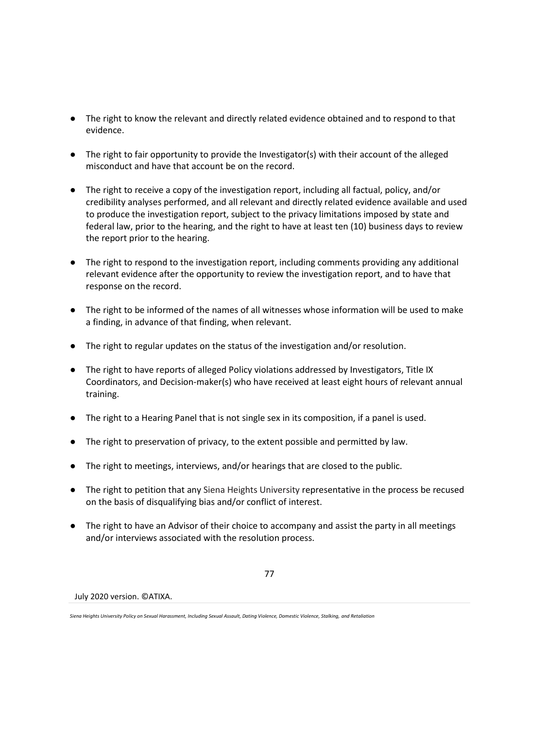- The right to know the relevant and directly related evidence obtained and to respond to that evidence.
- The right to fair opportunity to provide the Investigator(s) with their account of the alleged misconduct and have that account be on the record.
- The right to receive a copy of the investigation report, including all factual, policy, and/or credibility analyses performed, and all relevant and directly related evidence available and used to produce the investigation report, subject to the privacy limitations imposed by state and federal law, prior to the hearing, and the right to have at least ten (10) business days to review the report prior to the hearing.
- The right to respond to the investigation report, including comments providing any additional relevant evidence after the opportunity to review the investigation report, and to have that response on the record.
- The right to be informed of the names of all witnesses whose information will be used to make a finding, in advance of that finding, when relevant.
- The right to regular updates on the status of the investigation and/or resolution.
- The right to have reports of alleged Policy violations addressed by Investigators, Title IX Coordinators, and Decision-maker(s) who have received at least eight hours of relevant annual training.
- The right to a Hearing Panel that is not single sex in its composition, if a panel is used.
- The right to preservation of privacy, to the extent possible and permitted by law.
- The right to meetings, interviews, and/or hearings that are closed to the public.
- The right to petition that any Siena Heights University representative in the process be recused on the basis of disqualifying bias and/or conflict of interest.
- The right to have an Advisor of their choice to accompany and assist the party in all meetings and/or interviews associated with the resolution process.

77

*Siena Heights University Policy on Sexual Harassment, Including Sexual Assault, Dating Violence, Domestic Violence, Stalking, and Retaliation*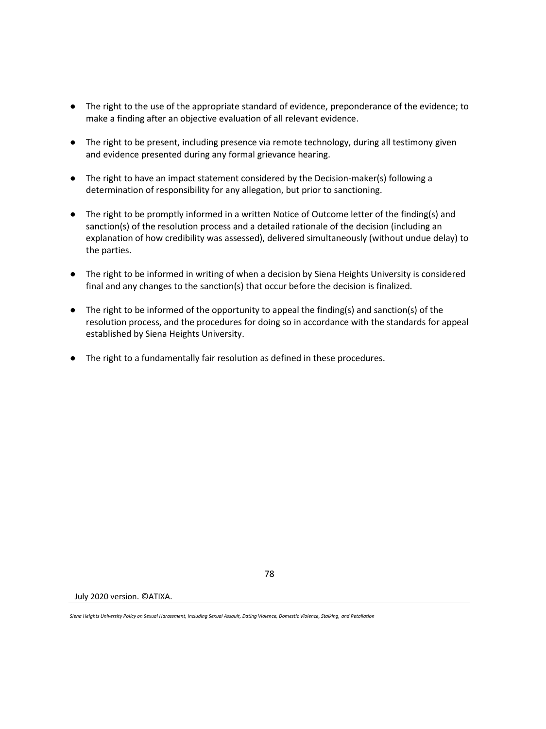- The right to the use of the appropriate standard of evidence, preponderance of the evidence; to make a finding after an objective evaluation of all relevant evidence.
- The right to be present, including presence via remote technology, during all testimony given and evidence presented during any formal grievance hearing.
- The right to have an impact statement considered by the Decision-maker(s) following a determination of responsibility for any allegation, but prior to sanctioning.
- The right to be promptly informed in a written Notice of Outcome letter of the finding(s) and sanction(s) of the resolution process and a detailed rationale of the decision (including an explanation of how credibility was assessed), delivered simultaneously (without undue delay) to the parties.
- The right to be informed in writing of when a decision by Siena Heights University is considered final and any changes to the sanction(s) that occur before the decision is finalized.
- The right to be informed of the opportunity to appeal the finding(s) and sanction(s) of the resolution process, and the procedures for doing so in accordance with the standards for appeal established by Siena Heights University.
- The right to a fundamentally fair resolution as defined in these procedures.

July 2020 version. ©ATIXA.

*Siena Heights University Policy on Sexual Harassment, Including Sexual Assault, Dating Violence, Domestic Violence, Stalking, and Retaliation*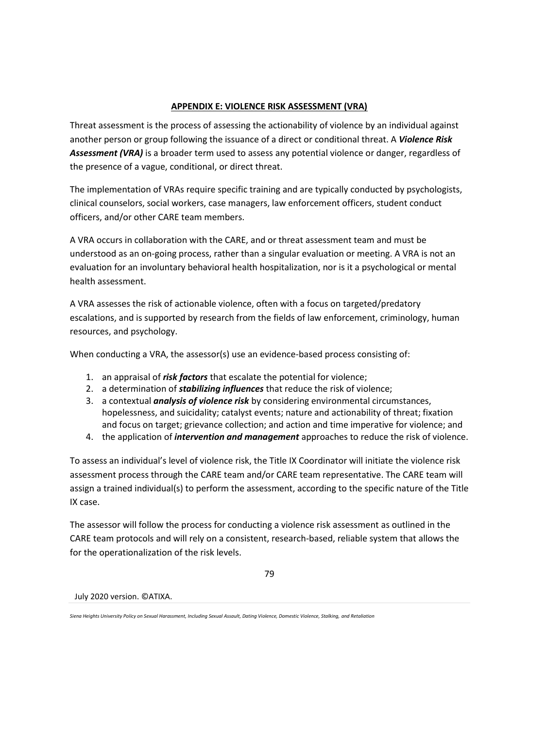## **APPENDIX E: VIOLENCE RISK ASSESSMENT (VRA)**

Threat assessment is the process of assessing the actionability of violence by an individual against another person or group following the issuance of a direct or conditional threat. A *Violence Risk Assessment (VRA)* is a broader term used to assess any potential violence or danger, regardless of the presence of a vague, conditional, or direct threat.

The implementation of VRAs require specific training and are typically conducted by psychologists, clinical counselors, social workers, case managers, law enforcement officers, student conduct officers, and/or other CARE team members.

A VRA occurs in collaboration with the CARE, and or threat assessment team and must be understood as an on-going process, rather than a singular evaluation or meeting. A VRA is not an evaluation for an involuntary behavioral health hospitalization, nor is it a psychological or mental health assessment.

A VRA assesses the risk of actionable violence, often with a focus on targeted/predatory escalations, and is supported by research from the fields of law enforcement, criminology, human resources, and psychology.

When conducting a VRA, the assessor(s) use an evidence-based process consisting of:

- 1. an appraisal of *risk factors* that escalate the potential for violence;
- 2. a determination of *stabilizing influences* that reduce the risk of violence;
- 3. a contextual *analysis of violence risk* by considering environmental circumstances, hopelessness, and suicidality; catalyst events; nature and actionability of threat; fixation and focus on target; grievance collection; and action and time imperative for violence; and
- 4. the application of *intervention and management* approaches to reduce the risk of violence.

To assess an individual's level of violence risk, the Title IX Coordinator will initiate the violence risk assessment process through the CARE team and/or CARE team representative. The CARE team will assign a trained individual(s) to perform the assessment, according to the specific nature of the Title IX case.

The assessor will follow the process for conducting a violence risk assessment as outlined in the CARE team protocols and will rely on a consistent, research-based, reliable system that allows the for the operationalization of the risk levels.

79

*Siena Heights University Policy on Sexual Harassment, Including Sexual Assault, Dating Violence, Domestic Violence, Stalking, and Retaliation*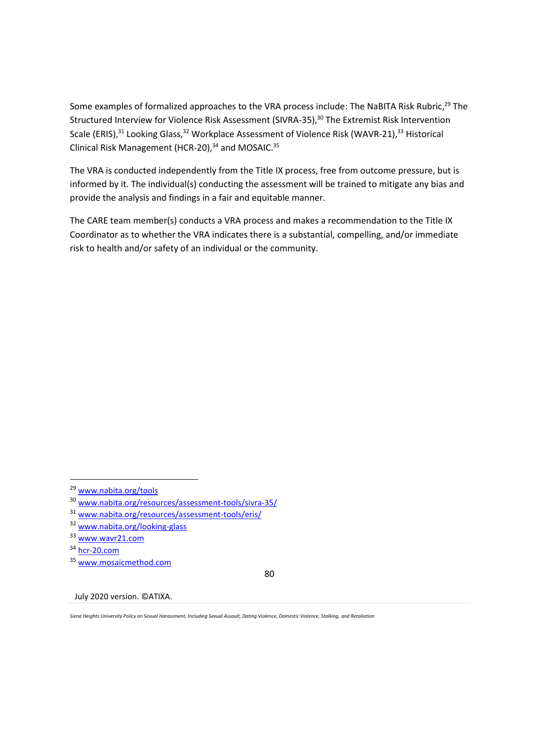Some examples of formalized approaches to the VRA process include: The NaBITA Risk Rubric,<sup>29</sup> The Structured Interview for Violence Risk Assessment (SIVRA-35),<sup>30</sup> The Extremist Risk Intervention Scale (ERIS),<sup>31</sup> Looking Glass,<sup>32</sup> Workplace Assessment of Violence Risk (WAVR-21),<sup>33</sup> Historical Clinical Risk Management (HCR-20), $34$  and MOSAIC. $35$ 

The VRA is conducted independently from the Title IX process, free from outcome pressure, but is informed by it. The individual(s) conducting the assessment will be trained to mitigate any bias and provide the analysis and findings in a fair and equitable manner.

The CARE team member(s) conducts a VRA process and makes a recommendation to the Title IX Coordinator as to whether the VRA indicates there is a substantial, compelling, and/or immediate risk to health and/or safety of an individual or the community.

80

July 2020 version. ©ATIXA.

*Siena Heights University Policy on Sexual Harassment, Including Sexual Assault, Dating Violence, Domestic Violence, Stalking, and Retaliation*

<sup>29</sup> [www.nabita.org/tools](http://www.nabita.org/tools)

<sup>30</sup> [www.nabita.org/resources/assessment-tools/sivra-35/](https://www.nabita.org/resources/assessment-tools/sivra-35/)

<sup>31</sup> [www.nabita.org/resources/assessment-tools/eris/](https://www.nabita.org/resources/assessment-tools/eris/)

<sup>32</sup> [www.nabita.org/looking-glass](http://www.nabita.org/looking-glass)

<sup>33</sup> [www.wavr21.com](http://www.wavr21.com/)

<sup>34</sup> [hcr-20.com](http://hcr-20.com/)

<sup>35</sup> [www.mosaicmethod.com](http://www.mosaicmethod.com/)